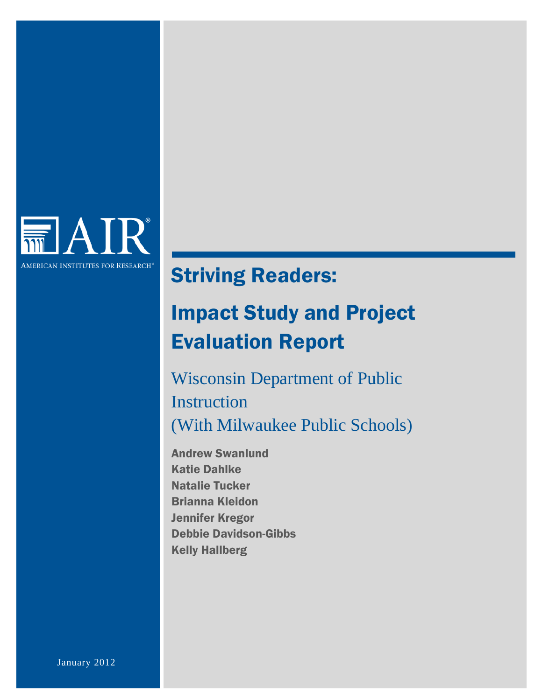

# Striving Readers:

# Impact Study and Project Evaluation Report

Wisconsin Department of Public **Instruction** (With Milwaukee Public Schools)

Andrew Swanlund Katie Dahlke Natalie Tucker Brianna Kleidon Jennifer Kregor Debbie Davidson-Gibbs Kelly Hallberg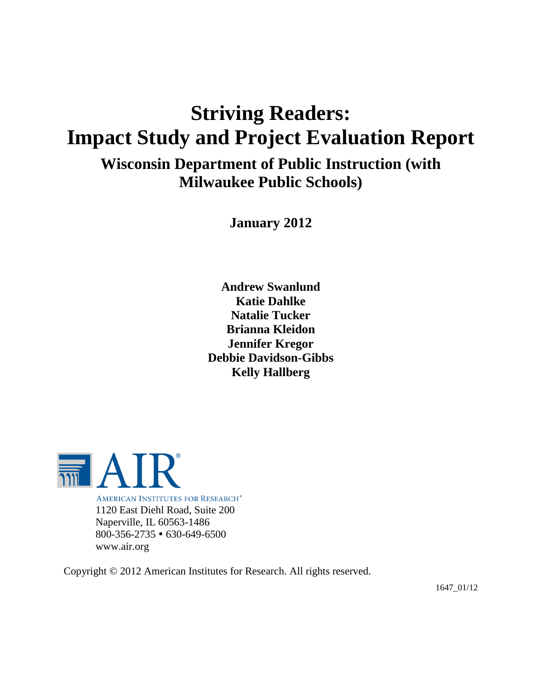# **Striving Readers: Impact Study and Project Evaluation Report**

**Wisconsin Department of Public Instruction (with Milwaukee Public Schools)**

**January 2012**

**Andrew Swanlund Katie Dahlke Natalie Tucker Brianna Kleidon Jennifer Kregor Debbie Davidson-Gibbs Kelly Hallberg**



**AMERICAN INSTITUTES FOR RESEARCH®** 1120 East Diehl Road, Suite 200 Naperville, IL 60563-1486 800-356-2735 630-649-6500 www.air.org

Copyright © 2012 American Institutes for Research. All rights reserved.

1647\_01/12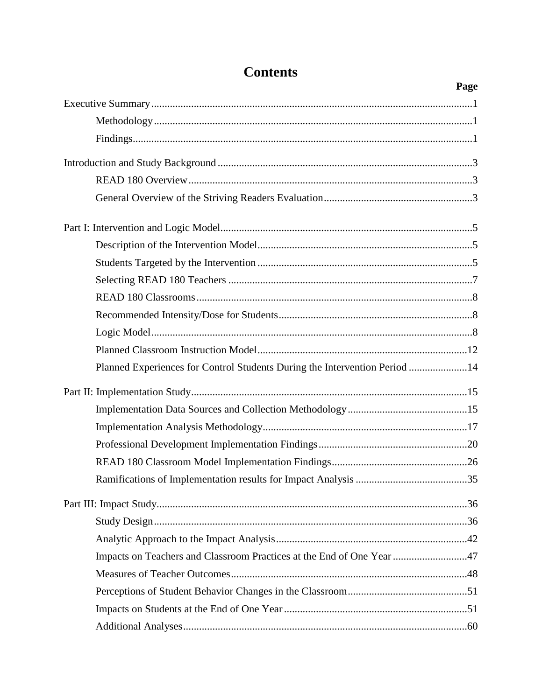|                                                                            | Page |
|----------------------------------------------------------------------------|------|
|                                                                            |      |
|                                                                            |      |
|                                                                            |      |
|                                                                            |      |
|                                                                            |      |
|                                                                            |      |
|                                                                            |      |
|                                                                            |      |
|                                                                            |      |
|                                                                            |      |
|                                                                            |      |
|                                                                            |      |
|                                                                            |      |
|                                                                            |      |
| Planned Experiences for Control Students During the Intervention Period 14 |      |
|                                                                            |      |
|                                                                            |      |
|                                                                            |      |
|                                                                            |      |
|                                                                            |      |
|                                                                            |      |
|                                                                            |      |
|                                                                            |      |
|                                                                            |      |
| Impacts on Teachers and Classroom Practices at the End of One Year 47      |      |
|                                                                            |      |
|                                                                            |      |
|                                                                            |      |
|                                                                            |      |

# **Contents**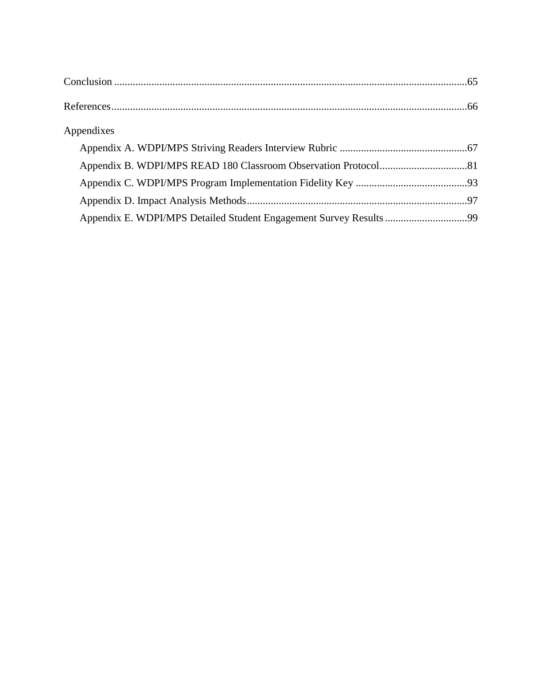| Appendixes |  |
|------------|--|
|            |  |
|            |  |
|            |  |
|            |  |
|            |  |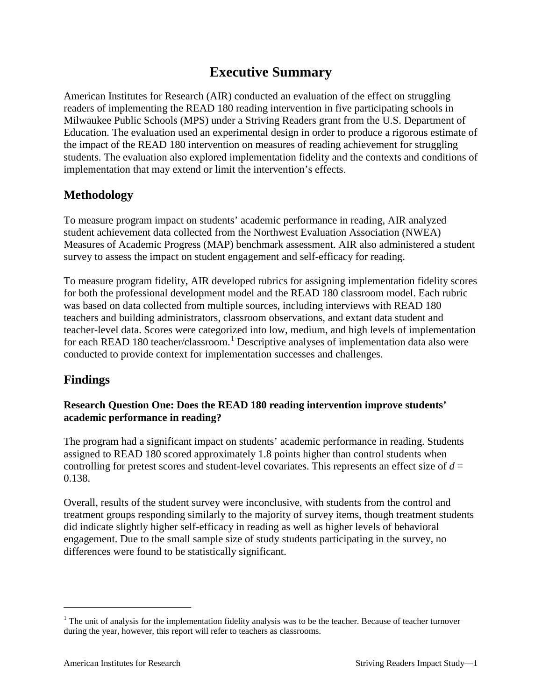# **Executive Summary**

American Institutes for Research (AIR) conducted an evaluation of the effect on struggling readers of implementing the READ 180 reading intervention in five participating schools in Milwaukee Public Schools (MPS) under a Striving Readers grant from the U.S. Department of Education. The evaluation used an experimental design in order to produce a rigorous estimate of the impact of the READ 180 intervention on measures of reading achievement for struggling students. The evaluation also explored implementation fidelity and the contexts and conditions of implementation that may extend or limit the intervention's effects.

## **Methodology**

To measure program impact on students' academic performance in reading, AIR analyzed student achievement data collected from the Northwest Evaluation Association (NWEA) Measures of Academic Progress (MAP) benchmark assessment. AIR also administered a student survey to assess the impact on student engagement and self-efficacy for reading.

To measure program fidelity, AIR developed rubrics for assigning implementation fidelity scores for both the professional development model and the READ 180 classroom model. Each rubric was based on data collected from multiple sources, including interviews with READ 180 teachers and building administrators, classroom observations, and extant data student and teacher-level data. Scores were categorized into low, medium, and high levels of implementation for each READ [1](#page-4-0)80 teacher/classroom.<sup>1</sup> Descriptive analyses of implementation data also were conducted to provide context for implementation successes and challenges.

## **Findings**

## **Research Question One: Does the READ 180 reading intervention improve students' academic performance in reading?**

The program had a significant impact on students' academic performance in reading. Students assigned to READ 180 scored approximately 1.8 points higher than control students when controlling for pretest scores and student-level covariates. This represents an effect size of *d* = 0.138.

Overall, results of the student survey were inconclusive, with students from the control and treatment groups responding similarly to the majority of survey items, though treatment students did indicate slightly higher self-efficacy in reading as well as higher levels of behavioral engagement. Due to the small sample size of study students participating in the survey, no differences were found to be statistically significant.

<span id="page-4-0"></span> $<sup>1</sup>$  The unit of analysis for the implementation fidelity analysis was to be the teacher. Because of teacher turnover</sup> during the year, however, this report will refer to teachers as classrooms.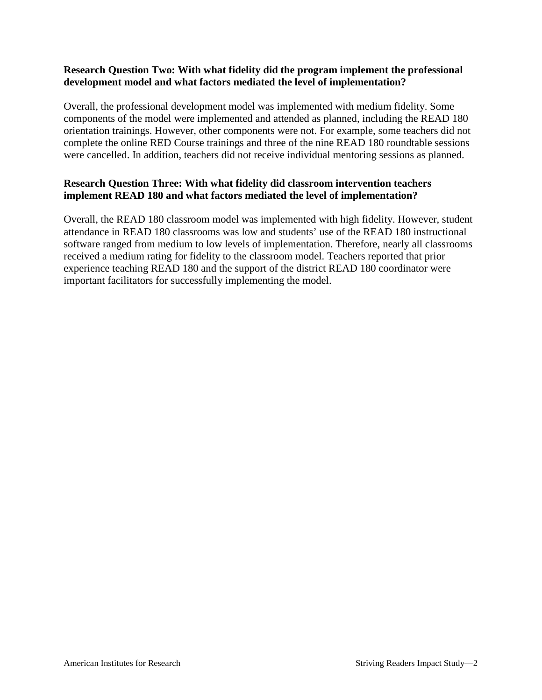## **Research Question Two: With what fidelity did the program implement the professional development model and what factors mediated the level of implementation?**

Overall, the professional development model was implemented with medium fidelity. Some components of the model were implemented and attended as planned, including the READ 180 orientation trainings. However, other components were not. For example, some teachers did not complete the online RED Course trainings and three of the nine READ 180 roundtable sessions were cancelled. In addition, teachers did not receive individual mentoring sessions as planned.

## **Research Question Three: With what fidelity did classroom intervention teachers implement READ 180 and what factors mediated the level of implementation?**

Overall, the READ 180 classroom model was implemented with high fidelity. However, student attendance in READ 180 classrooms was low and students' use of the READ 180 instructional software ranged from medium to low levels of implementation. Therefore, nearly all classrooms received a medium rating for fidelity to the classroom model. Teachers reported that prior experience teaching READ 180 and the support of the district READ 180 coordinator were important facilitators for successfully implementing the model.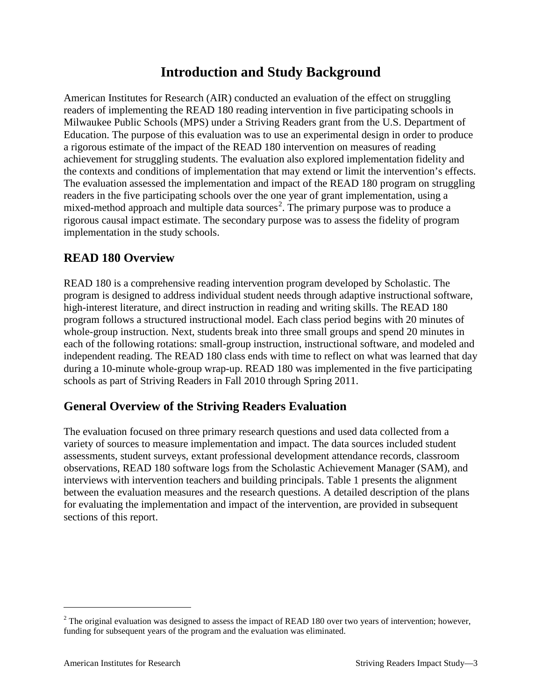## **Introduction and Study Background**

American Institutes for Research (AIR) conducted an evaluation of the effect on struggling readers of implementing the READ 180 reading intervention in five participating schools in Milwaukee Public Schools (MPS) under a Striving Readers grant from the U.S. Department of Education. The purpose of this evaluation was to use an experimental design in order to produce a rigorous estimate of the impact of the READ 180 intervention on measures of reading achievement for struggling students. The evaluation also explored implementation fidelity and the contexts and conditions of implementation that may extend or limit the intervention's effects. The evaluation assessed the implementation and impact of the READ 180 program on struggling readers in the five participating schools over the one year of grant implementation, using a mixed-method approach and multiple data sources<sup>[2](#page-6-0)</sup>. The primary purpose was to produce a rigorous causal impact estimate. The secondary purpose was to assess the fidelity of program implementation in the study schools.

## **READ 180 Overview**

READ 180 is a comprehensive reading intervention program developed by Scholastic. The program is designed to address individual student needs through adaptive instructional software, high-interest literature, and direct instruction in reading and writing skills. The READ 180 program follows a structured instructional model. Each class period begins with 20 minutes of whole-group instruction. Next, students break into three small groups and spend 20 minutes in each of the following rotations: small-group instruction, instructional software, and modeled and independent reading. The READ 180 class ends with time to reflect on what was learned that day during a 10-minute whole-group wrap-up. READ 180 was implemented in the five participating schools as part of Striving Readers in Fall 2010 through Spring 2011.

## **General Overview of the Striving Readers Evaluation**

The evaluation focused on three primary research questions and used data collected from a variety of sources to measure implementation and impact. The data sources included student assessments, student surveys, extant professional development attendance records, classroom observations, READ 180 software logs from the Scholastic Achievement Manager (SAM), and interviews with intervention teachers and building principals. Table 1 presents the alignment between the evaluation measures and the research questions. A detailed description of the plans for evaluating the implementation and impact of the intervention, are provided in subsequent sections of this report.

<span id="page-6-0"></span> $2$  The original evaluation was designed to assess the impact of READ 180 over two years of intervention; however, funding for subsequent years of the program and the evaluation was eliminated.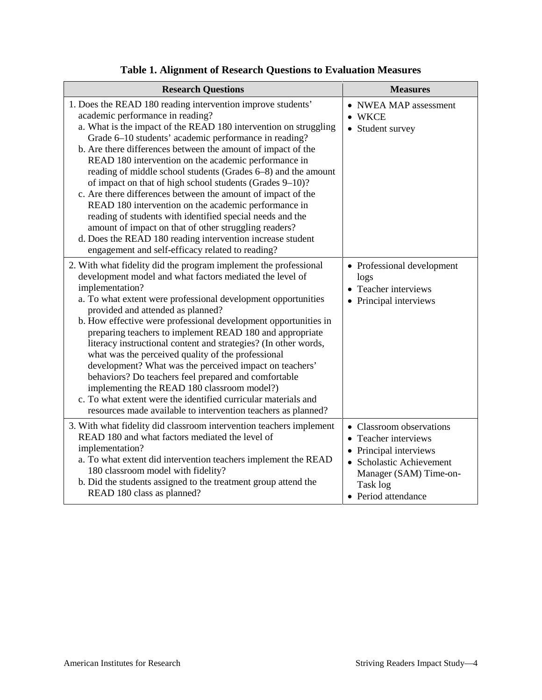| <b>Research Questions</b>                                                                                                                                                                                                                                                                                                                                                                                                                                                                                                                                                                                                                                                                                                                                                                                                                         | <b>Measures</b>                                                                                                                                                     |
|---------------------------------------------------------------------------------------------------------------------------------------------------------------------------------------------------------------------------------------------------------------------------------------------------------------------------------------------------------------------------------------------------------------------------------------------------------------------------------------------------------------------------------------------------------------------------------------------------------------------------------------------------------------------------------------------------------------------------------------------------------------------------------------------------------------------------------------------------|---------------------------------------------------------------------------------------------------------------------------------------------------------------------|
| 1. Does the READ 180 reading intervention improve students'<br>academic performance in reading?<br>a. What is the impact of the READ 180 intervention on struggling<br>Grade 6-10 students' academic performance in reading?<br>b. Are there differences between the amount of impact of the<br>READ 180 intervention on the academic performance in<br>reading of middle school students (Grades 6–8) and the amount<br>of impact on that of high school students (Grades 9-10)?<br>c. Are there differences between the amount of impact of the<br>READ 180 intervention on the academic performance in<br>reading of students with identified special needs and the<br>amount of impact on that of other struggling readers?<br>d. Does the READ 180 reading intervention increase student<br>engagement and self-efficacy related to reading? | • NWEA MAP assessment<br><b>WKCE</b><br>• Student survey                                                                                                            |
| 2. With what fidelity did the program implement the professional<br>development model and what factors mediated the level of<br>implementation?<br>a. To what extent were professional development opportunities<br>provided and attended as planned?<br>b. How effective were professional development opportunities in<br>preparing teachers to implement READ 180 and appropriate<br>literacy instructional content and strategies? (In other words,<br>what was the perceived quality of the professional<br>development? What was the perceived impact on teachers'<br>behaviors? Do teachers feel prepared and comfortable<br>implementing the READ 180 classroom model?)<br>c. To what extent were the identified curricular materials and<br>resources made available to intervention teachers as planned?                                | • Professional development<br>logs<br>Teacher interviews<br>Principal interviews                                                                                    |
| 3. With what fidelity did classroom intervention teachers implement<br>READ 180 and what factors mediated the level of<br>implementation?<br>a. To what extent did intervention teachers implement the READ<br>180 classroom model with fidelity?<br>b. Did the students assigned to the treatment group attend the<br>READ 180 class as planned?                                                                                                                                                                                                                                                                                                                                                                                                                                                                                                 | • Classroom observations<br>• Teacher interviews<br>• Principal interviews<br>• Scholastic Achievement<br>Manager (SAM) Time-on-<br>Task log<br>• Period attendance |

## **Table 1. Alignment of Research Questions to Evaluation Measures**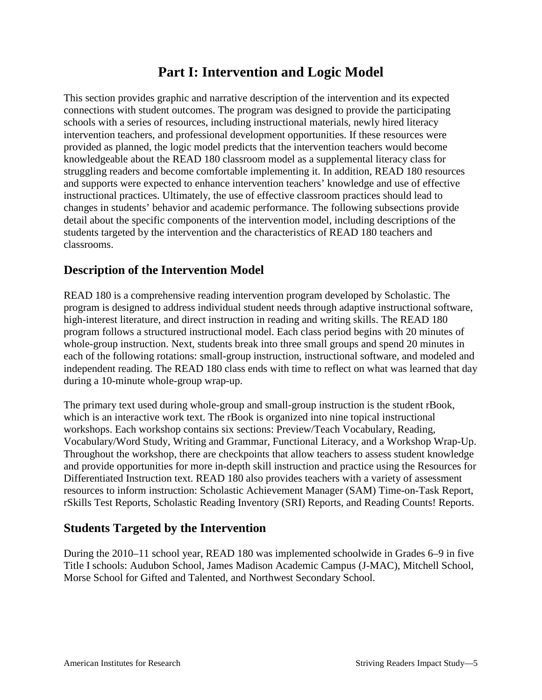## **Part I: Intervention and Logic Model**

This section provides graphic and narrative description of the intervention and its expected connections with student outcomes. The program was designed to provide the participating schools with a series of resources, including instructional materials, newly hired literacy intervention teachers, and professional development opportunities. If these resources were provided as planned, the logic model predicts that the intervention teachers would become knowledgeable about the READ 180 classroom model as a supplemental literacy class for struggling readers and become comfortable implementing it. In addition, READ 180 resources and supports were expected to enhance intervention teachers' knowledge and use of effective instructional practices. Ultimately, the use of effective classroom practices should lead to changes in students' behavior and academic performance. The following subsections provide detail about the specific components of the intervention model, including descriptions of the students targeted by the intervention and the characteristics of READ 180 teachers and classrooms.

## **Description of the Intervention Model**

READ 180 is a comprehensive reading intervention program developed by Scholastic. The program is designed to address individual student needs through adaptive instructional software, high-interest literature, and direct instruction in reading and writing skills. The READ 180 program follows a structured instructional model. Each class period begins with 20 minutes of whole-group instruction. Next, students break into three small groups and spend 20 minutes in each of the following rotations: small-group instruction, instructional software, and modeled and independent reading. The READ 180 class ends with time to reflect on what was learned that day during a 10-minute whole-group wrap-up.

The primary text used during whole-group and small-group instruction is the student rBook, which is an interactive work text. The rBook is organized into nine topical instructional workshops. Each workshop contains six sections: Preview/Teach Vocabulary, Reading, Vocabulary/Word Study, Writing and Grammar, Functional Literacy, and a Workshop Wrap-Up. Throughout the workshop, there are checkpoints that allow teachers to assess student knowledge and provide opportunities for more in-depth skill instruction and practice using the Resources for Differentiated Instruction text. READ 180 also provides teachers with a variety of assessment resources to inform instruction: Scholastic Achievement Manager (SAM) Time-on-Task Report, rSkills Test Reports, Scholastic Reading Inventory (SRI) Reports, and Reading Counts! Reports.

## **Students Targeted by the Intervention**

During the 2010–11 school year, READ 180 was implemented schoolwide in Grades 6–9 in five Title I schools: Audubon School, James Madison Academic Campus (J-MAC), Mitchell School, Morse School for Gifted and Talented, and Northwest Secondary School.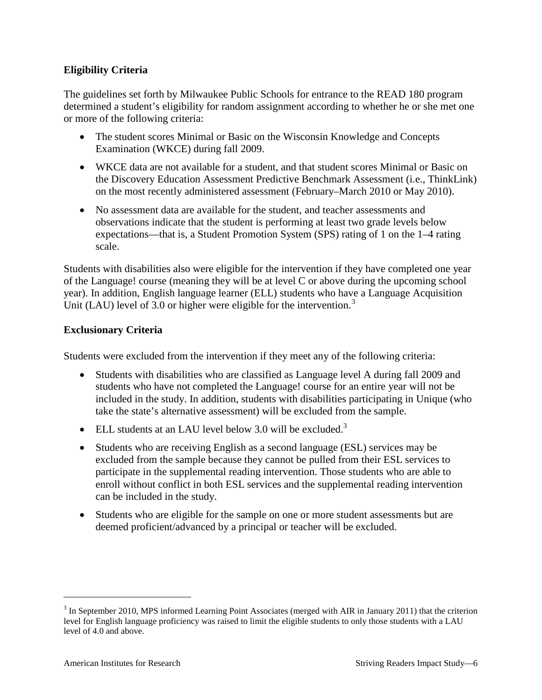## **Eligibility Criteria**

The guidelines set forth by Milwaukee Public Schools for entrance to the READ 180 program determined a student's eligibility for random assignment according to whether he or she met one or more of the following criteria:

- The student scores Minimal or Basic on the Wisconsin Knowledge and Concepts Examination (WKCE) during fall 2009.
- WKCE data are not available for a student, and that student scores Minimal or Basic on the Discovery Education Assessment Predictive Benchmark Assessment (i.e., ThinkLink) on the most recently administered assessment (February–March 2010 or May 2010).
- No assessment data are available for the student, and teacher assessments and observations indicate that the student is performing at least two grade levels below expectations—that is, a Student Promotion System (SPS) rating of 1 on the 1–4 rating scale.

Students with disabilities also were eligible for the intervention if they have completed one year of the Language! course (meaning they will be at level C or above during the upcoming school year). In addition, English language learner (ELL) students who have a Language Acquisition Unit (LAU) level of [3](#page-9-0).0 or higher were eligible for the intervention.<sup>3</sup>

## **Exclusionary Criteria**

Students were excluded from the intervention if they meet any of the following criteria:

- Students with disabilities who are classified as Language level A during fall 2009 and students who have not completed the Language! course for an entire year will not be included in the study. In addition, students with disabilities participating in Unique (who take the state's alternative assessment) will be excluded from the sample.
- ELL students at an LAU level below 3.0 will be excluded.<sup>3</sup>
- Students who are receiving English as a second language (ESL) services may be excluded from the sample because they cannot be pulled from their ESL services to participate in the supplemental reading intervention. Those students who are able to enroll without conflict in both ESL services and the supplemental reading intervention can be included in the study.
- Students who are eligible for the sample on one or more student assessments but are deemed proficient/advanced by a principal or teacher will be excluded.

<span id="page-9-0"></span><sup>&</sup>lt;sup>3</sup> In September 2010, MPS informed Learning Point Associates (merged with AIR in January 2011) that the criterion level for English language proficiency was raised to limit the eligible students to only those students with a LAU level of 4.0 and above.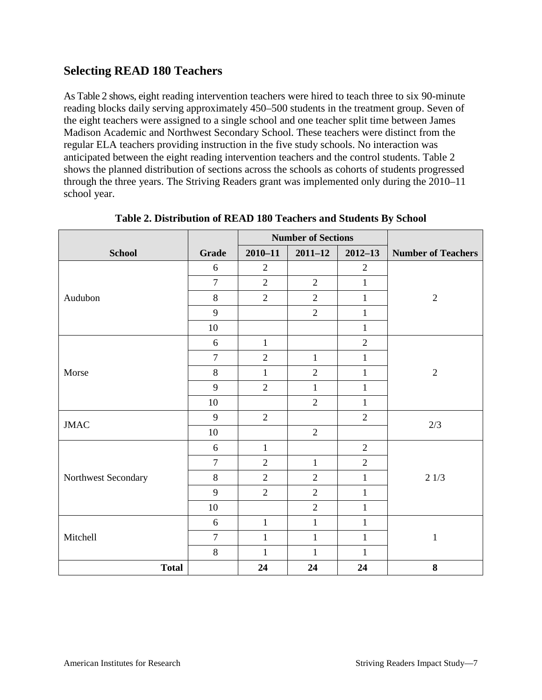## **Selecting READ 180 Teachers**

As Table 2 shows, eight reading intervention teachers were hired to teach three to six 90-minute reading blocks daily serving approximately 450–500 students in the treatment group. Seven of the eight teachers were assigned to a single school and one teacher split time between James Madison Academic and Northwest Secondary School. These teachers were distinct from the regular ELA teachers providing instruction in the five study schools. No interaction was anticipated between the eight reading intervention teachers and the control students. Table 2 shows the planned distribution of sections across the schools as cohorts of students progressed through the three years. The Striving Readers grant was implemented only during the 2010–11 school year.

|                     |                  |                | <b>Number of Sections</b> |                |                           |
|---------------------|------------------|----------------|---------------------------|----------------|---------------------------|
| <b>School</b>       | Grade            | $2010 - 11$    | $2011 - 12$               | $2012 - 13$    | <b>Number of Teachers</b> |
|                     | $6\,$            | $\overline{2}$ |                           | $\overline{2}$ |                           |
|                     | $\overline{7}$   | $\overline{2}$ | $\overline{2}$            | $\mathbf{1}$   |                           |
| Audubon             | $8\,$            | $\overline{2}$ | $\overline{2}$            | $\mathbf{1}$   | $\sqrt{2}$                |
|                     | 9                |                | $\overline{2}$            | $\mathbf{1}$   |                           |
|                     | 10               |                |                           | $\mathbf{1}$   |                           |
|                     | 6                | $\mathbf{1}$   |                           | $\overline{2}$ |                           |
|                     | $\boldsymbol{7}$ | $\overline{2}$ | $\mathbf{1}$              | $\mathbf{1}$   |                           |
| Morse               | $8\,$            | $\mathbf{1}$   | $\overline{2}$            | $\mathbf 1$    | $\sqrt{2}$                |
|                     | 9                | $\overline{2}$ | $\mathbf{1}$              | $\mathbf{1}$   |                           |
|                     | $10\,$           |                | $\overline{2}$            | $\mathbf{1}$   |                           |
| <b>JMAC</b>         | 9                | $\overline{2}$ |                           | $\overline{2}$ | 2/3                       |
|                     | $10\,$           |                | $\overline{2}$            |                |                           |
|                     | 6                | $\mathbf{1}$   |                           | $\mathbf{2}$   |                           |
|                     | $\tau$           | $\overline{2}$ | $\mathbf{1}$              | $\overline{2}$ |                           |
| Northwest Secondary | $8\,$            | $\overline{2}$ | $\overline{2}$            | $\mathbf{1}$   | 21/3                      |
|                     | 9                | $\overline{2}$ | $\overline{2}$            | $\mathbf{1}$   |                           |
|                     | $10\,$           |                | $\overline{2}$            | $\mathbf{1}$   |                           |
|                     | 6                | $\mathbf{1}$   | $\mathbf{1}$              | $\mathbf{1}$   |                           |
| Mitchell            | $\overline{7}$   | $\mathbf{1}$   | $\mathbf{1}$              | $\mathbf{1}$   | $\mathbf 1$               |
|                     | $8\,$            | $\mathbf{1}$   | $\mathbf{1}$              | $\mathbf{1}$   |                           |
| <b>Total</b>        |                  | 24             | 24                        | 24             | 8                         |

**Table 2. Distribution of READ 180 Teachers and Students By School**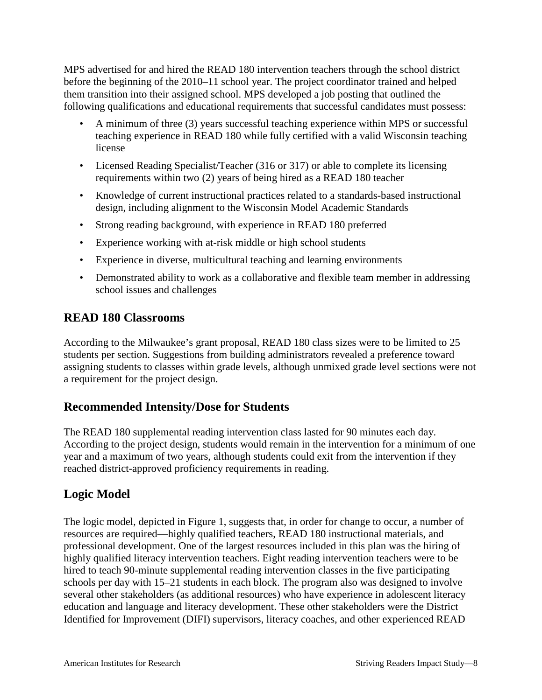MPS advertised for and hired the READ 180 intervention teachers through the school district before the beginning of the 2010–11 school year. The project coordinator trained and helped them transition into their assigned school. MPS developed a job posting that outlined the following qualifications and educational requirements that successful candidates must possess:

- A minimum of three (3) years successful teaching experience within MPS or successful teaching experience in READ 180 while fully certified with a valid Wisconsin teaching license
- Licensed Reading Specialist/Teacher (316 or 317) or able to complete its licensing requirements within two (2) years of being hired as a READ 180 teacher
- Knowledge of current instructional practices related to a standards-based instructional design, including alignment to the Wisconsin Model Academic Standards
- Strong reading background, with experience in READ 180 preferred
- Experience working with at-risk middle or high school students
- Experience in diverse, multicultural teaching and learning environments
- Demonstrated ability to work as a collaborative and flexible team member in addressing school issues and challenges

## **READ 180 Classrooms**

According to the Milwaukee's grant proposal, READ 180 class sizes were to be limited to 25 students per section. Suggestions from building administrators revealed a preference toward assigning students to classes within grade levels, although unmixed grade level sections were not a requirement for the project design.

## **Recommended Intensity/Dose for Students**

The READ 180 supplemental reading intervention class lasted for 90 minutes each day. According to the project design, students would remain in the intervention for a minimum of one year and a maximum of two years, although students could exit from the intervention if they reached district-approved proficiency requirements in reading.

## **Logic Model**

The logic model, depicted in Figure 1, suggests that, in order for change to occur, a number of resources are required—highly qualified teachers, READ 180 instructional materials, and professional development. One of the largest resources included in this plan was the hiring of highly qualified literacy intervention teachers. Eight reading intervention teachers were to be hired to teach 90-minute supplemental reading intervention classes in the five participating schools per day with 15–21 students in each block. The program also was designed to involve several other stakeholders (as additional resources) who have experience in adolescent literacy education and language and literacy development. These other stakeholders were the District Identified for Improvement (DIFI) supervisors, literacy coaches, and other experienced READ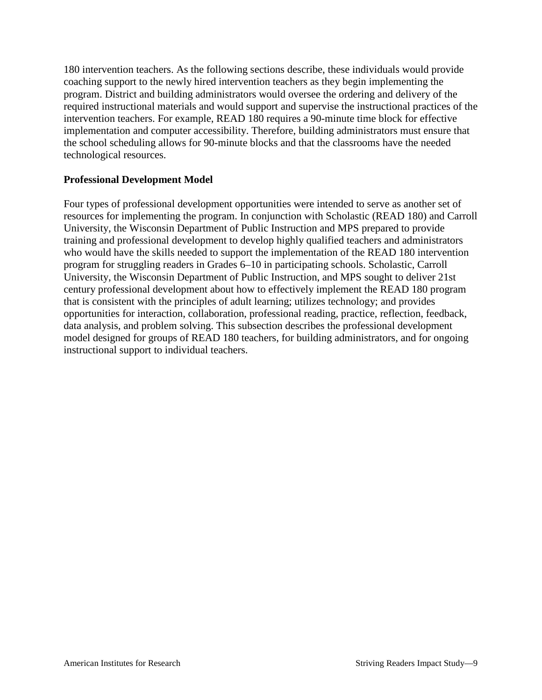180 intervention teachers. As the following sections describe, these individuals would provide coaching support to the newly hired intervention teachers as they begin implementing the program. District and building administrators would oversee the ordering and delivery of the required instructional materials and would support and supervise the instructional practices of the intervention teachers. For example, READ 180 requires a 90-minute time block for effective implementation and computer accessibility. Therefore, building administrators must ensure that the school scheduling allows for 90-minute blocks and that the classrooms have the needed technological resources.

## **Professional Development Model**

Four types of professional development opportunities were intended to serve as another set of resources for implementing the program. In conjunction with Scholastic (READ 180) and Carroll University, the Wisconsin Department of Public Instruction and MPS prepared to provide training and professional development to develop highly qualified teachers and administrators who would have the skills needed to support the implementation of the READ 180 intervention program for struggling readers in Grades 6–10 in participating schools. Scholastic, Carroll University, the Wisconsin Department of Public Instruction, and MPS sought to deliver 21st century professional development about how to effectively implement the READ 180 program that is consistent with the principles of adult learning; utilizes technology; and provides opportunities for interaction, collaboration, professional reading, practice, reflection, feedback, data analysis, and problem solving. This subsection describes the professional development model designed for groups of READ 180 teachers, for building administrators, and for ongoing instructional support to individual teachers.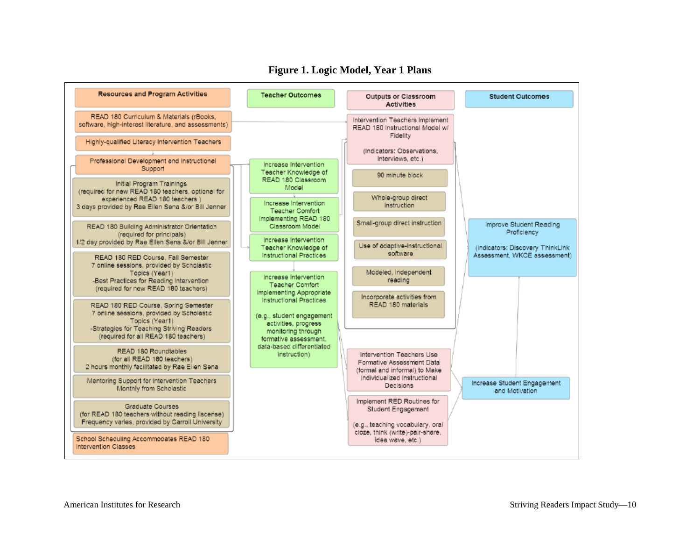#### **Figure 1. Logic Model, Year 1 Plans**

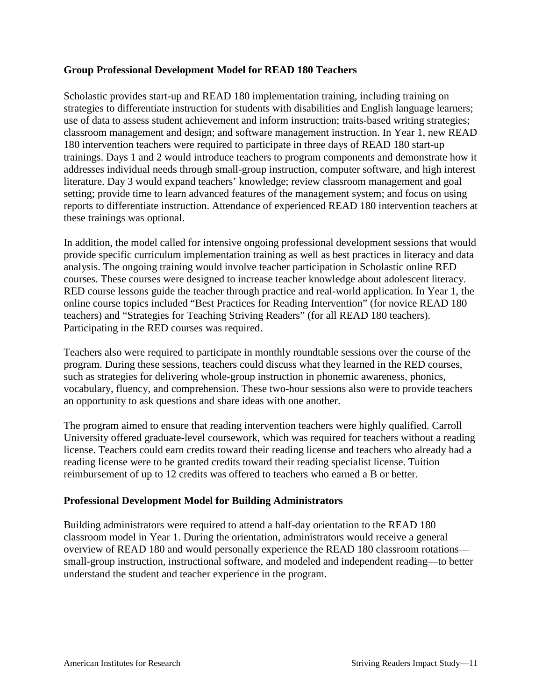## **Group Professional Development Model for READ 180 Teachers**

Scholastic provides start-up and READ 180 implementation training, including training on strategies to differentiate instruction for students with disabilities and English language learners; use of data to assess student achievement and inform instruction; traits-based writing strategies; classroom management and design; and software management instruction. In Year 1, new READ 180 intervention teachers were required to participate in three days of READ 180 start-up trainings. Days 1 and 2 would introduce teachers to program components and demonstrate how it addresses individual needs through small-group instruction, computer software, and high interest literature. Day 3 would expand teachers' knowledge; review classroom management and goal setting; provide time to learn advanced features of the management system; and focus on using reports to differentiate instruction. Attendance of experienced READ 180 intervention teachers at these trainings was optional.

In addition, the model called for intensive ongoing professional development sessions that would provide specific curriculum implementation training as well as best practices in literacy and data analysis. The ongoing training would involve teacher participation in Scholastic online RED courses. These courses were designed to increase teacher knowledge about adolescent literacy. RED course lessons guide the teacher through practice and real-world application. In Year 1, the online course topics included "Best Practices for Reading Intervention" (for novice READ 180 teachers) and "Strategies for Teaching Striving Readers" (for all READ 180 teachers). Participating in the RED courses was required.

Teachers also were required to participate in monthly roundtable sessions over the course of the program. During these sessions, teachers could discuss what they learned in the RED courses, such as strategies for delivering whole-group instruction in phonemic awareness, phonics, vocabulary, fluency, and comprehension. These two-hour sessions also were to provide teachers an opportunity to ask questions and share ideas with one another.

The program aimed to ensure that reading intervention teachers were highly qualified. Carroll University offered graduate-level coursework, which was required for teachers without a reading license. Teachers could earn credits toward their reading license and teachers who already had a reading license were to be granted credits toward their reading specialist license. Tuition reimbursement of up to 12 credits was offered to teachers who earned a B or better.

#### **Professional Development Model for Building Administrators**

Building administrators were required to attend a half-day orientation to the READ 180 classroom model in Year 1. During the orientation, administrators would receive a general overview of READ 180 and would personally experience the READ 180 classroom rotations small-group instruction, instructional software, and modeled and independent reading—to better understand the student and teacher experience in the program.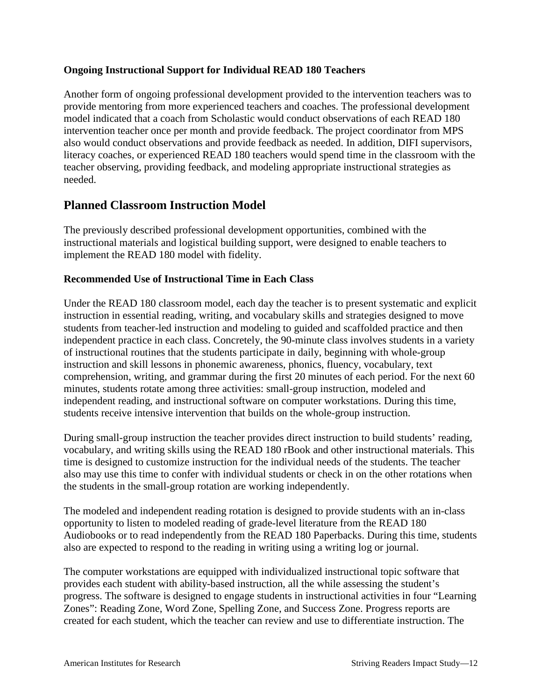## **Ongoing Instructional Support for Individual READ 180 Teachers**

Another form of ongoing professional development provided to the intervention teachers was to provide mentoring from more experienced teachers and coaches. The professional development model indicated that a coach from Scholastic would conduct observations of each READ 180 intervention teacher once per month and provide feedback. The project coordinator from MPS also would conduct observations and provide feedback as needed. In addition, DIFI supervisors, literacy coaches, or experienced READ 180 teachers would spend time in the classroom with the teacher observing, providing feedback, and modeling appropriate instructional strategies as needed.

## **Planned Classroom Instruction Model**

The previously described professional development opportunities, combined with the instructional materials and logistical building support, were designed to enable teachers to implement the READ 180 model with fidelity.

## **Recommended Use of Instructional Time in Each Class**

Under the READ 180 classroom model, each day the teacher is to present systematic and explicit instruction in essential reading, writing, and vocabulary skills and strategies designed to move students from teacher-led instruction and modeling to guided and scaffolded practice and then independent practice in each class. Concretely, the 90-minute class involves students in a variety of instructional routines that the students participate in daily, beginning with whole-group instruction and skill lessons in phonemic awareness, phonics, fluency, vocabulary, text comprehension, writing, and grammar during the first 20 minutes of each period. For the next 60 minutes, students rotate among three activities: small-group instruction, modeled and independent reading, and instructional software on computer workstations. During this time, students receive intensive intervention that builds on the whole-group instruction.

During small-group instruction the teacher provides direct instruction to build students' reading, vocabulary, and writing skills using the READ 180 rBook and other instructional materials. This time is designed to customize instruction for the individual needs of the students. The teacher also may use this time to confer with individual students or check in on the other rotations when the students in the small-group rotation are working independently.

The modeled and independent reading rotation is designed to provide students with an in-class opportunity to listen to modeled reading of grade-level literature from the READ 180 Audiobooks or to read independently from the READ 180 Paperbacks. During this time, students also are expected to respond to the reading in writing using a writing log or journal.

The computer workstations are equipped with individualized instructional topic software that provides each student with ability-based instruction, all the while assessing the student's progress. The software is designed to engage students in instructional activities in four "Learning Zones": Reading Zone, Word Zone, Spelling Zone, and Success Zone. Progress reports are created for each student, which the teacher can review and use to differentiate instruction. The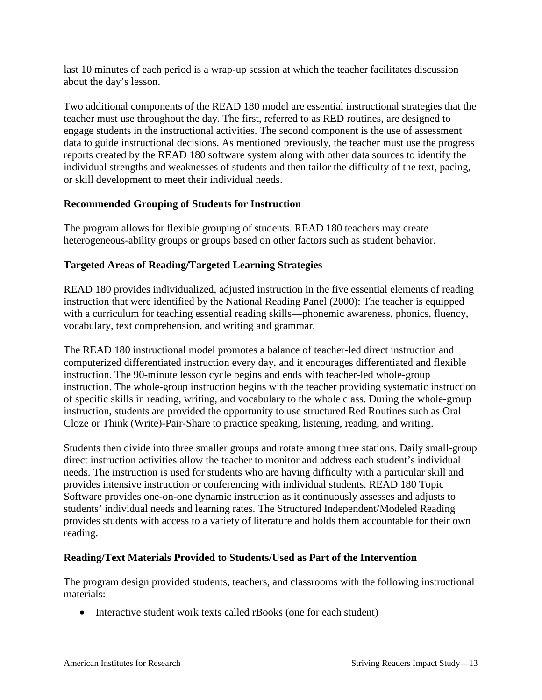last 10 minutes of each period is a wrap-up session at which the teacher facilitates discussion about the day's lesson.

Two additional components of the READ 180 model are essential instructional strategies that the teacher must use throughout the day. The first, referred to as RED routines, are designed to engage students in the instructional activities. The second component is the use of assessment data to guide instructional decisions. As mentioned previously, the teacher must use the progress reports created by the READ 180 software system along with other data sources to identify the individual strengths and weaknesses of students and then tailor the difficulty of the text, pacing, or skill development to meet their individual needs.

## **Recommended Grouping of Students for Instruction**

The program allows for flexible grouping of students. READ 180 teachers may create heterogeneous-ability groups or groups based on other factors such as student behavior.

## **Targeted Areas of Reading/Targeted Learning Strategies**

READ 180 provides individualized, adjusted instruction in the five essential elements of reading instruction that were identified by the National Reading Panel (2000): The teacher is equipped with a curriculum for teaching essential reading skills—phonemic awareness, phonics, fluency, vocabulary, text comprehension, and writing and grammar.

The READ 180 instructional model promotes a balance of teacher-led direct instruction and computerized differentiated instruction every day, and it encourages differentiated and flexible instruction. The 90-minute lesson cycle begins and ends with teacher-led whole-group instruction. The whole-group instruction begins with the teacher providing systematic instruction of specific skills in reading, writing, and vocabulary to the whole class. During the whole-group instruction, students are provided the opportunity to use structured Red Routines such as Oral Cloze or Think (Write)-Pair-Share to practice speaking, listening, reading, and writing.

Students then divide into three smaller groups and rotate among three stations. Daily small-group direct instruction activities allow the teacher to monitor and address each student's individual needs. The instruction is used for students who are having difficulty with a particular skill and provides intensive instruction or conferencing with individual students. READ 180 Topic Software provides one-on-one dynamic instruction as it continuously assesses and adjusts to students' individual needs and learning rates. The Structured Independent/Modeled Reading provides students with access to a variety of literature and holds them accountable for their own reading.

## **Reading/Text Materials Provided to Students/Used as Part of the Intervention**

The program design provided students, teachers, and classrooms with the following instructional materials:

• Interactive student work texts called rBooks (one for each student)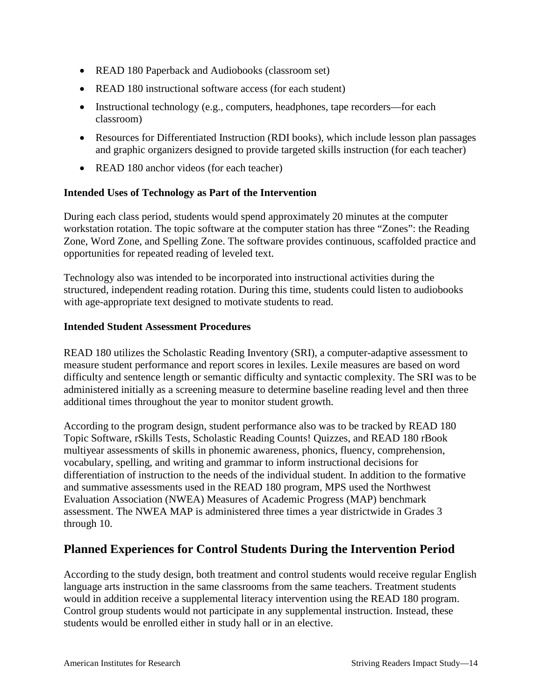- READ 180 Paperback and Audiobooks (classroom set)
- READ 180 instructional software access (for each student)
- Instructional technology (e.g., computers, headphones, tape recorders—for each classroom)
- Resources for Differentiated Instruction (RDI books), which include lesson plan passages and graphic organizers designed to provide targeted skills instruction (for each teacher)
- READ 180 anchor videos (for each teacher)

## **Intended Uses of Technology as Part of the Intervention**

During each class period, students would spend approximately 20 minutes at the computer workstation rotation. The topic software at the computer station has three "Zones": the Reading Zone, Word Zone, and Spelling Zone. The software provides continuous, scaffolded practice and opportunities for repeated reading of leveled text.

Technology also was intended to be incorporated into instructional activities during the structured, independent reading rotation. During this time, students could listen to audiobooks with age-appropriate text designed to motivate students to read.

## **Intended Student Assessment Procedures**

READ 180 utilizes the Scholastic Reading Inventory (SRI), a computer-adaptive assessment to measure student performance and report scores in lexiles. Lexile measures are based on word difficulty and sentence length or semantic difficulty and syntactic complexity. The SRI was to be administered initially as a screening measure to determine baseline reading level and then three additional times throughout the year to monitor student growth.

According to the program design, student performance also was to be tracked by READ 180 Topic Software, rSkills Tests, Scholastic Reading Counts! Quizzes, and READ 180 rBook multiyear assessments of skills in phonemic awareness, phonics, fluency, comprehension, vocabulary, spelling, and writing and grammar to inform instructional decisions for differentiation of instruction to the needs of the individual student. In addition to the formative and summative assessments used in the READ 180 program, MPS used the Northwest Evaluation Association (NWEA) Measures of Academic Progress (MAP) benchmark assessment. The NWEA MAP is administered three times a year districtwide in Grades 3 through 10.

## **Planned Experiences for Control Students During the Intervention Period**

According to the study design, both treatment and control students would receive regular English language arts instruction in the same classrooms from the same teachers. Treatment students would in addition receive a supplemental literacy intervention using the READ 180 program. Control group students would not participate in any supplemental instruction. Instead, these students would be enrolled either in study hall or in an elective.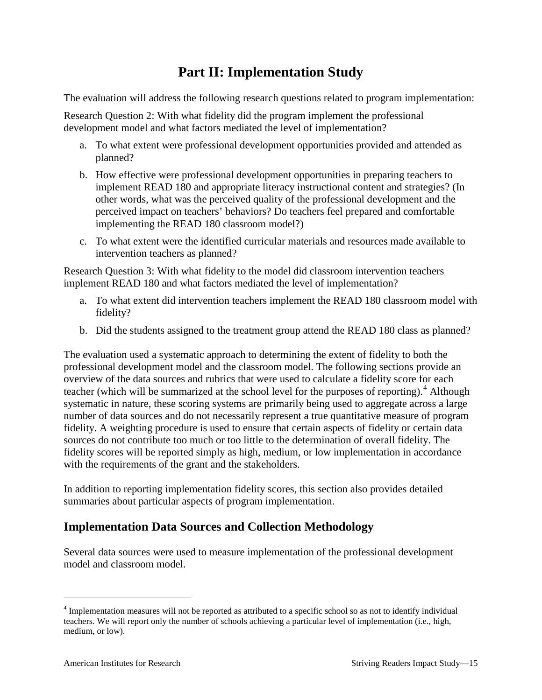# **Part II: Implementation Study**

The evaluation will address the following research questions related to program implementation:

Research Question 2: With what fidelity did the program implement the professional development model and what factors mediated the level of implementation?

- a. To what extent were professional development opportunities provided and attended as planned?
- b. How effective were professional development opportunities in preparing teachers to implement READ 180 and appropriate literacy instructional content and strategies? (In other words, what was the perceived quality of the professional development and the perceived impact on teachers' behaviors? Do teachers feel prepared and comfortable implementing the READ 180 classroom model?)
- c. To what extent were the identified curricular materials and resources made available to intervention teachers as planned?

Research Question 3: With what fidelity to the model did classroom intervention teachers implement READ 180 and what factors mediated the level of implementation?

- a. To what extent did intervention teachers implement the READ 180 classroom model with fidelity?
- b. Did the students assigned to the treatment group attend the READ 180 class as planned?

The evaluation used a systematic approach to determining the extent of fidelity to both the professional development model and the classroom model. The following sections provide an overview of the data sources and rubrics that were used to calculate a fidelity score for each teacher (which will be summarized at the school level for the purposes of reporting).<sup>[4](#page-18-0)</sup> Although systematic in nature, these scoring systems are primarily being used to aggregate across a large number of data sources and do not necessarily represent a true quantitative measure of program fidelity. A weighting procedure is used to ensure that certain aspects of fidelity or certain data sources do not contribute too much or too little to the determination of overall fidelity. The fidelity scores will be reported simply as high, medium, or low implementation in accordance with the requirements of the grant and the stakeholders.

In addition to reporting implementation fidelity scores, this section also provides detailed summaries about particular aspects of program implementation.

## **Implementation Data Sources and Collection Methodology**

Several data sources were used to measure implementation of the professional development model and classroom model.

<span id="page-18-0"></span> <sup>4</sup> Implementation measures will not be reported as attributed to a specific school so as not to identify individual teachers. We will report only the number of schools achieving a particular level of implementation (i.e., high, medium, or low).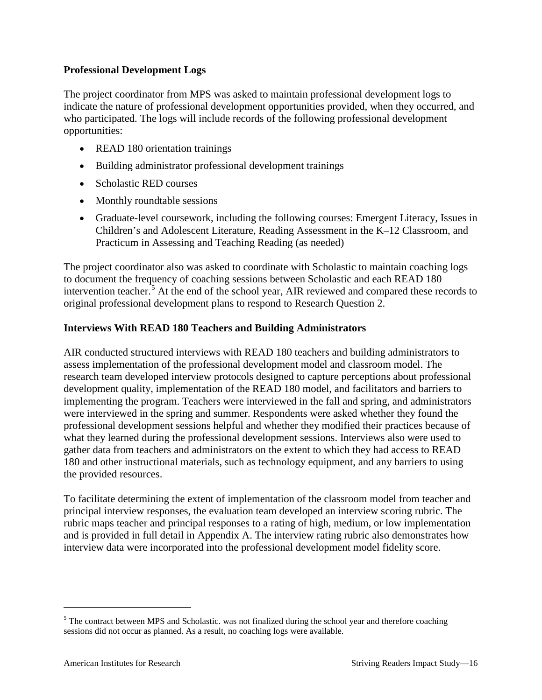## **Professional Development Logs**

The project coordinator from MPS was asked to maintain professional development logs to indicate the nature of professional development opportunities provided, when they occurred, and who participated. The logs will include records of the following professional development opportunities:

- READ 180 orientation trainings
- Building administrator professional development trainings
- Scholastic RED courses
- Monthly roundtable sessions
- Graduate-level coursework, including the following courses: Emergent Literacy, Issues in Children's and Adolescent Literature, Reading Assessment in the K–12 Classroom, and Practicum in Assessing and Teaching Reading (as needed)

The project coordinator also was asked to coordinate with Scholastic to maintain coaching logs to document the frequency of coaching sessions between Scholastic and each READ 180 intervention teacher.<sup>[5](#page-19-0)</sup> At the end of the school year, AIR reviewed and compared these records to original professional development plans to respond to Research Question 2.

## **Interviews With READ 180 Teachers and Building Administrators**

AIR conducted structured interviews with READ 180 teachers and building administrators to assess implementation of the professional development model and classroom model. The research team developed interview protocols designed to capture perceptions about professional development quality, implementation of the READ 180 model, and facilitators and barriers to implementing the program. Teachers were interviewed in the fall and spring, and administrators were interviewed in the spring and summer. Respondents were asked whether they found the professional development sessions helpful and whether they modified their practices because of what they learned during the professional development sessions. Interviews also were used to gather data from teachers and administrators on the extent to which they had access to READ 180 and other instructional materials, such as technology equipment, and any barriers to using the provided resources.

To facilitate determining the extent of implementation of the classroom model from teacher and principal interview responses, the evaluation team developed an interview scoring rubric. The rubric maps teacher and principal responses to a rating of high, medium, or low implementation and is provided in full detail in Appendix A. The interview rating rubric also demonstrates how interview data were incorporated into the professional development model fidelity score.

<span id="page-19-0"></span><sup>&</sup>lt;sup>5</sup> The contract between MPS and Scholastic. was not finalized during the school year and therefore coaching sessions did not occur as planned. As a result, no coaching logs were available.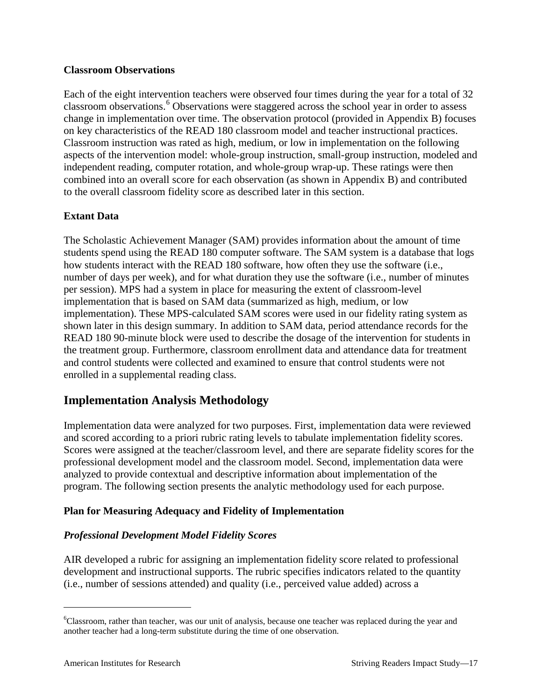## **Classroom Observations**

Each of the eight intervention teachers were observed four times during the year for a total of 32 classroom observations.<sup>[6](#page-20-0)</sup> Observations were staggered across the school year in order to assess change in implementation over time. The observation protocol (provided in Appendix B) focuses on key characteristics of the READ 180 classroom model and teacher instructional practices. Classroom instruction was rated as high, medium, or low in implementation on the following aspects of the intervention model: whole-group instruction, small-group instruction, modeled and independent reading, computer rotation, and whole-group wrap-up. These ratings were then combined into an overall score for each observation (as shown in Appendix B) and contributed to the overall classroom fidelity score as described later in this section.

## **Extant Data**

The Scholastic Achievement Manager (SAM) provides information about the amount of time students spend using the READ 180 computer software. The SAM system is a database that logs how students interact with the READ 180 software, how often they use the software (i.e., number of days per week), and for what duration they use the software (i.e., number of minutes per session). MPS had a system in place for measuring the extent of classroom-level implementation that is based on SAM data (summarized as high, medium, or low implementation). These MPS-calculated SAM scores were used in our fidelity rating system as shown later in this design summary. In addition to SAM data, period attendance records for the READ 180 90-minute block were used to describe the dosage of the intervention for students in the treatment group. Furthermore, classroom enrollment data and attendance data for treatment and control students were collected and examined to ensure that control students were not enrolled in a supplemental reading class.

## **Implementation Analysis Methodology**

Implementation data were analyzed for two purposes. First, implementation data were reviewed and scored according to a priori rubric rating levels to tabulate implementation fidelity scores. Scores were assigned at the teacher/classroom level, and there are separate fidelity scores for the professional development model and the classroom model. Second, implementation data were analyzed to provide contextual and descriptive information about implementation of the program. The following section presents the analytic methodology used for each purpose.

## **Plan for Measuring Adequacy and Fidelity of Implementation**

## *Professional Development Model Fidelity Scores*

AIR developed a rubric for assigning an implementation fidelity score related to professional development and instructional supports. The rubric specifies indicators related to the quantity (i.e., number of sessions attended) and quality (i.e., perceived value added) across a

<span id="page-20-0"></span> <sup>6</sup> <sup>6</sup>Classroom, rather than teacher, was our unit of analysis, because one teacher was replaced during the year and another teacher had a long-term substitute during the time of one observation.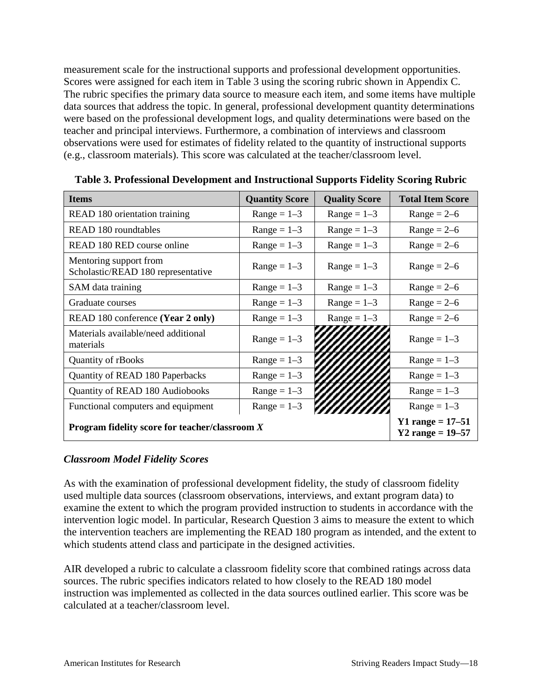measurement scale for the instructional supports and professional development opportunities. Scores were assigned for each item in Table 3 using the scoring rubric shown in Appendix C. The rubric specifies the primary data source to measure each item, and some items have multiple data sources that address the topic. In general, professional development quantity determinations were based on the professional development logs, and quality determinations were based on the teacher and principal interviews. Furthermore, a combination of interviews and classroom observations were used for estimates of fidelity related to the quantity of instructional supports (e.g., classroom materials). This score was calculated at the teacher/classroom level.

| <b>Items</b>                                                 | <b>Quantity Score</b>                        | <b>Quality Score</b> | <b>Total Item Score</b> |
|--------------------------------------------------------------|----------------------------------------------|----------------------|-------------------------|
| READ 180 orientation training                                | $Range = 1-3$                                | $Range = 1-3$        | $Range = 2-6$           |
| <b>READ 180</b> roundtables                                  | $Range = 1-3$                                | $Range = 1-3$        | $Range = 2-6$           |
| READ 180 RED course online                                   | $Range = 1-3$                                | $Range = 1-3$        | $Range = 2-6$           |
| Mentoring support from<br>Scholastic/READ 180 representative | $Range = 1-3$                                | $Range = 1-3$        | $Range = 2-6$           |
| SAM data training                                            | $Range = 1-3$                                | $Range = 1-3$        | $Range = 2-6$           |
| Graduate courses                                             | $Range = 1-3$                                | $Range = 1-3$        | $Range = 2-6$           |
| READ 180 conference (Year 2 only)                            | $Range = 1-3$                                | $Range = 1-3$        | $Range = 2-6$           |
| Materials available/need additional<br>materials             | $Range = 1-3$                                |                      | $Range = 1-3$           |
| Quantity of rBooks                                           | $Range = 1-3$                                |                      | $Range = 1-3$           |
| Quantity of READ 180 Paperbacks                              | $Range = 1-3$                                |                      | $Range = 1-3$           |
| Quantity of READ 180 Audiobooks                              | $Range = 1-3$                                |                      | $Range = 1-3$           |
| Functional computers and equipment                           | $Range = 1-3$                                |                      | $Range = 1-3$           |
| Program fidelity score for teacher/classroom $X$             | Y1 range = $17 - 51$<br>Y2 range = $19 - 57$ |                      |                         |

**Table 3. Professional Development and Instructional Supports Fidelity Scoring Rubric**

## *Classroom Model Fidelity Scores*

As with the examination of professional development fidelity, the study of classroom fidelity used multiple data sources (classroom observations, interviews, and extant program data) to examine the extent to which the program provided instruction to students in accordance with the intervention logic model. In particular, Research Question 3 aims to measure the extent to which the intervention teachers are implementing the READ 180 program as intended, and the extent to which students attend class and participate in the designed activities.

AIR developed a rubric to calculate a classroom fidelity score that combined ratings across data sources. The rubric specifies indicators related to how closely to the READ 180 model instruction was implemented as collected in the data sources outlined earlier. This score was be calculated at a teacher/classroom level.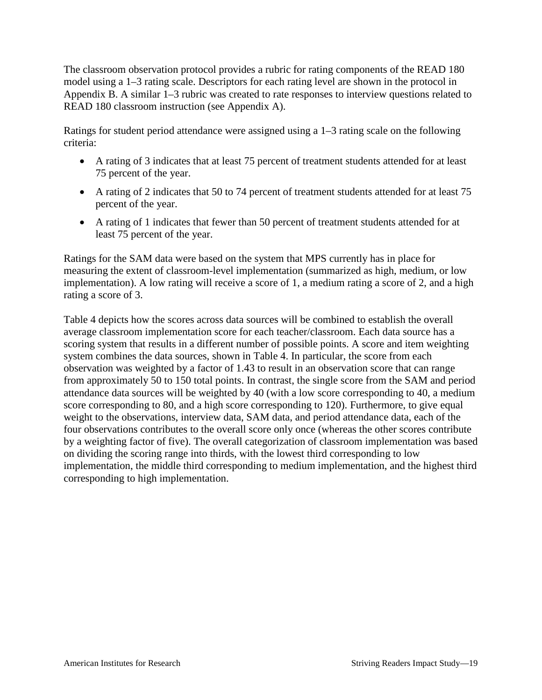The classroom observation protocol provides a rubric for rating components of the READ 180 model using a 1–3 rating scale. Descriptors for each rating level are shown in the protocol in Appendix B. A similar 1–3 rubric was created to rate responses to interview questions related to READ 180 classroom instruction (see Appendix A).

Ratings for student period attendance were assigned using a 1–3 rating scale on the following criteria:

- A rating of 3 indicates that at least 75 percent of treatment students attended for at least 75 percent of the year.
- A rating of 2 indicates that 50 to 74 percent of treatment students attended for at least 75 percent of the year.
- A rating of 1 indicates that fewer than 50 percent of treatment students attended for at least 75 percent of the year.

Ratings for the SAM data were based on the system that MPS currently has in place for measuring the extent of classroom-level implementation (summarized as high, medium, or low implementation). A low rating will receive a score of 1, a medium rating a score of 2, and a high rating a score of 3.

Table 4 depicts how the scores across data sources will be combined to establish the overall average classroom implementation score for each teacher/classroom. Each data source has a scoring system that results in a different number of possible points. A score and item weighting system combines the data sources, shown in Table 4. In particular, the score from each observation was weighted by a factor of 1.43 to result in an observation score that can range from approximately 50 to 150 total points. In contrast, the single score from the SAM and period attendance data sources will be weighted by 40 (with a low score corresponding to 40, a medium score corresponding to 80, and a high score corresponding to 120). Furthermore, to give equal weight to the observations, interview data, SAM data, and period attendance data, each of the four observations contributes to the overall score only once (whereas the other scores contribute by a weighting factor of five). The overall categorization of classroom implementation was based on dividing the scoring range into thirds, with the lowest third corresponding to low implementation, the middle third corresponding to medium implementation, and the highest third corresponding to high implementation.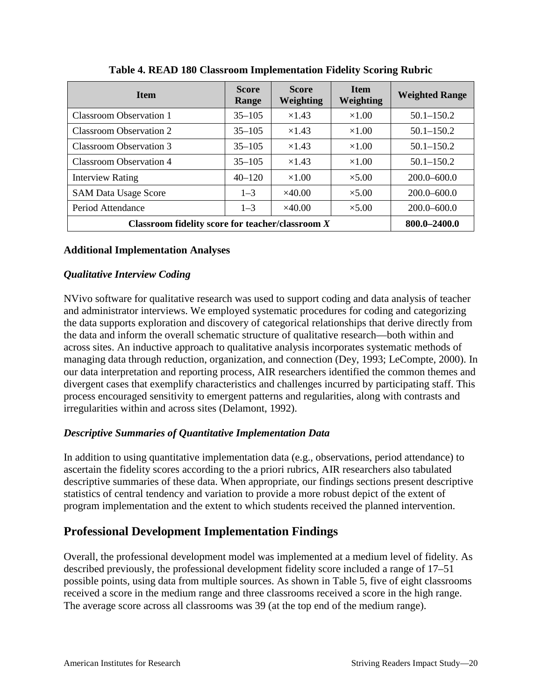| <b>Item</b>                                        | <b>Score</b><br>Range | <b>Score</b><br>Weighting | <b>Item</b><br>Weighting | <b>Weighted Range</b> |
|----------------------------------------------------|-----------------------|---------------------------|--------------------------|-----------------------|
| Classroom Observation 1                            | $35 - 105$            | $\times$ 1.43             | $\times1.00$             | $50.1 - 150.2$        |
| <b>Classroom Observation 2</b>                     | $35 - 105$            | $\times$ 1.43             | $\times1.00$             | $50.1 - 150.2$        |
| Classroom Observation 3                            | $35 - 105$            | $\times$ 1.43             | $\times1.00$             | $50.1 - 150.2$        |
| <b>Classroom Observation 4</b>                     | $35 - 105$            | $\times$ 1.43             | $\times1.00$             | $50.1 - 150.2$        |
| <b>Interview Rating</b>                            | $40 - 120$            | $\times1.00$              | $\times$ 5.00            | $200.0 - 600.0$       |
| <b>SAM Data Usage Score</b>                        | $1 - 3$               | $\times$ 40.00            | $\times$ 5.00            | $200.0 - 600.0$       |
| Period Attendance                                  | $1 - 3$               | $\times$ 40.00            | $\times$ 5.00            | $200.0 - 600.0$       |
| Classroom fidelity score for teacher/classroom $X$ | 800.0-2400.0          |                           |                          |                       |

**Table 4. READ 180 Classroom Implementation Fidelity Scoring Rubric**

## **Additional Implementation Analyses**

## *Qualitative Interview Coding*

NVivo software for qualitative research was used to support coding and data analysis of teacher and administrator interviews. We employed systematic procedures for coding and categorizing the data supports exploration and discovery of categorical relationships that derive directly from the data and inform the overall schematic structure of qualitative research—both within and across sites. An inductive approach to qualitative analysis incorporates systematic methods of managing data through reduction, organization, and connection (Dey, 1993; LeCompte, 2000). In our data interpretation and reporting process, AIR researchers identified the common themes and divergent cases that exemplify characteristics and challenges incurred by participating staff. This process encouraged sensitivity to emergent patterns and regularities, along with contrasts and irregularities within and across sites (Delamont, 1992).

## *Descriptive Summaries of Quantitative Implementation Data*

In addition to using quantitative implementation data (e.g., observations, period attendance) to ascertain the fidelity scores according to the a priori rubrics, AIR researchers also tabulated descriptive summaries of these data. When appropriate, our findings sections present descriptive statistics of central tendency and variation to provide a more robust depict of the extent of program implementation and the extent to which students received the planned intervention.

## **Professional Development Implementation Findings**

Overall, the professional development model was implemented at a medium level of fidelity. As described previously, the professional development fidelity score included a range of 17–51 possible points, using data from multiple sources. As shown in Table 5, five of eight classrooms received a score in the medium range and three classrooms received a score in the high range. The average score across all classrooms was 39 (at the top end of the medium range).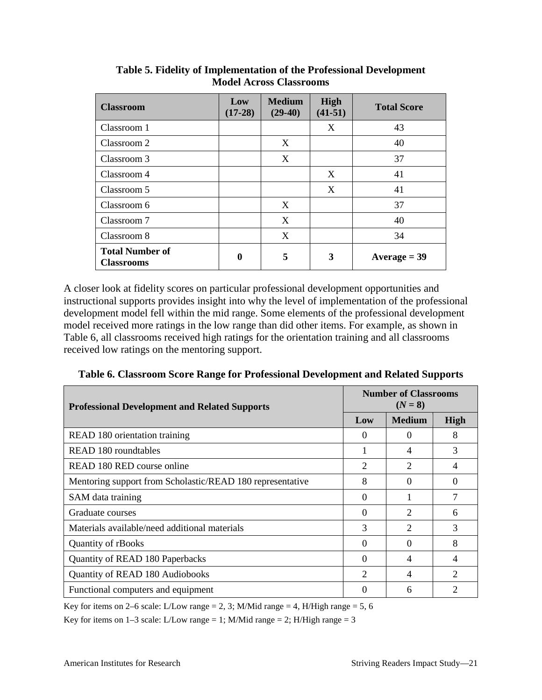| <b>Classroom</b>                            | Low<br>$(17-28)$ | <b>Medium</b><br>$(29-40)$ | High<br>$(41-51)$ | <b>Total Score</b> |
|---------------------------------------------|------------------|----------------------------|-------------------|--------------------|
| Classroom 1                                 |                  |                            | X                 | 43                 |
| Classroom 2                                 |                  | X                          |                   | 40                 |
| Classroom 3                                 |                  | X                          |                   | 37                 |
| Classroom 4                                 |                  |                            | X                 | 41                 |
| Classroom 5                                 |                  |                            | X                 | 41                 |
| Classroom 6                                 |                  | X                          |                   | 37                 |
| Classroom 7                                 |                  | X                          |                   | 40                 |
| Classroom 8                                 |                  | X                          |                   | 34                 |
| <b>Total Number of</b><br><b>Classrooms</b> | $\boldsymbol{0}$ | 5                          | 3                 | $Average = 39$     |

**Table 5. Fidelity of Implementation of the Professional Development Model Across Classrooms**

A closer look at fidelity scores on particular professional development opportunities and instructional supports provides insight into why the level of implementation of the professional development model fell within the mid range. Some elements of the professional development model received more ratings in the low range than did other items. For example, as shown in Table 6, all classrooms received high ratings for the orientation training and all classrooms received low ratings on the mentoring support.

| <b>Professional Development and Related Supports</b>      | <b>Number of Classrooms</b><br>$(N = 8)$ |               |                |  |  |
|-----------------------------------------------------------|------------------------------------------|---------------|----------------|--|--|
|                                                           | Low                                      | <b>Medium</b> | High           |  |  |
| READ 180 orientation training                             | $\Omega$                                 | $\Omega$      | 8              |  |  |
| READ 180 roundtables                                      |                                          | 4             | 3              |  |  |
| READ 180 RED course online                                | 2                                        | 2             | 4              |  |  |
| Mentoring support from Scholastic/READ 180 representative | 8                                        | 0             | $\Omega$       |  |  |
| SAM data training                                         | 0                                        |               | 7              |  |  |
| Graduate courses                                          | 0                                        | 2             | 6              |  |  |
| Materials available/need additional materials             | 3                                        | 2             | 3              |  |  |
| <b>Quantity of rBooks</b>                                 | $\Omega$                                 | 0             | 8              |  |  |
| Quantity of READ 180 Paperbacks                           | 0                                        | 4             | 4              |  |  |
| Quantity of READ 180 Audiobooks                           | 2                                        | 4             | $\overline{c}$ |  |  |
| Functional computers and equipment                        | 0                                        | 6             | 2              |  |  |

**Table 6. Classroom Score Range for Professional Development and Related Supports**

Key for items on 2–6 scale: L/Low range = 2, 3; M/Mid range = 4, H/High range = 5, 6

Key for items on  $1-3$  scale: L/Low range = 1; M/Mid range = 2; H/High range = 3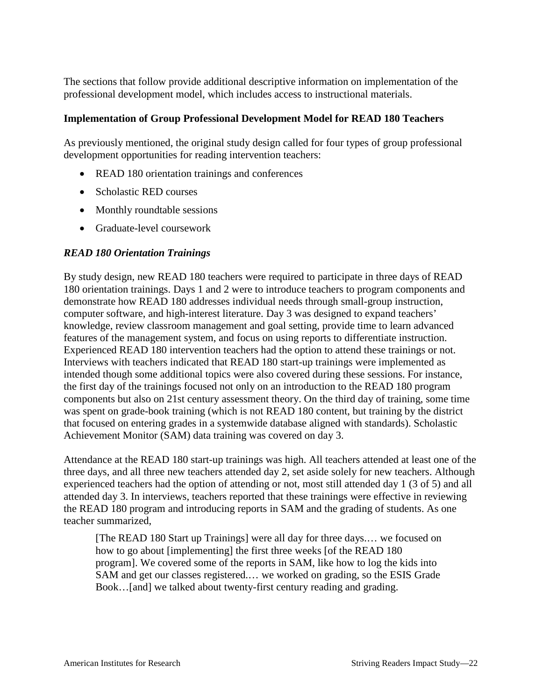The sections that follow provide additional descriptive information on implementation of the professional development model, which includes access to instructional materials.

#### **Implementation of Group Professional Development Model for READ 180 Teachers**

As previously mentioned, the original study design called for four types of group professional development opportunities for reading intervention teachers:

- READ 180 orientation trainings and conferences
- Scholastic RED courses
- Monthly roundtable sessions
- Graduate-level coursework

## *READ 180 Orientation Trainings*

By study design, new READ 180 teachers were required to participate in three days of READ 180 orientation trainings. Days 1 and 2 were to introduce teachers to program components and demonstrate how READ 180 addresses individual needs through small-group instruction, computer software, and high-interest literature. Day 3 was designed to expand teachers' knowledge, review classroom management and goal setting, provide time to learn advanced features of the management system, and focus on using reports to differentiate instruction. Experienced READ 180 intervention teachers had the option to attend these trainings or not. Interviews with teachers indicated that READ 180 start-up trainings were implemented as intended though some additional topics were also covered during these sessions. For instance, the first day of the trainings focused not only on an introduction to the READ 180 program components but also on 21st century assessment theory. On the third day of training, some time was spent on grade-book training (which is not READ 180 content, but training by the district that focused on entering grades in a systemwide database aligned with standards). Scholastic Achievement Monitor (SAM) data training was covered on day 3.

Attendance at the READ 180 start-up trainings was high. All teachers attended at least one of the three days, and all three new teachers attended day 2, set aside solely for new teachers. Although experienced teachers had the option of attending or not, most still attended day 1 (3 of 5) and all attended day 3. In interviews, teachers reported that these trainings were effective in reviewing the READ 180 program and introducing reports in SAM and the grading of students. As one teacher summarized,

[The READ 180 Start up Trainings] were all day for three days.... we focused on how to go about [implementing] the first three weeks [of the READ 180 program]. We covered some of the reports in SAM, like how to log the kids into SAM and get our classes registered.… we worked on grading, so the ESIS Grade Book…[and] we talked about twenty-first century reading and grading.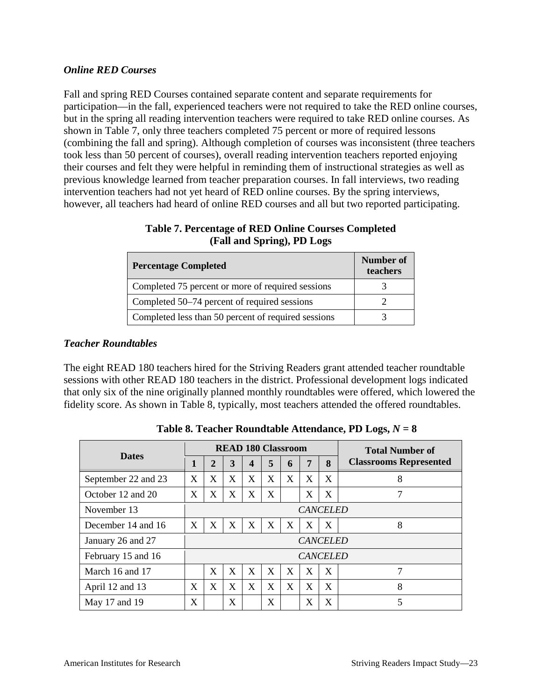## *Online RED Courses*

Fall and spring RED Courses contained separate content and separate requirements for participation—in the fall, experienced teachers were not required to take the RED online courses, but in the spring all reading intervention teachers were required to take RED online courses. As shown in Table 7, only three teachers completed 75 percent or more of required lessons (combining the fall and spring). Although completion of courses was inconsistent (three teachers took less than 50 percent of courses), overall reading intervention teachers reported enjoying their courses and felt they were helpful in reminding them of instructional strategies as well as previous knowledge learned from teacher preparation courses. In fall interviews, two reading intervention teachers had not yet heard of RED online courses. By the spring interviews, however, all teachers had heard of online RED courses and all but two reported participating.

| <b>Percentage Completed</b>                         | Number of<br>teachers |
|-----------------------------------------------------|-----------------------|
| Completed 75 percent or more of required sessions   |                       |
| Completed 50–74 percent of required sessions        |                       |
| Completed less than 50 percent of required sessions |                       |

**Table 7. Percentage of RED Online Courses Completed (Fall and Spring), PD Logs**

## *Teacher Roundtables*

The eight READ 180 teachers hired for the Striving Readers grant attended teacher roundtable sessions with other READ 180 teachers in the district. Professional development logs indicated that only six of the nine originally planned monthly roundtables were offered, which lowered the fidelity score. As shown in Table 8, typically, most teachers attended the offered roundtables.

|                     | <b>READ 180 Classroom</b> |             |   |                  |   |   |   | <b>Total Number of</b> |                               |
|---------------------|---------------------------|-------------|---|------------------|---|---|---|------------------------|-------------------------------|
| <b>Dates</b>        | 1                         | $\mathbf 2$ | 3 | $\boldsymbol{4}$ | 5 | 6 | 7 | $\mathbf{8}$           | <b>Classrooms Represented</b> |
| September 22 and 23 | X                         | X           | X | X                | X | X | X | X                      | 8                             |
| October 12 and 20   | X                         | X           | X | X                | X |   | X | X                      | 7                             |
| November 13         | <b>CANCELED</b>           |             |   |                  |   |   |   |                        |                               |
| December 14 and 16  | X                         | X           | X | X                | X | X | X | X                      | 8                             |
| January 26 and 27   | <b>CANCELED</b>           |             |   |                  |   |   |   |                        |                               |
| February 15 and 16  | <b>CANCELED</b>           |             |   |                  |   |   |   |                        |                               |
| March 16 and 17     |                           | X           | X | X                | X | X | X | X                      | 7                             |
| April 12 and 13     | X                         | X           | X | X                | X | X | X | X                      | 8                             |
| May 17 and 19       | X                         |             | X |                  | X |   | X | X                      | 5                             |

**Table 8. Teacher Roundtable Attendance, PD Logs,** *N* **= 8**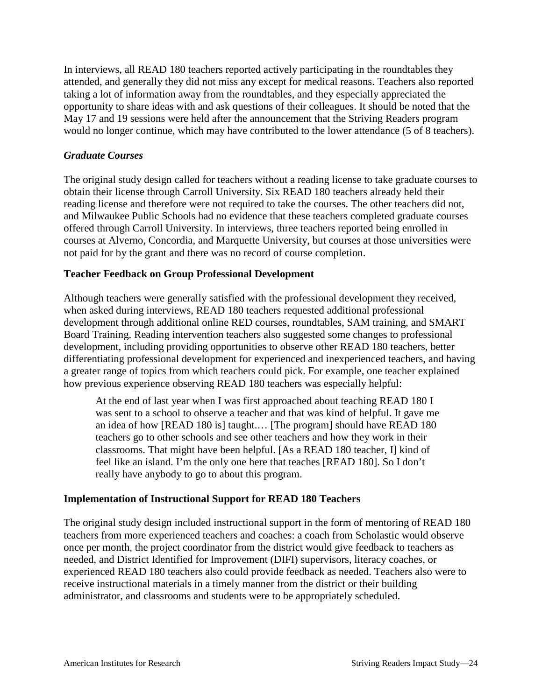In interviews, all READ 180 teachers reported actively participating in the roundtables they attended, and generally they did not miss any except for medical reasons. Teachers also reported taking a lot of information away from the roundtables, and they especially appreciated the opportunity to share ideas with and ask questions of their colleagues. It should be noted that the May 17 and 19 sessions were held after the announcement that the Striving Readers program would no longer continue, which may have contributed to the lower attendance (5 of 8 teachers).

#### *Graduate Courses*

The original study design called for teachers without a reading license to take graduate courses to obtain their license through Carroll University. Six READ 180 teachers already held their reading license and therefore were not required to take the courses. The other teachers did not, and Milwaukee Public Schools had no evidence that these teachers completed graduate courses offered through Carroll University. In interviews, three teachers reported being enrolled in courses at Alverno, Concordia, and Marquette University, but courses at those universities were not paid for by the grant and there was no record of course completion.

## **Teacher Feedback on Group Professional Development**

Although teachers were generally satisfied with the professional development they received, when asked during interviews, READ 180 teachers requested additional professional development through additional online RED courses, roundtables, SAM training, and SMART Board Training. Reading intervention teachers also suggested some changes to professional development, including providing opportunities to observe other READ 180 teachers, better differentiating professional development for experienced and inexperienced teachers, and having a greater range of topics from which teachers could pick. For example, one teacher explained how previous experience observing READ 180 teachers was especially helpful:

At the end of last year when I was first approached about teaching READ 180 I was sent to a school to observe a teacher and that was kind of helpful. It gave me an idea of how [READ 180 is] taught.… [The program] should have READ 180 teachers go to other schools and see other teachers and how they work in their classrooms. That might have been helpful. [As a READ 180 teacher, I] kind of feel like an island. I'm the only one here that teaches [READ 180]. So I don't really have anybody to go to about this program.

## **Implementation of Instructional Support for READ 180 Teachers**

The original study design included instructional support in the form of mentoring of READ 180 teachers from more experienced teachers and coaches: a coach from Scholastic would observe once per month, the project coordinator from the district would give feedback to teachers as needed, and District Identified for Improvement (DIFI) supervisors, literacy coaches, or experienced READ 180 teachers also could provide feedback as needed. Teachers also were to receive instructional materials in a timely manner from the district or their building administrator, and classrooms and students were to be appropriately scheduled.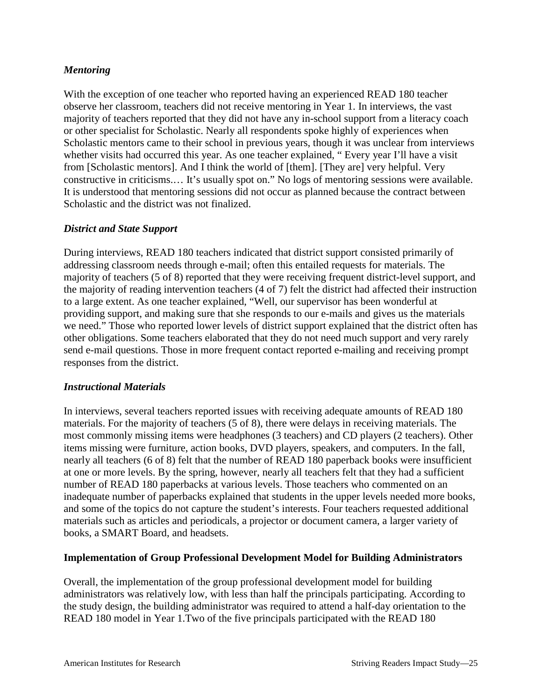## *Mentoring*

With the exception of one teacher who reported having an experienced READ 180 teacher observe her classroom, teachers did not receive mentoring in Year 1. In interviews, the vast majority of teachers reported that they did not have any in-school support from a literacy coach or other specialist for Scholastic. Nearly all respondents spoke highly of experiences when Scholastic mentors came to their school in previous years, though it was unclear from interviews whether visits had occurred this year. As one teacher explained, " Every year I'll have a visit from [Scholastic mentors]. And I think the world of [them]. [They are] very helpful. Very constructive in criticisms.… It's usually spot on." No logs of mentoring sessions were available. It is understood that mentoring sessions did not occur as planned because the contract between Scholastic and the district was not finalized.

## *District and State Support*

During interviews, READ 180 teachers indicated that district support consisted primarily of addressing classroom needs through e-mail; often this entailed requests for materials. The majority of teachers (5 of 8) reported that they were receiving frequent district-level support, and the majority of reading intervention teachers (4 of 7) felt the district had affected their instruction to a large extent. As one teacher explained, "Well, our supervisor has been wonderful at providing support, and making sure that she responds to our e-mails and gives us the materials we need." Those who reported lower levels of district support explained that the district often has other obligations. Some teachers elaborated that they do not need much support and very rarely send e-mail questions. Those in more frequent contact reported e-mailing and receiving prompt responses from the district.

#### *Instructional Materials*

In interviews, several teachers reported issues with receiving adequate amounts of READ 180 materials. For the majority of teachers (5 of 8), there were delays in receiving materials. The most commonly missing items were headphones (3 teachers) and CD players (2 teachers). Other items missing were furniture, action books, DVD players, speakers, and computers. In the fall, nearly all teachers (6 of 8) felt that the number of READ 180 paperback books were insufficient at one or more levels. By the spring, however, nearly all teachers felt that they had a sufficient number of READ 180 paperbacks at various levels. Those teachers who commented on an inadequate number of paperbacks explained that students in the upper levels needed more books, and some of the topics do not capture the student's interests. Four teachers requested additional materials such as articles and periodicals, a projector or document camera, a larger variety of books, a SMART Board, and headsets.

#### **Implementation of Group Professional Development Model for Building Administrators**

Overall, the implementation of the group professional development model for building administrators was relatively low, with less than half the principals participating. According to the study design, the building administrator was required to attend a half-day orientation to the READ 180 model in Year 1.Two of the five principals participated with the READ 180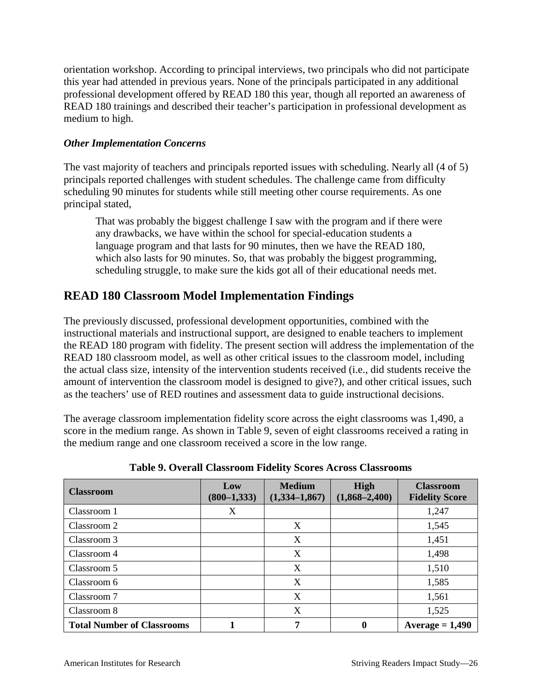orientation workshop. According to principal interviews, two principals who did not participate this year had attended in previous years. None of the principals participated in any additional professional development offered by READ 180 this year, though all reported an awareness of READ 180 trainings and described their teacher's participation in professional development as medium to high.

## *Other Implementation Concerns*

The vast majority of teachers and principals reported issues with scheduling. Nearly all (4 of 5) principals reported challenges with student schedules. The challenge came from difficulty scheduling 90 minutes for students while still meeting other course requirements. As one principal stated,

That was probably the biggest challenge I saw with the program and if there were any drawbacks, we have within the school for special-education students a language program and that lasts for 90 minutes, then we have the READ 180, which also lasts for 90 minutes. So, that was probably the biggest programming, scheduling struggle, to make sure the kids got all of their educational needs met.

## **READ 180 Classroom Model Implementation Findings**

The previously discussed, professional development opportunities, combined with the instructional materials and instructional support, are designed to enable teachers to implement the READ 180 program with fidelity. The present section will address the implementation of the READ 180 classroom model, as well as other critical issues to the classroom model, including the actual class size, intensity of the intervention students received (i.e., did students receive the amount of intervention the classroom model is designed to give?), and other critical issues, such as the teachers' use of RED routines and assessment data to guide instructional decisions.

The average classroom implementation fidelity score across the eight classrooms was 1,490, a score in the medium range. As shown in Table 9, seven of eight classrooms received a rating in the medium range and one classroom received a score in the low range.

| <b>Classroom</b>                  | Low<br>$(800-1,333)$ | <b>Medium</b><br>$(1,334-1,867)$ | High<br>$(1,868 - 2,400)$ | <b>Classroom</b><br><b>Fidelity Score</b> |
|-----------------------------------|----------------------|----------------------------------|---------------------------|-------------------------------------------|
| Classroom 1                       | X                    |                                  |                           | 1,247                                     |
| Classroom 2                       |                      | X                                |                           | 1,545                                     |
| Classroom 3                       |                      | X                                |                           | 1,451                                     |
| Classroom 4                       |                      | X                                |                           | 1,498                                     |
| Classroom 5                       |                      | X                                |                           | 1,510                                     |
| Classroom 6                       |                      | X                                |                           | 1,585                                     |
| Classroom 7                       |                      | X                                |                           | 1,561                                     |
| Classroom 8                       |                      | X                                |                           | 1,525                                     |
| <b>Total Number of Classrooms</b> |                      | 7                                | 0                         | Average $= 1,490$                         |

**Table 9. Overall Classroom Fidelity Scores Across Classrooms**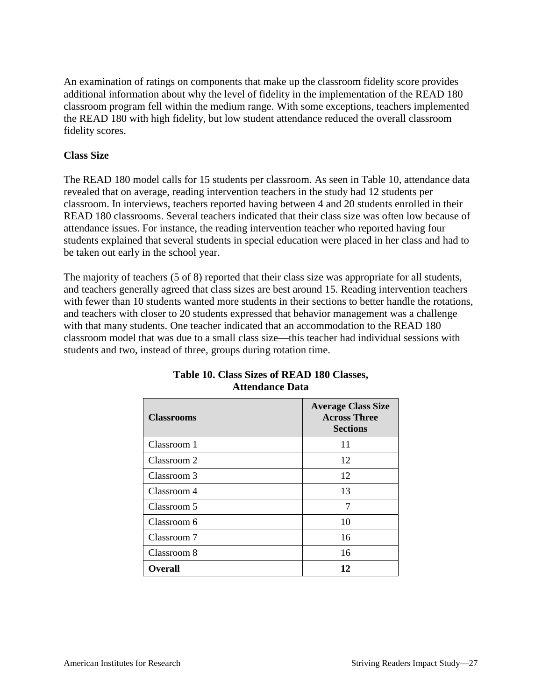An examination of ratings on components that make up the classroom fidelity score provides additional information about why the level of fidelity in the implementation of the READ 180 classroom program fell within the medium range. With some exceptions, teachers implemented the READ 180 with high fidelity, but low student attendance reduced the overall classroom fidelity scores.

#### **Class Size**

The READ 180 model calls for 15 students per classroom. As seen in Table 10, attendance data revealed that on average, reading intervention teachers in the study had 12 students per classroom. In interviews, teachers reported having between 4 and 20 students enrolled in their READ 180 classrooms. Several teachers indicated that their class size was often low because of attendance issues. For instance, the reading intervention teacher who reported having four students explained that several students in special education were placed in her class and had to be taken out early in the school year.

The majority of teachers (5 of 8) reported that their class size was appropriate for all students, and teachers generally agreed that class sizes are best around 15. Reading intervention teachers with fewer than 10 students wanted more students in their sections to better handle the rotations, and teachers with closer to 20 students expressed that behavior management was a challenge with that many students. One teacher indicated that an accommodation to the READ 180 classroom model that was due to a small class size—this teacher had individual sessions with students and two, instead of three, groups during rotation time.

| <b>Classrooms</b> | <b>Average Class Size</b><br><b>Across Three</b><br><b>Sections</b> |
|-------------------|---------------------------------------------------------------------|
| Classroom 1       | 11                                                                  |
| Classroom 2       | 12                                                                  |
| Classroom 3       | 12                                                                  |
| Classroom 4       | 13                                                                  |
| Classroom 5       | 7                                                                   |
| Classroom 6       | 10                                                                  |
| Classroom 7       | 16                                                                  |
| Classroom 8       | 16                                                                  |
| <b>Overall</b>    | 12                                                                  |

## **Table 10. Class Sizes of READ 180 Classes, Attendance Data**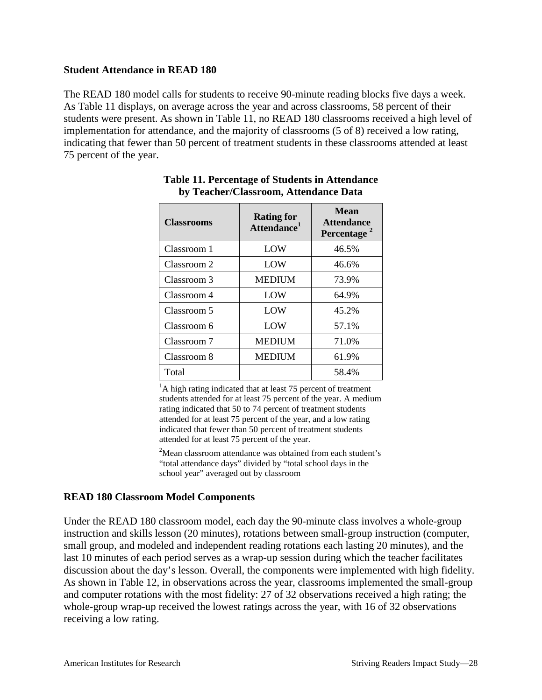#### **Student Attendance in READ 180**

The READ 180 model calls for students to receive 90-minute reading blocks five days a week. As Table 11 displays, on average across the year and across classrooms, 58 percent of their students were present. As shown in Table 11, no READ 180 classrooms received a high level of implementation for attendance, and the majority of classrooms (5 of 8) received a low rating, indicating that fewer than 50 percent of treatment students in these classrooms attended at least 75 percent of the year.

| <b>Classrooms</b> | <b>Rating for</b><br>Attendance <sup>1</sup> | <b>Mean</b><br><b>Attendance</b><br>Percentage |  |
|-------------------|----------------------------------------------|------------------------------------------------|--|
| Classroom 1       | LOW                                          | 46.5%                                          |  |
| Classroom 2       | LOW                                          | 46.6%                                          |  |
| Classroom 3       | <b>MEDIUM</b>                                | 73.9%                                          |  |
| Classroom 4       | LOW                                          | 64.9%                                          |  |
| Classroom 5       | LOW                                          | 45.2%                                          |  |
| Classroom 6       | LOW                                          | 57.1%                                          |  |
| Classroom 7       | <b>MEDIUM</b>                                | 71.0%                                          |  |
| Classroom 8       | <b>MEDIUM</b>                                | 61.9%                                          |  |
| Total             |                                              | 58.4%                                          |  |

## **Table 11. Percentage of Students in Attendance by Teacher/Classroom, Attendance Data**

<sup>1</sup>A high rating indicated that at least 75 percent of treatment students attended for at least 75 percent of the year. A medium rating indicated that 50 to 74 percent of treatment students attended for at least 75 percent of the year, and a low rating indicated that fewer than 50 percent of treatment students attended for at least 75 percent of the year.

<sup>2</sup>Mean classroom attendance was obtained from each student's "total attendance days" divided by "total school days in the school year" averaged out by classroom

#### **READ 180 Classroom Model Components**

Under the READ 180 classroom model, each day the 90-minute class involves a whole-group instruction and skills lesson (20 minutes), rotations between small-group instruction (computer, small group, and modeled and independent reading rotations each lasting 20 minutes), and the last 10 minutes of each period serves as a wrap-up session during which the teacher facilitates discussion about the day's lesson. Overall, the components were implemented with high fidelity. As shown in Table 12, in observations across the year, classrooms implemented the small-group and computer rotations with the most fidelity: 27 of 32 observations received a high rating; the whole-group wrap-up received the lowest ratings across the year, with 16 of 32 observations receiving a low rating.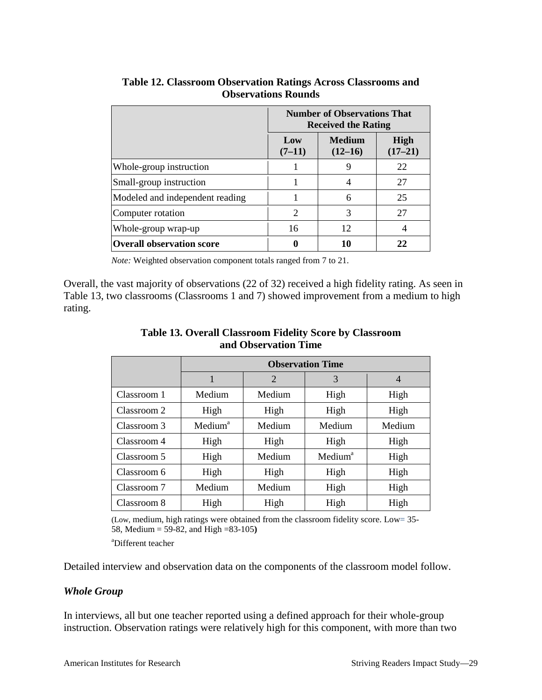|                                  | <b>Number of Observations That</b><br><b>Received the Rating</b> |                            |                          |
|----------------------------------|------------------------------------------------------------------|----------------------------|--------------------------|
|                                  | Low<br>$(7-11)$                                                  | <b>Medium</b><br>$(12-16)$ | <b>High</b><br>$(17-21)$ |
| Whole-group instruction          |                                                                  | 9                          | 22                       |
| Small-group instruction          |                                                                  |                            | 27                       |
| Modeled and independent reading  |                                                                  | 6                          | 25                       |
| Computer rotation                | $\mathcal{D}_{\mathcal{L}}$                                      | 3                          | 27                       |
| Whole-group wrap-up              | 16                                                               | 12                         | 4                        |
| <b>Overall observation score</b> |                                                                  | 10                         | 22                       |

**Table 12. Classroom Observation Ratings Across Classrooms and Observations Rounds**

*Note:* Weighted observation component totals ranged from 7 to 21.

Overall, the vast majority of observations (22 of 32) received a high fidelity rating. As seen in Table 13, two classrooms (Classrooms 1 and 7) showed improvement from a medium to high rating.

|             | <b>Observation Time</b> |        |                     |                |  |
|-------------|-------------------------|--------|---------------------|----------------|--|
|             |                         | 2      | 3                   | $\overline{4}$ |  |
| Classroom 1 | Medium                  | Medium | High                | High           |  |
| Classroom 2 | High                    | High   | High                | High           |  |
| Classroom 3 | Medium <sup>a</sup>     | Medium | Medium              | Medium         |  |
| Classroom 4 | High                    | High   | High                | High           |  |
| Classroom 5 | High                    | Medium | Medium <sup>a</sup> | High           |  |
| Classroom 6 | High                    | High   | High                | High           |  |
| Classroom 7 | Medium                  | Medium | High                | High           |  |
| Classroom 8 | High                    | High   | High                | High           |  |

**Table 13. Overall Classroom Fidelity Score by Classroom and Observation Time**

(Low, medium, high ratings were obtained from the classroom fidelity score. Low= 35- 58, Medium = 59-82, and High =83-105**)**

a Different teacher

Detailed interview and observation data on the components of the classroom model follow.

#### *Whole Group*

In interviews, all but one teacher reported using a defined approach for their whole-group instruction. Observation ratings were relatively high for this component, with more than two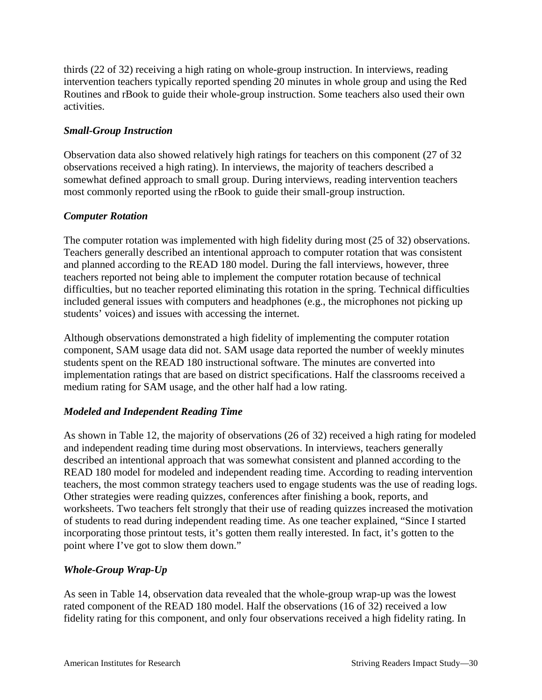thirds (22 of 32) receiving a high rating on whole-group instruction. In interviews, reading intervention teachers typically reported spending 20 minutes in whole group and using the Red Routines and rBook to guide their whole-group instruction. Some teachers also used their own activities.

## *Small-Group Instruction*

Observation data also showed relatively high ratings for teachers on this component (27 of 32 observations received a high rating). In interviews, the majority of teachers described a somewhat defined approach to small group. During interviews, reading intervention teachers most commonly reported using the rBook to guide their small-group instruction.

## *Computer Rotation*

The computer rotation was implemented with high fidelity during most (25 of 32) observations. Teachers generally described an intentional approach to computer rotation that was consistent and planned according to the READ 180 model. During the fall interviews, however, three teachers reported not being able to implement the computer rotation because of technical difficulties, but no teacher reported eliminating this rotation in the spring. Technical difficulties included general issues with computers and headphones (e.g., the microphones not picking up students' voices) and issues with accessing the internet.

Although observations demonstrated a high fidelity of implementing the computer rotation component, SAM usage data did not. SAM usage data reported the number of weekly minutes students spent on the READ 180 instructional software. The minutes are converted into implementation ratings that are based on district specifications. Half the classrooms received a medium rating for SAM usage, and the other half had a low rating.

## *Modeled and Independent Reading Time*

As shown in Table 12, the majority of observations (26 of 32) received a high rating for modeled and independent reading time during most observations. In interviews, teachers generally described an intentional approach that was somewhat consistent and planned according to the READ 180 model for modeled and independent reading time. According to reading intervention teachers, the most common strategy teachers used to engage students was the use of reading logs. Other strategies were reading quizzes, conferences after finishing a book, reports, and worksheets. Two teachers felt strongly that their use of reading quizzes increased the motivation of students to read during independent reading time. As one teacher explained, "Since I started incorporating those printout tests, it's gotten them really interested. In fact, it's gotten to the point where I've got to slow them down."

## *Whole-Group Wrap-Up*

As seen in Table 14, observation data revealed that the whole-group wrap-up was the lowest rated component of the READ 180 model. Half the observations (16 of 32) received a low fidelity rating for this component, and only four observations received a high fidelity rating. In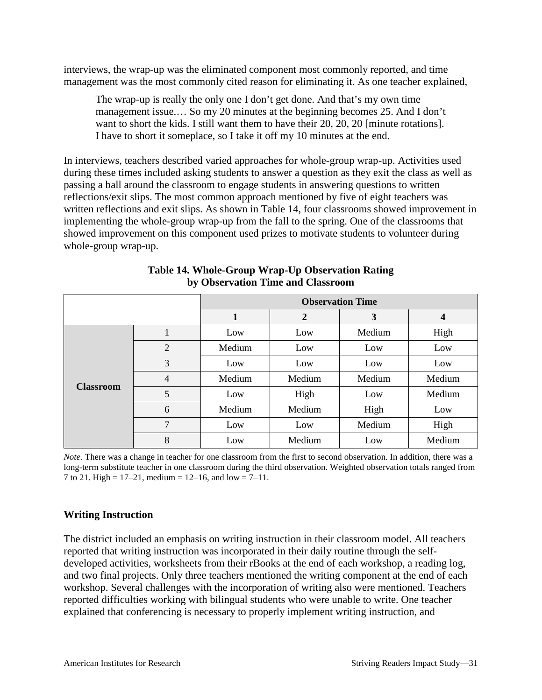interviews, the wrap-up was the eliminated component most commonly reported, and time management was the most commonly cited reason for eliminating it. As one teacher explained,

The wrap-up is really the only one I don't get done. And that's my own time management issue.… So my 20 minutes at the beginning becomes 25. And I don't want to short the kids. I still want them to have their 20, 20, 20 [minute rotations]. I have to short it someplace, so I take it off my 10 minutes at the end.

In interviews, teachers described varied approaches for whole-group wrap-up. Activities used during these times included asking students to answer a question as they exit the class as well as passing a ball around the classroom to engage students in answering questions to written reflections/exit slips. The most common approach mentioned by five of eight teachers was written reflections and exit slips. As shown in Table 14, four classrooms showed improvement in implementing the whole-group wrap-up from the fall to the spring. One of the classrooms that showed improvement on this component used prizes to motivate students to volunteer during whole-group wrap-up.

|                  |                | <b>Observation Time</b> |                |        |        |
|------------------|----------------|-------------------------|----------------|--------|--------|
|                  |                | 1                       | $\overline{2}$ | 3      | 4      |
| <b>Classroom</b> |                | Low                     | Low            | Medium | High   |
|                  | $\overline{2}$ | Medium                  | Low            | Low    | Low    |
|                  | 3              | Low                     | Low            | Low    | Low    |
|                  | $\overline{4}$ | Medium                  | Medium         | Medium | Medium |
|                  | 5              | Low                     | High           | Low    | Medium |
|                  | 6              | Medium                  | Medium         | High   | Low    |
|                  | 7              | Low                     | Low            | Medium | High   |
|                  | 8              | Low                     | Medium         | Low    | Medium |

**Table 14. Whole-Group Wrap-Up Observation Rating by Observation Time and Classroom**

*Note*. There was a change in teacher for one classroom from the first to second observation. In addition, there was a long-term substitute teacher in one classroom during the third observation. Weighted observation totals ranged from 7 to 21. High =  $17-21$ , medium =  $12-16$ , and low =  $7-11$ .

#### **Writing Instruction**

The district included an emphasis on writing instruction in their classroom model. All teachers reported that writing instruction was incorporated in their daily routine through the selfdeveloped activities, worksheets from their rBooks at the end of each workshop, a reading log, and two final projects. Only three teachers mentioned the writing component at the end of each workshop. Several challenges with the incorporation of writing also were mentioned. Teachers reported difficulties working with bilingual students who were unable to write. One teacher explained that conferencing is necessary to properly implement writing instruction, and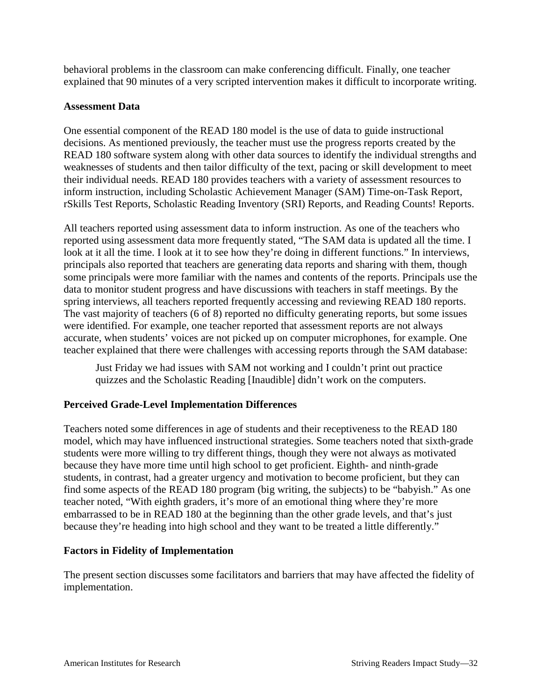behavioral problems in the classroom can make conferencing difficult. Finally, one teacher explained that 90 minutes of a very scripted intervention makes it difficult to incorporate writing.

#### **Assessment Data**

One essential component of the READ 180 model is the use of data to guide instructional decisions. As mentioned previously, the teacher must use the progress reports created by the READ 180 software system along with other data sources to identify the individual strengths and weaknesses of students and then tailor difficulty of the text, pacing or skill development to meet their individual needs. READ 180 provides teachers with a variety of assessment resources to inform instruction, including Scholastic Achievement Manager (SAM) Time-on-Task Report, rSkills Test Reports, Scholastic Reading Inventory (SRI) Reports, and Reading Counts! Reports.

All teachers reported using assessment data to inform instruction. As one of the teachers who reported using assessment data more frequently stated, "The SAM data is updated all the time. I look at it all the time. I look at it to see how they're doing in different functions." In interviews, principals also reported that teachers are generating data reports and sharing with them, though some principals were more familiar with the names and contents of the reports. Principals use the data to monitor student progress and have discussions with teachers in staff meetings. By the spring interviews, all teachers reported frequently accessing and reviewing READ 180 reports. The vast majority of teachers (6 of 8) reported no difficulty generating reports, but some issues were identified. For example, one teacher reported that assessment reports are not always accurate, when students' voices are not picked up on computer microphones, for example. One teacher explained that there were challenges with accessing reports through the SAM database:

Just Friday we had issues with SAM not working and I couldn't print out practice quizzes and the Scholastic Reading [Inaudible] didn't work on the computers.

## **Perceived Grade-Level Implementation Differences**

Teachers noted some differences in age of students and their receptiveness to the READ 180 model, which may have influenced instructional strategies. Some teachers noted that sixth-grade students were more willing to try different things, though they were not always as motivated because they have more time until high school to get proficient. Eighth- and ninth-grade students, in contrast, had a greater urgency and motivation to become proficient, but they can find some aspects of the READ 180 program (big writing, the subjects) to be "babyish." As one teacher noted, "With eighth graders, it's more of an emotional thing where they're more embarrassed to be in READ 180 at the beginning than the other grade levels, and that's just because they're heading into high school and they want to be treated a little differently."

#### **Factors in Fidelity of Implementation**

The present section discusses some facilitators and barriers that may have affected the fidelity of implementation.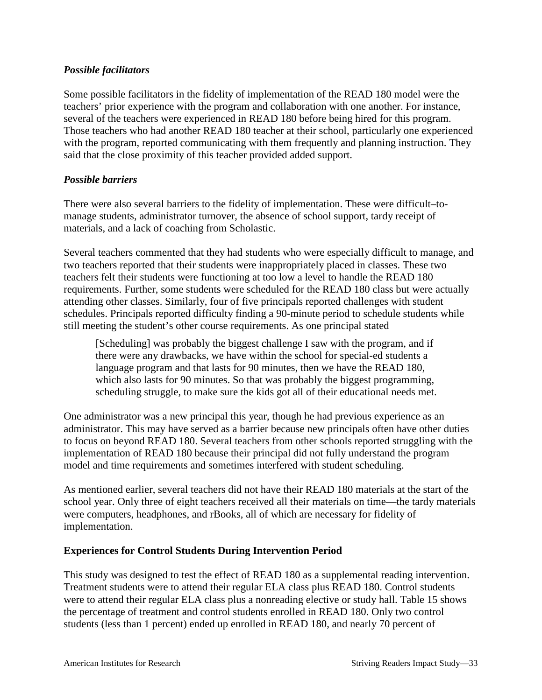## *Possible facilitators*

Some possible facilitators in the fidelity of implementation of the READ 180 model were the teachers' prior experience with the program and collaboration with one another. For instance, several of the teachers were experienced in READ 180 before being hired for this program. Those teachers who had another READ 180 teacher at their school, particularly one experienced with the program, reported communicating with them frequently and planning instruction. They said that the close proximity of this teacher provided added support.

### *Possible barriers*

There were also several barriers to the fidelity of implementation. These were difficult–tomanage students, administrator turnover, the absence of school support, tardy receipt of materials, and a lack of coaching from Scholastic.

Several teachers commented that they had students who were especially difficult to manage, and two teachers reported that their students were inappropriately placed in classes. These two teachers felt their students were functioning at too low a level to handle the READ 180 requirements. Further, some students were scheduled for the READ 180 class but were actually attending other classes. Similarly, four of five principals reported challenges with student schedules. Principals reported difficulty finding a 90-minute period to schedule students while still meeting the student's other course requirements. As one principal stated

[Scheduling] was probably the biggest challenge I saw with the program, and if there were any drawbacks, we have within the school for special-ed students a language program and that lasts for 90 minutes, then we have the READ 180, which also lasts for 90 minutes. So that was probably the biggest programming, scheduling struggle, to make sure the kids got all of their educational needs met.

One administrator was a new principal this year, though he had previous experience as an administrator. This may have served as a barrier because new principals often have other duties to focus on beyond READ 180. Several teachers from other schools reported struggling with the implementation of READ 180 because their principal did not fully understand the program model and time requirements and sometimes interfered with student scheduling.

As mentioned earlier, several teachers did not have their READ 180 materials at the start of the school year. Only three of eight teachers received all their materials on time—the tardy materials were computers, headphones, and rBooks, all of which are necessary for fidelity of implementation.

#### **Experiences for Control Students During Intervention Period**

This study was designed to test the effect of READ 180 as a supplemental reading intervention. Treatment students were to attend their regular ELA class plus READ 180. Control students were to attend their regular ELA class plus a nonreading elective or study hall. Table 15 shows the percentage of treatment and control students enrolled in READ 180. Only two control students (less than 1 percent) ended up enrolled in READ 180, and nearly 70 percent of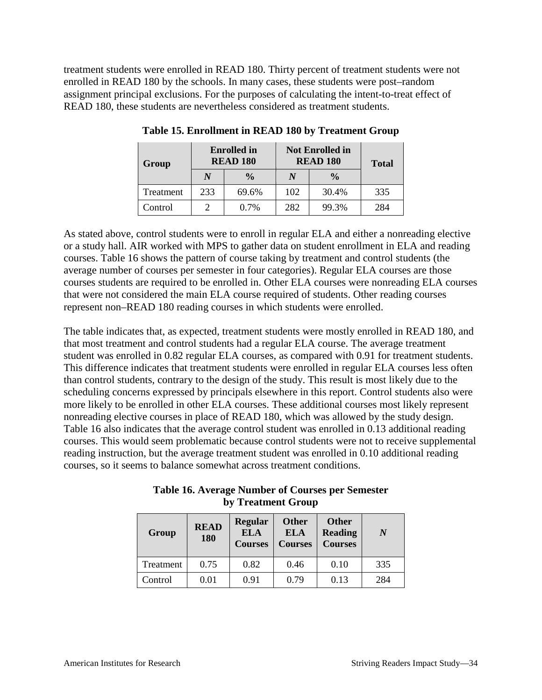treatment students were enrolled in READ 180. Thirty percent of treatment students were not enrolled in READ 180 by the schools. In many cases, these students were post–random assignment principal exclusions. For the purposes of calculating the intent-to-treat effect of READ 180, these students are nevertheless considered as treatment students.

| Group     | <b>Enrolled</b> in<br><b>READ 180</b> |               | <b>Not Enrolled in</b><br><b>READ 180</b> |       | <b>Total</b> |  |
|-----------|---------------------------------------|---------------|-------------------------------------------|-------|--------------|--|
|           | N                                     | $\frac{0}{0}$ | $\frac{0}{0}$                             |       |              |  |
| Treatment | 233                                   | 69.6%         | 102                                       | 30.4% | 335          |  |
| Control   |                                       | $0.7\%$       | 282                                       | 99.3% | 284          |  |

**Table 15. Enrollment in READ 180 by Treatment Group**

As stated above, control students were to enroll in regular ELA and either a nonreading elective or a study hall. AIR worked with MPS to gather data on student enrollment in ELA and reading courses. Table 16 shows the pattern of course taking by treatment and control students (the average number of courses per semester in four categories). Regular ELA courses are those courses students are required to be enrolled in. Other ELA courses were nonreading ELA courses that were not considered the main ELA course required of students. Other reading courses represent non–READ 180 reading courses in which students were enrolled.

The table indicates that, as expected, treatment students were mostly enrolled in READ 180, and that most treatment and control students had a regular ELA course. The average treatment student was enrolled in 0.82 regular ELA courses, as compared with 0.91 for treatment students. This difference indicates that treatment students were enrolled in regular ELA courses less often than control students, contrary to the design of the study. This result is most likely due to the scheduling concerns expressed by principals elsewhere in this report. Control students also were more likely to be enrolled in other ELA courses. These additional courses most likely represent nonreading elective courses in place of READ 180, which was allowed by the study design. Table 16 also indicates that the average control student was enrolled in 0.13 additional reading courses. This would seem problematic because control students were not to receive supplemental reading instruction, but the average treatment student was enrolled in 0.10 additional reading courses, so it seems to balance somewhat across treatment conditions.

| Group     | <b>READ</b><br>180 | <b>Regular</b><br><b>ELA</b><br><b>Courses</b> | <b>Other</b><br><b>ELA</b><br><b>Courses</b> | <b>Other</b><br><b>Reading</b><br><b>Courses</b> | N   |
|-----------|--------------------|------------------------------------------------|----------------------------------------------|--------------------------------------------------|-----|
| Treatment | 0.75               | 0.82                                           | 0.46                                         | 0.10                                             | 335 |
| Control   | 0.01               | 0.91                                           | 0.79                                         | 0.13                                             | 284 |

**Table 16. Average Number of Courses per Semester by Treatment Group**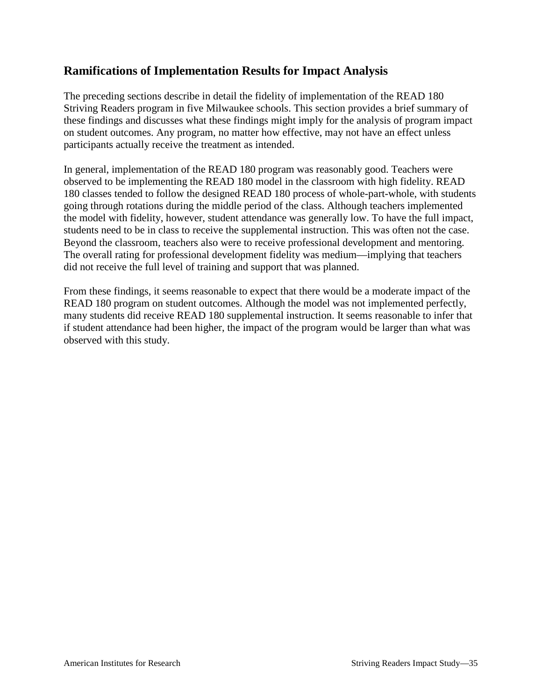## **Ramifications of Implementation Results for Impact Analysis**

The preceding sections describe in detail the fidelity of implementation of the READ 180 Striving Readers program in five Milwaukee schools. This section provides a brief summary of these findings and discusses what these findings might imply for the analysis of program impact on student outcomes. Any program, no matter how effective, may not have an effect unless participants actually receive the treatment as intended.

In general, implementation of the READ 180 program was reasonably good. Teachers were observed to be implementing the READ 180 model in the classroom with high fidelity. READ 180 classes tended to follow the designed READ 180 process of whole-part-whole, with students going through rotations during the middle period of the class. Although teachers implemented the model with fidelity, however, student attendance was generally low. To have the full impact, students need to be in class to receive the supplemental instruction. This was often not the case. Beyond the classroom, teachers also were to receive professional development and mentoring. The overall rating for professional development fidelity was medium—implying that teachers did not receive the full level of training and support that was planned.

From these findings, it seems reasonable to expect that there would be a moderate impact of the READ 180 program on student outcomes. Although the model was not implemented perfectly, many students did receive READ 180 supplemental instruction. It seems reasonable to infer that if student attendance had been higher, the impact of the program would be larger than what was observed with this study.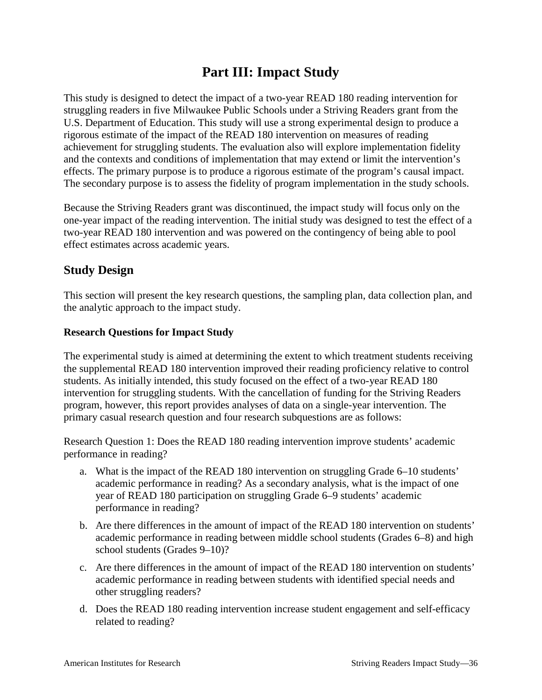# **Part III: Impact Study**

This study is designed to detect the impact of a two-year READ 180 reading intervention for struggling readers in five Milwaukee Public Schools under a Striving Readers grant from the U.S. Department of Education. This study will use a strong experimental design to produce a rigorous estimate of the impact of the READ 180 intervention on measures of reading achievement for struggling students. The evaluation also will explore implementation fidelity and the contexts and conditions of implementation that may extend or limit the intervention's effects. The primary purpose is to produce a rigorous estimate of the program's causal impact. The secondary purpose is to assess the fidelity of program implementation in the study schools.

Because the Striving Readers grant was discontinued, the impact study will focus only on the one-year impact of the reading intervention. The initial study was designed to test the effect of a two-year READ 180 intervention and was powered on the contingency of being able to pool effect estimates across academic years.

## **Study Design**

This section will present the key research questions, the sampling plan, data collection plan, and the analytic approach to the impact study.

### **Research Questions for Impact Study**

The experimental study is aimed at determining the extent to which treatment students receiving the supplemental READ 180 intervention improved their reading proficiency relative to control students. As initially intended, this study focused on the effect of a two-year READ 180 intervention for struggling students. With the cancellation of funding for the Striving Readers program, however, this report provides analyses of data on a single-year intervention. The primary casual research question and four research subquestions are as follows:

Research Question 1: Does the READ 180 reading intervention improve students' academic performance in reading?

- a. What is the impact of the READ 180 intervention on struggling Grade 6–10 students' academic performance in reading? As a secondary analysis, what is the impact of one year of READ 180 participation on struggling Grade 6–9 students' academic performance in reading?
- b. Are there differences in the amount of impact of the READ 180 intervention on students' academic performance in reading between middle school students (Grades 6–8) and high school students (Grades 9–10)?
- c. Are there differences in the amount of impact of the READ 180 intervention on students' academic performance in reading between students with identified special needs and other struggling readers?
- d. Does the READ 180 reading intervention increase student engagement and self-efficacy related to reading?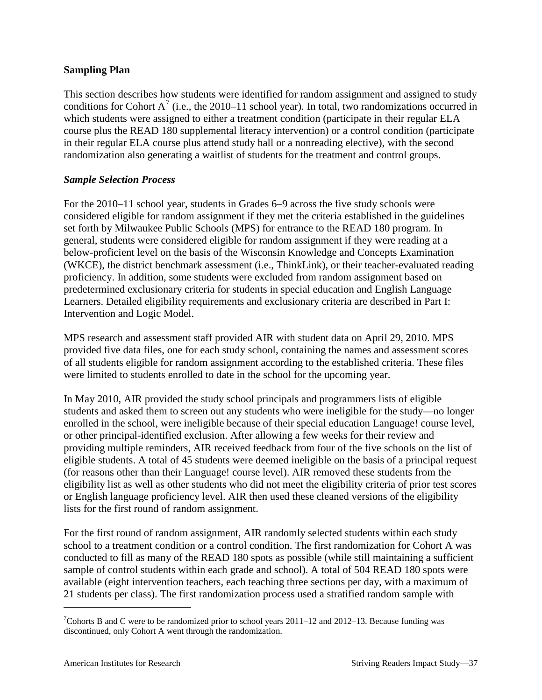## **Sampling Plan**

This section describes how students were identified for random assignment and assigned to study conditions for Cohort A<sup>[7](#page-40-0)</sup> (i.e., the 2010–11 school year). In total, two randomizations occurred in which students were assigned to either a treatment condition (participate in their regular ELA course plus the READ 180 supplemental literacy intervention) or a control condition (participate in their regular ELA course plus attend study hall or a nonreading elective), with the second randomization also generating a waitlist of students for the treatment and control groups.

### *Sample Selection Process*

For the 2010–11 school year, students in Grades 6–9 across the five study schools were considered eligible for random assignment if they met the criteria established in the guidelines set forth by Milwaukee Public Schools (MPS) for entrance to the READ 180 program. In general, students were considered eligible for random assignment if they were reading at a below-proficient level on the basis of the Wisconsin Knowledge and Concepts Examination (WKCE), the district benchmark assessment (i.e., ThinkLink), or their teacher-evaluated reading proficiency. In addition, some students were excluded from random assignment based on predetermined exclusionary criteria for students in special education and English Language Learners. Detailed eligibility requirements and exclusionary criteria are described in Part I: Intervention and Logic Model.

MPS research and assessment staff provided AIR with student data on April 29, 2010. MPS provided five data files, one for each study school, containing the names and assessment scores of all students eligible for random assignment according to the established criteria. These files were limited to students enrolled to date in the school for the upcoming year.

In May 2010, AIR provided the study school principals and programmers lists of eligible students and asked them to screen out any students who were ineligible for the study—no longer enrolled in the school, were ineligible because of their special education Language! course level, or other principal-identified exclusion. After allowing a few weeks for their review and providing multiple reminders, AIR received feedback from four of the five schools on the list of eligible students. A total of 45 students were deemed ineligible on the basis of a principal request (for reasons other than their Language! course level). AIR removed these students from the eligibility list as well as other students who did not meet the eligibility criteria of prior test scores or English language proficiency level. AIR then used these cleaned versions of the eligibility lists for the first round of random assignment.

For the first round of random assignment, AIR randomly selected students within each study school to a treatment condition or a control condition. The first randomization for Cohort A was conducted to fill as many of the READ 180 spots as possible (while still maintaining a sufficient sample of control students within each grade and school). A total of 504 READ 180 spots were available (eight intervention teachers, each teaching three sections per day, with a maximum of 21 students per class). The first randomization process used a stratified random sample with

<span id="page-40-0"></span><sup>-&</sup>lt;br>7  $\degree$ Cohorts B and C were to be randomized prior to school years 2011–12 and 2012–13. Because funding was discontinued, only Cohort A went through the randomization.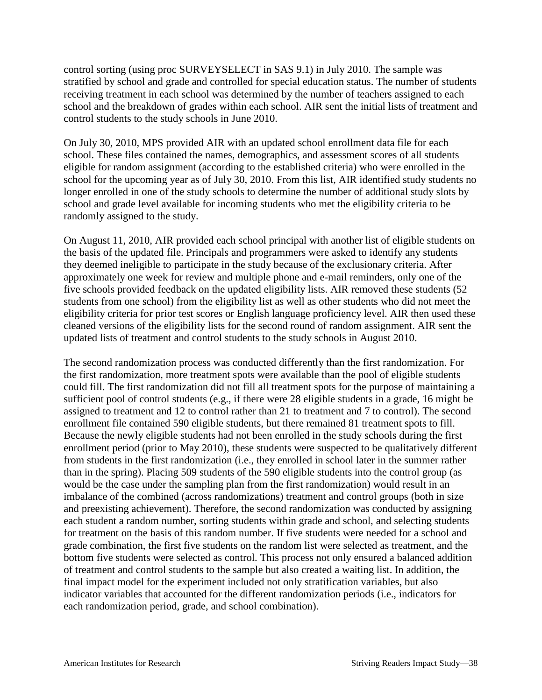control sorting (using proc SURVEYSELECT in SAS 9.1) in July 2010. The sample was stratified by school and grade and controlled for special education status. The number of students receiving treatment in each school was determined by the number of teachers assigned to each school and the breakdown of grades within each school. AIR sent the initial lists of treatment and control students to the study schools in June 2010.

On July 30, 2010, MPS provided AIR with an updated school enrollment data file for each school. These files contained the names, demographics, and assessment scores of all students eligible for random assignment (according to the established criteria) who were enrolled in the school for the upcoming year as of July 30, 2010. From this list, AIR identified study students no longer enrolled in one of the study schools to determine the number of additional study slots by school and grade level available for incoming students who met the eligibility criteria to be randomly assigned to the study.

On August 11, 2010, AIR provided each school principal with another list of eligible students on the basis of the updated file. Principals and programmers were asked to identify any students they deemed ineligible to participate in the study because of the exclusionary criteria. After approximately one week for review and multiple phone and e-mail reminders, only one of the five schools provided feedback on the updated eligibility lists. AIR removed these students (52 students from one school) from the eligibility list as well as other students who did not meet the eligibility criteria for prior test scores or English language proficiency level. AIR then used these cleaned versions of the eligibility lists for the second round of random assignment. AIR sent the updated lists of treatment and control students to the study schools in August 2010.

The second randomization process was conducted differently than the first randomization. For the first randomization, more treatment spots were available than the pool of eligible students could fill. The first randomization did not fill all treatment spots for the purpose of maintaining a sufficient pool of control students (e.g., if there were 28 eligible students in a grade, 16 might be assigned to treatment and 12 to control rather than 21 to treatment and 7 to control). The second enrollment file contained 590 eligible students, but there remained 81 treatment spots to fill. Because the newly eligible students had not been enrolled in the study schools during the first enrollment period (prior to May 2010), these students were suspected to be qualitatively different from students in the first randomization (i.e., they enrolled in school later in the summer rather than in the spring). Placing 509 students of the 590 eligible students into the control group (as would be the case under the sampling plan from the first randomization) would result in an imbalance of the combined (across randomizations) treatment and control groups (both in size and preexisting achievement). Therefore, the second randomization was conducted by assigning each student a random number, sorting students within grade and school, and selecting students for treatment on the basis of this random number. If five students were needed for a school and grade combination, the first five students on the random list were selected as treatment, and the bottom five students were selected as control. This process not only ensured a balanced addition of treatment and control students to the sample but also created a waiting list. In addition, the final impact model for the experiment included not only stratification variables, but also indicator variables that accounted for the different randomization periods (i.e., indicators for each randomization period, grade, and school combination).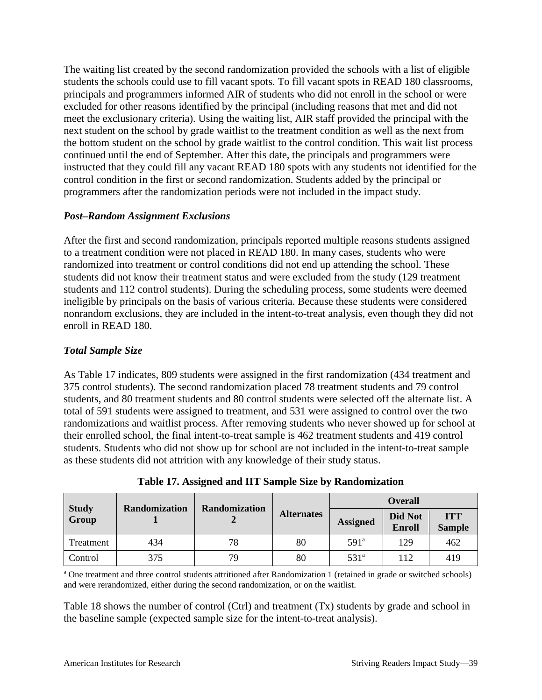The waiting list created by the second randomization provided the schools with a list of eligible students the schools could use to fill vacant spots. To fill vacant spots in READ 180 classrooms, principals and programmers informed AIR of students who did not enroll in the school or were excluded for other reasons identified by the principal (including reasons that met and did not meet the exclusionary criteria). Using the waiting list, AIR staff provided the principal with the next student on the school by grade waitlist to the treatment condition as well as the next from the bottom student on the school by grade waitlist to the control condition. This wait list process continued until the end of September. After this date, the principals and programmers were instructed that they could fill any vacant READ 180 spots with any students not identified for the control condition in the first or second randomization. Students added by the principal or programmers after the randomization periods were not included in the impact study.

### *Post–Random Assignment Exclusions*

After the first and second randomization, principals reported multiple reasons students assigned to a treatment condition were not placed in READ 180. In many cases, students who were randomized into treatment or control conditions did not end up attending the school. These students did not know their treatment status and were excluded from the study (129 treatment students and 112 control students). During the scheduling process, some students were deemed ineligible by principals on the basis of various criteria. Because these students were considered nonrandom exclusions, they are included in the intent-to-treat analysis, even though they did not enroll in READ 180.

## *Total Sample Size*

As Table 17 indicates, 809 students were assigned in the first randomization (434 treatment and 375 control students). The second randomization placed 78 treatment students and 79 control students, and 80 treatment students and 80 control students were selected off the alternate list. A total of 591 students were assigned to treatment, and 531 were assigned to control over the two randomizations and waitlist process. After removing students who never showed up for school at their enrolled school, the final intent-to-treat sample is 462 treatment students and 419 control students. Students who did not show up for school are not included in the intent-to-treat sample as these students did not attrition with any knowledge of their study status.

|                       | <b>Randomization</b> |                      |                   |                  | <b>Overall</b>           |                             |
|-----------------------|----------------------|----------------------|-------------------|------------------|--------------------------|-----------------------------|
| <b>Study</b><br>Group |                      | <b>Randomization</b> | <b>Alternates</b> | <b>Assigned</b>  | Did Not<br><b>Enroll</b> | <b>ITT</b><br><b>Sample</b> |
| Treatment             | 434                  | 78                   | 80                | 591 <sup>a</sup> | 129                      | 462                         |
| Control               | 375                  | 79                   | 80                | 531 <sup>a</sup> | 112                      | 419                         |

**Table 17. Assigned and IIT Sample Size by Randomization**

<sup>a</sup> One treatment and three control students attritioned after Randomization 1 (retained in grade or switched schools) and were rerandomized, either during the second randomization, or on the waitlist.

Table 18 shows the number of control (Ctrl) and treatment (Tx) students by grade and school in the baseline sample (expected sample size for the intent-to-treat analysis).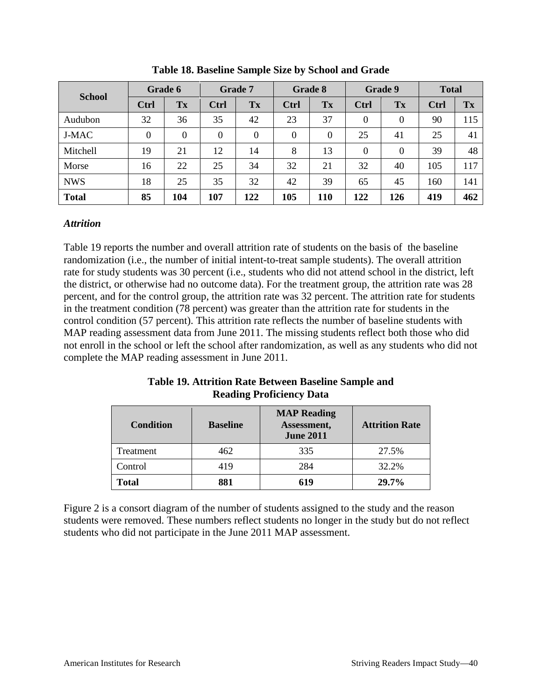|               |             | Grade 6 |              | <b>Grade 7</b> |                  | Grade 8          |                  | Grade 9          | <b>Total</b> |     |
|---------------|-------------|---------|--------------|----------------|------------------|------------------|------------------|------------------|--------------|-----|
| <b>School</b> | <b>Ctrl</b> | Tx      | <b>Ctrl</b>  | Tx             | <b>Ctrl</b>      | Tx               | Ctrl             | Tx               | Ctrl         | Tx  |
| Audubon       | 32          | 36      | 35           | 42             | 23               | 37               | $\boldsymbol{0}$ | $\boldsymbol{0}$ | 90           | 115 |
| <b>J-MAC</b>  | $\theta$    | 0       | $\mathbf{0}$ | $\theta$       | $\boldsymbol{0}$ | $\boldsymbol{0}$ | 25               | 41               | 25           | 41  |
| Mitchell      | 19          | 21      | 12           | 14             | 8                | 13               | $\overline{0}$   | $\boldsymbol{0}$ | 39           | 48  |
| Morse         | 16          | 22      | 25           | 34             | 32               | 21               | 32               | 40               | 105          | 117 |
| <b>NWS</b>    | 18          | 25      | 35           | 32             | 42               | 39               | 65               | 45               | 160          | 141 |
| <b>Total</b>  | 85          | 104     | 107          | 122            | 105              | 110              | 122              | 126              | 419          | 462 |

**Table 18. Baseline Sample Size by School and Grade**

#### *Attrition*

Table 19 reports the number and overall attrition rate of students on the basis of the baseline randomization (i.e., the number of initial intent-to-treat sample students). The overall attrition rate for study students was 30 percent (i.e., students who did not attend school in the district, left the district, or otherwise had no outcome data). For the treatment group, the attrition rate was 28 percent, and for the control group, the attrition rate was 32 percent. The attrition rate for students in the treatment condition (78 percent) was greater than the attrition rate for students in the control condition (57 percent). This attrition rate reflects the number of baseline students with MAP reading assessment data from June 2011. The missing students reflect both those who did not enroll in the school or left the school after randomization, as well as any students who did not complete the MAP reading assessment in June 2011.

## **Table 19. Attrition Rate Between Baseline Sample and Reading Proficiency Data**

| <b>Condition</b> | <b>Baseline</b> | <b>MAP Reading</b><br>Assessment,<br><b>June 2011</b> | <b>Attrition Rate</b> |
|------------------|-----------------|-------------------------------------------------------|-----------------------|
| Treatment        | 462             | 335                                                   | 27.5%                 |
| Control          | 419             | 284                                                   | 32.2%                 |
| <b>Total</b>     | 881             | 619                                                   | $29.7\%$              |

Figure 2 is a consort diagram of the number of students assigned to the study and the reason students were removed. These numbers reflect students no longer in the study but do not reflect students who did not participate in the June 2011 MAP assessment.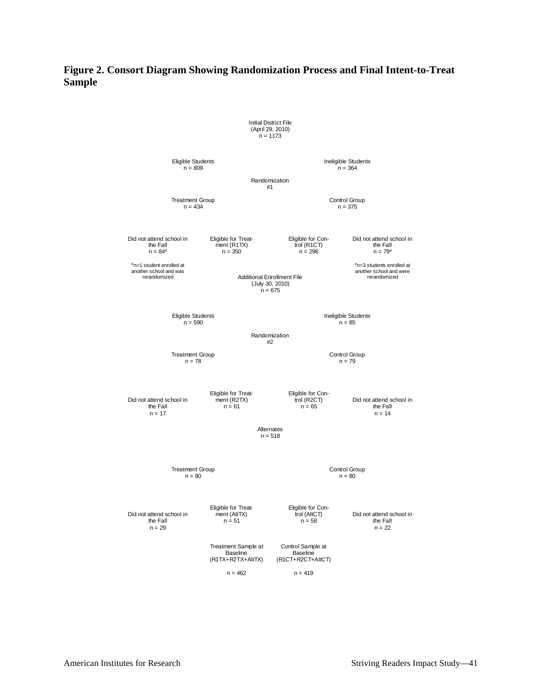#### **Figure 2. Consort Diagram Showing Randomization Process and Final Intent-to-Treat Sample**

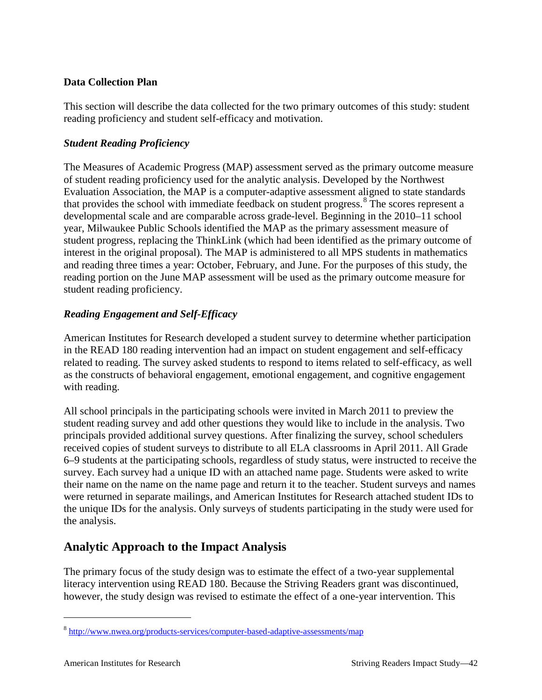## **Data Collection Plan**

This section will describe the data collected for the two primary outcomes of this study: student reading proficiency and student self-efficacy and motivation.

## *Student Reading Proficiency*

The Measures of Academic Progress (MAP) assessment served as the primary outcome measure of student reading proficiency used for the analytic analysis. Developed by the Northwest Evaluation Association, the MAP is a computer-adaptive assessment aligned to state standards that provides the school with immediate feedback on student progress.<sup>[8](#page-45-0)</sup> The scores represent a developmental scale and are comparable across grade-level. Beginning in the 2010–11 school year, Milwaukee Public Schools identified the MAP as the primary assessment measure of student progress, replacing the ThinkLink (which had been identified as the primary outcome of interest in the original proposal). The MAP is administered to all MPS students in mathematics and reading three times a year: October, February, and June. For the purposes of this study, the reading portion on the June MAP assessment will be used as the primary outcome measure for student reading proficiency.

## *Reading Engagement and Self-Efficacy*

American Institutes for Research developed a student survey to determine whether participation in the READ 180 reading intervention had an impact on student engagement and self-efficacy related to reading. The survey asked students to respond to items related to self-efficacy, as well as the constructs of behavioral engagement, emotional engagement, and cognitive engagement with reading.

All school principals in the participating schools were invited in March 2011 to preview the student reading survey and add other questions they would like to include in the analysis. Two principals provided additional survey questions. After finalizing the survey, school schedulers received copies of student surveys to distribute to all ELA classrooms in April 2011. All Grade 6–9 students at the participating schools, regardless of study status, were instructed to receive the survey. Each survey had a unique ID with an attached name page. Students were asked to write their name on the name on the name page and return it to the teacher. Student surveys and names were returned in separate mailings, and American Institutes for Research attached student IDs to the unique IDs for the analysis. Only surveys of students participating in the study were used for the analysis.

## **Analytic Approach to the Impact Analysis**

The primary focus of the study design was to estimate the effect of a two-year supplemental literacy intervention using READ 180. Because the Striving Readers grant was discontinued, however, the study design was revised to estimate the effect of a one-year intervention. This

<span id="page-45-0"></span> <sup>8</sup> <http://www.nwea.org/products-services/computer-based-adaptive-assessments/map>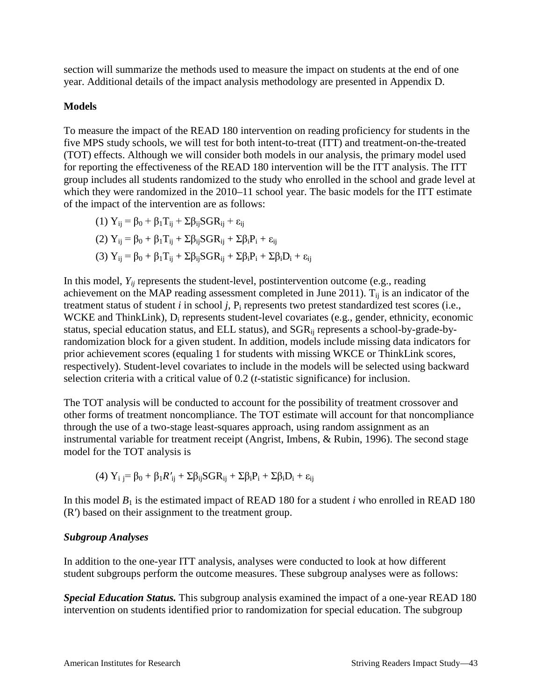section will summarize the methods used to measure the impact on students at the end of one year. Additional details of the impact analysis methodology are presented in Appendix D.

#### **Models**

To measure the impact of the READ 180 intervention on reading proficiency for students in the five MPS study schools, we will test for both intent-to-treat (ITT) and treatment-on-the-treated (TOT) effects. Although we will consider both models in our analysis, the primary model used for reporting the effectiveness of the READ 180 intervention will be the ITT analysis. The ITT group includes all students randomized to the study who enrolled in the school and grade level at which they were randomized in the 2010–11 school year. The basic models for the ITT estimate of the impact of the intervention are as follows:

$$
(1) Y_{ij} = \beta_0 + \beta_1 T_{ij} + \Sigma \beta_{ij} SGR_{ij} + \varepsilon_{ij}
$$
  
\n
$$
(2) Y_{ij} = \beta_0 + \beta_1 T_{ij} + \Sigma \beta_{ij} SGR_{ij} + \Sigma \beta_i P_i + \varepsilon_{ij}
$$
  
\n
$$
(3) Y_{ij} = \beta_0 + \beta_1 T_{ij} + \Sigma \beta_{ij} SGR_{ij} + \Sigma \beta_i P_i + \Sigma \beta_i D_i + \varepsilon_{ij}
$$

In this model,  $Y_{ij}$  represents the student-level, postintervention outcome (e.g., reading achievement on the MAP reading assessment completed in June 2011).  $T_{ii}$  is an indicator of the treatment status of student *i* in school *j*,  $P_i$  represents two pretest standardized test scores (i.e., WCKE and ThinkLink),  $D_i$  represents student-level covariates (e.g., gender, ethnicity, economic status, special education status, and ELL status), and SGR<sub>ij</sub> represents a school-by-grade-byrandomization block for a given student. In addition, models include missing data indicators for prior achievement scores (equaling 1 for students with missing WKCE or ThinkLink scores, respectively). Student-level covariates to include in the models will be selected using backward selection criteria with a critical value of 0.2 (*t*-statistic significance) for inclusion.

The TOT analysis will be conducted to account for the possibility of treatment crossover and other forms of treatment noncompliance. The TOT estimate will account for that noncompliance through the use of a two-stage least-squares approach, using random assignment as an instrumental variable for treatment receipt (Angrist, Imbens, & Rubin, 1996). The second stage model for the TOT analysis is

$$
(4)\ Y_i\ j{=}\ \beta_0 + \beta_1 \textit{R'}_{ij} + \Sigma \beta_{ij} \textit{SGR}_{ij} + \Sigma \beta_i \textit{P}_i + \Sigma \beta_i \textit{D}_i + \epsilon_{ij}
$$

In this model  $B_1$  is the estimated impact of READ 180 for a student *i* who enrolled in READ 180 (R′) based on their assignment to the treatment group.

#### *Subgroup Analyses*

In addition to the one-year ITT analysis, analyses were conducted to look at how different student subgroups perform the outcome measures. These subgroup analyses were as follows:

*Special Education Status.* This subgroup analysis examined the impact of a one-year READ 180 intervention on students identified prior to randomization for special education. The subgroup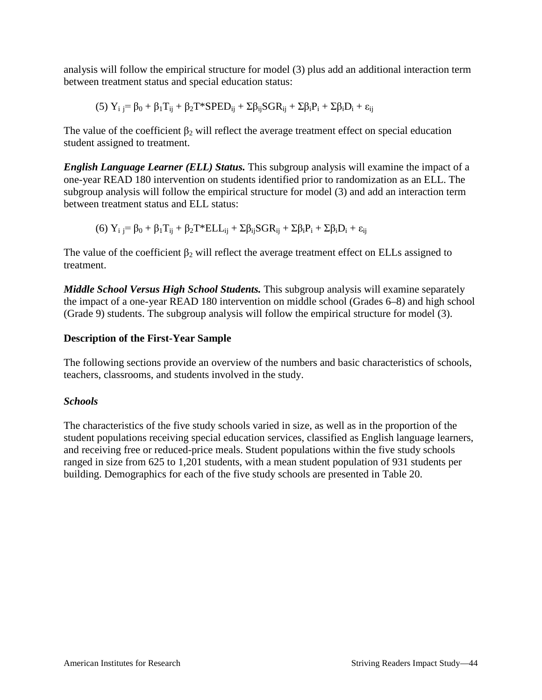analysis will follow the empirical structure for model (3) plus add an additional interaction term between treatment status and special education status:

$$
(5)\ Y_i\ _j^=\beta_0+\beta_1T_{ij}+\beta_2T^*SPED_{ij}+\Sigma\beta_{ij}SGR_{ij}+\Sigma\beta_iP_i+\Sigma\beta_iD_i+\epsilon_{ij}
$$

The value of the coefficient  $\beta_2$  will reflect the average treatment effect on special education student assigned to treatment.

*English Language Learner (ELL) Status.* This subgroup analysis will examine the impact of a one-year READ 180 intervention on students identified prior to randomization as an ELL. The subgroup analysis will follow the empirical structure for model (3) and add an interaction term between treatment status and ELL status:

$$
(6)\ Y_i \, j^= \beta_0 + \beta_1 T_{ij} + \beta_2 T^* ELL_{ij} + \Sigma \beta_{ij} SGR_{ij} + \Sigma \beta_i P_i + \Sigma \beta_i D_i + \epsilon_{ij}
$$

The value of the coefficient  $\beta_2$  will reflect the average treatment effect on ELLs assigned to treatment.

*Middle School Versus High School Students.* This subgroup analysis will examine separately the impact of a one-year READ 180 intervention on middle school (Grades 6–8) and high school (Grade 9) students. The subgroup analysis will follow the empirical structure for model (3).

### **Description of the First-Year Sample**

The following sections provide an overview of the numbers and basic characteristics of schools, teachers, classrooms, and students involved in the study.

## *Schools*

The characteristics of the five study schools varied in size, as well as in the proportion of the student populations receiving special education services, classified as English language learners, and receiving free or reduced-price meals. Student populations within the five study schools ranged in size from 625 to 1,201 students, with a mean student population of 931 students per building. Demographics for each of the five study schools are presented in Table 20.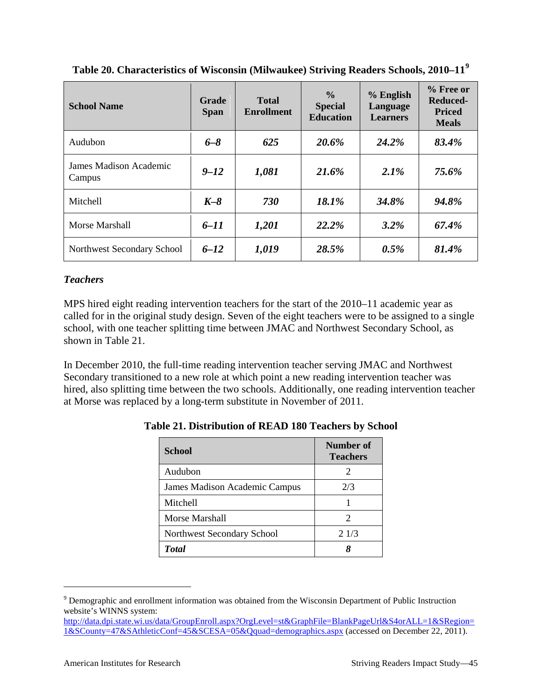| <b>School Name</b>               | Grade<br><b>Span</b> | <b>Total</b><br><b>Enrollment</b> | $\frac{0}{0}$<br><b>Special</b><br><b>Education</b> | % English<br>Language<br><b>Learners</b> | $%$ Free or<br>Reduced-<br><b>Priced</b><br><b>Meals</b> |
|----------------------------------|----------------------|-----------------------------------|-----------------------------------------------------|------------------------------------------|----------------------------------------------------------|
| Audubon                          | $6 - 8$              | 625                               | 20.6%                                               | 24.2%                                    | 83.4%                                                    |
| James Madison Academic<br>Campus | $9 - 12$             | 1,081                             | 21.6%                                               | 2.1%                                     | 75.6%                                                    |
| Mitchell                         | $K-8$                | 730                               | 18.1%                                               | 34.8%                                    | 94.8%                                                    |
| Morse Marshall                   | $6 - 11$             | 1,201                             | 22.2%                                               | $3.2\%$                                  | 67.4%                                                    |
| Northwest Secondary School       | $6 - 12$             | 1,019                             | 28.5%                                               | 0.5%                                     | 81.4%                                                    |

**Table 20. Characteristics of Wisconsin (Milwaukee) Striving Readers Schools, 2010–11[9](#page-48-0)**

## *Teachers*

MPS hired eight reading intervention teachers for the start of the 2010–11 academic year as called for in the original study design. Seven of the eight teachers were to be assigned to a single school, with one teacher splitting time between JMAC and Northwest Secondary School, as shown in Table 21.

In December 2010, the full-time reading intervention teacher serving JMAC and Northwest Secondary transitioned to a new role at which point a new reading intervention teacher was hired, also splitting time between the two schools. Additionally, one reading intervention teacher at Morse was replaced by a long-term substitute in November of 2011.

| <b>School</b>                 | Number of<br><b>Teachers</b> |
|-------------------------------|------------------------------|
| Audubon                       | 2                            |
| James Madison Academic Campus | 2/3                          |
| <b>Mitchell</b>               |                              |
| Morse Marshall                | $\mathcal{D}$                |
| Northwest Secondary School    | 21/3                         |
| <b>Total</b>                  |                              |

**Table 21. Distribution of READ 180 Teachers by School**

<span id="page-48-0"></span><sup>&</sup>lt;sup>9</sup> Demographic and enrollment information was obtained from the Wisconsin Department of Public Instruction website's WINNS system:

[http://data.dpi.state.wi.us/data/GroupEnroll.aspx?OrgLevel=st&GraphFile=BlankPageUrl&S4orALL=1&SRegion=](http://data.dpi.state.wi.us/data/GroupEnroll.aspx?OrgLevel=st&GraphFile=BlankPageUrl&S4orALL=1&SRegion=1&SCounty=47&SAthleticConf=45&SCESA=05&Qquad=demographics.aspx) [1&SCounty=47&SAthleticConf=45&SCESA=05&Qquad=demographics.aspx](http://data.dpi.state.wi.us/data/GroupEnroll.aspx?OrgLevel=st&GraphFile=BlankPageUrl&S4orALL=1&SRegion=1&SCounty=47&SAthleticConf=45&SCESA=05&Qquad=demographics.aspx) (accessed on December 22, 2011).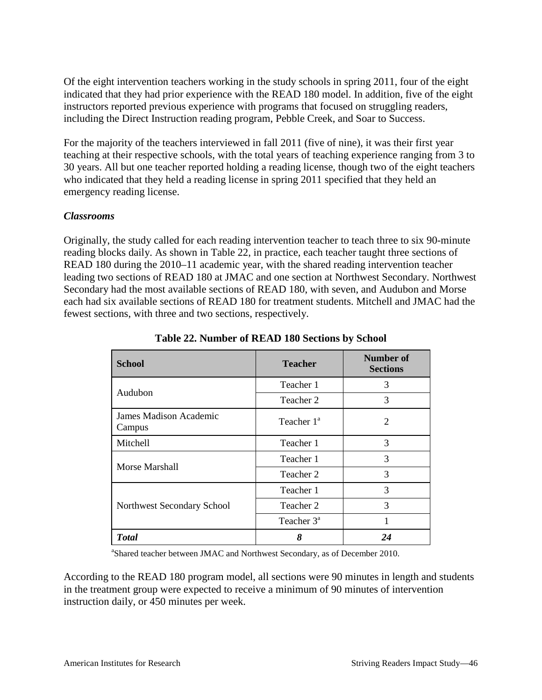Of the eight intervention teachers working in the study schools in spring 2011, four of the eight indicated that they had prior experience with the READ 180 model. In addition, five of the eight instructors reported previous experience with programs that focused on struggling readers, including the Direct Instruction reading program, Pebble Creek, and Soar to Success.

For the majority of the teachers interviewed in fall 2011 (five of nine), it was their first year teaching at their respective schools, with the total years of teaching experience ranging from 3 to 30 years. All but one teacher reported holding a reading license, though two of the eight teachers who indicated that they held a reading license in spring 2011 specified that they held an emergency reading license.

### *Classrooms*

Originally, the study called for each reading intervention teacher to teach three to six 90-minute reading blocks daily. As shown in Table 22, in practice, each teacher taught three sections of READ 180 during the 2010–11 academic year, with the shared reading intervention teacher leading two sections of READ 180 at JMAC and one section at Northwest Secondary. Northwest Secondary had the most available sections of READ 180, with seven, and Audubon and Morse each had six available sections of READ 180 for treatment students. Mitchell and JMAC had the fewest sections, with three and two sections, respectively.

| <b>School</b>                    | <b>Teacher</b> | <b>Number of</b><br><b>Sections</b> |
|----------------------------------|----------------|-------------------------------------|
| Audubon                          | Teacher 1      | 3                                   |
|                                  | Teacher 2      | 3                                   |
| James Madison Academic<br>Campus | Teacher $1^a$  | 2                                   |
| Mitchell                         | Teacher 1      | 3                                   |
|                                  | Teacher 1      | 3                                   |
| Morse Marshall                   | Teacher 2      | 3                                   |
|                                  | Teacher 1      | 3                                   |
| Northwest Secondary School       | Teacher 2      | 3                                   |
|                                  | Teacher $3^a$  |                                     |
| <b>Total</b>                     | 8              | 24                                  |

**Table 22. Number of READ 180 Sections by School**

<sup>a</sup>Shared teacher between JMAC and Northwest Secondary, as of December 2010.

According to the READ 180 program model, all sections were 90 minutes in length and students in the treatment group were expected to receive a minimum of 90 minutes of intervention instruction daily, or 450 minutes per week.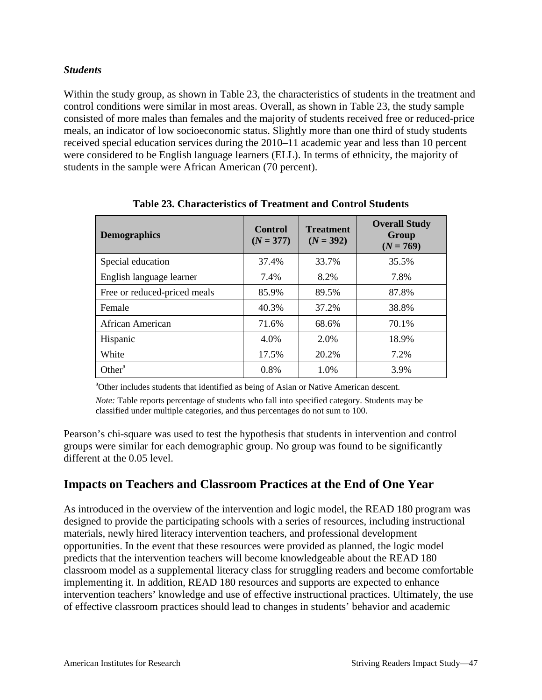#### *Students*

Within the study group, as shown in Table 23, the characteristics of students in the treatment and control conditions were similar in most areas. Overall, as shown in Table 23, the study sample consisted of more males than females and the majority of students received free or reduced-price meals, an indicator of low socioeconomic status. Slightly more than one third of study students received special education services during the 2010–11 academic year and less than 10 percent were considered to be English language learners (ELL). In terms of ethnicity, the majority of students in the sample were African American (70 percent).

| <b>Demographics</b>          | <b>Control</b><br>$(N = 377)$ | <b>Treatment</b><br>$(N = 392)$ | <b>Overall Study</b><br>Group<br>$(N = 769)$ |
|------------------------------|-------------------------------|---------------------------------|----------------------------------------------|
| Special education            | 37.4%                         | 33.7%                           | 35.5%                                        |
| English language learner     | 7.4%                          | 8.2%                            | 7.8%                                         |
| Free or reduced-priced meals | 85.9%                         | 89.5%                           | 87.8%                                        |
| Female                       | 40.3%                         | 37.2%                           | 38.8%                                        |
| African American             | 71.6%                         | 68.6%                           | 70.1%                                        |
| Hispanic                     | 4.0%                          | 2.0%                            | 18.9%                                        |
| White                        | 17.5%                         | 20.2%                           | 7.2%                                         |
| Other <sup>a</sup>           | $0.8\%$                       | 1.0%                            | 3.9%                                         |

**Table 23. Characteristics of Treatment and Control Students**

<sup>a</sup>Other includes students that identified as being of Asian or Native American descent.

*Note:* Table reports percentage of students who fall into specified category. Students may be classified under multiple categories, and thus percentages do not sum to 100.

Pearson's chi-square was used to test the hypothesis that students in intervention and control groups were similar for each demographic group. No group was found to be significantly different at the 0.05 level.

## **Impacts on Teachers and Classroom Practices at the End of One Year**

As introduced in the overview of the intervention and logic model, the READ 180 program was designed to provide the participating schools with a series of resources, including instructional materials, newly hired literacy intervention teachers, and professional development opportunities. In the event that these resources were provided as planned, the logic model predicts that the intervention teachers will become knowledgeable about the READ 180 classroom model as a supplemental literacy class for struggling readers and become comfortable implementing it. In addition, READ 180 resources and supports are expected to enhance intervention teachers' knowledge and use of effective instructional practices. Ultimately, the use of effective classroom practices should lead to changes in students' behavior and academic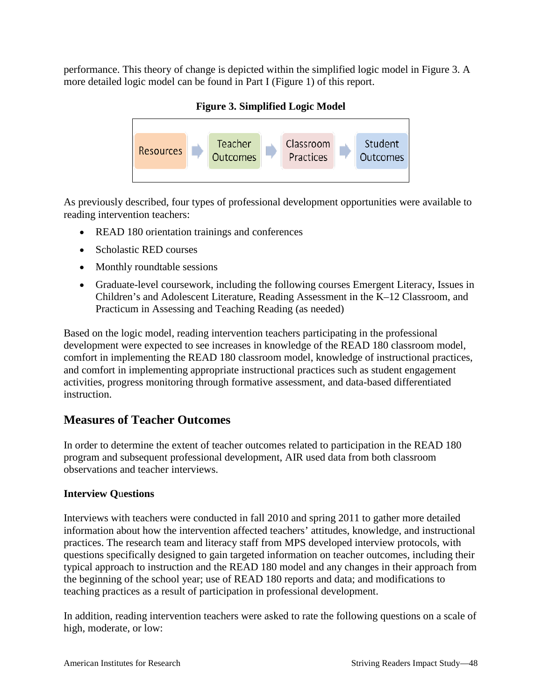performance. This theory of change is depicted within the simplified logic model in Figure 3. A more detailed logic model can be found in Part I (Figure 1) of this report.

## **Figure 3. Simplified Logic Model**



As previously described, four types of professional development opportunities were available to reading intervention teachers:

- READ 180 orientation trainings and conferences
- Scholastic RED courses
- Monthly roundtable sessions
- Graduate-level coursework, including the following courses Emergent Literacy, Issues in Children's and Adolescent Literature, Reading Assessment in the K–12 Classroom, and Practicum in Assessing and Teaching Reading (as needed)

Based on the logic model, reading intervention teachers participating in the professional development were expected to see increases in knowledge of the READ 180 classroom model, comfort in implementing the READ 180 classroom model, knowledge of instructional practices, and comfort in implementing appropriate instructional practices such as student engagement activities, progress monitoring through formative assessment, and data-based differentiated instruction.

## **Measures of Teacher Outcomes**

In order to determine the extent of teacher outcomes related to participation in the READ 180 program and subsequent professional development, AIR used data from both classroom observations and teacher interviews.

## **Interview Q**u**estions**

Interviews with teachers were conducted in fall 2010 and spring 2011 to gather more detailed information about how the intervention affected teachers' attitudes, knowledge, and instructional practices. The research team and literacy staff from MPS developed interview protocols, with questions specifically designed to gain targeted information on teacher outcomes, including their typical approach to instruction and the READ 180 model and any changes in their approach from the beginning of the school year; use of READ 180 reports and data; and modifications to teaching practices as a result of participation in professional development.

In addition, reading intervention teachers were asked to rate the following questions on a scale of high, moderate, or low: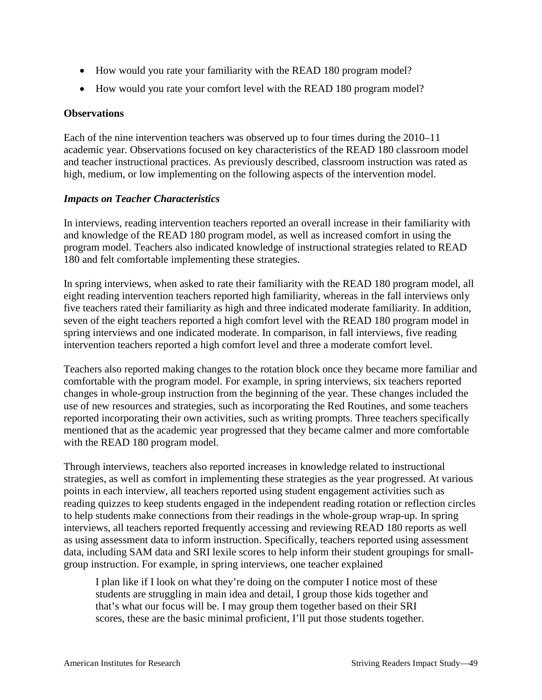- How would you rate your familiarity with the READ 180 program model?
- How would you rate your comfort level with the READ 180 program model?

### **Observations**

Each of the nine intervention teachers was observed up to four times during the 2010–11 academic year. Observations focused on key characteristics of the READ 180 classroom model and teacher instructional practices. As previously described, classroom instruction was rated as high, medium, or low implementing on the following aspects of the intervention model.

### *Impacts on Teacher Characteristics*

In interviews, reading intervention teachers reported an overall increase in their familiarity with and knowledge of the READ 180 program model, as well as increased comfort in using the program model. Teachers also indicated knowledge of instructional strategies related to READ 180 and felt comfortable implementing these strategies.

In spring interviews, when asked to rate their familiarity with the READ 180 program model, all eight reading intervention teachers reported high familiarity, whereas in the fall interviews only five teachers rated their familiarity as high and three indicated moderate familiarity. In addition, seven of the eight teachers reported a high comfort level with the READ 180 program model in spring interviews and one indicated moderate. In comparison, in fall interviews, five reading intervention teachers reported a high comfort level and three a moderate comfort level.

Teachers also reported making changes to the rotation block once they became more familiar and comfortable with the program model. For example, in spring interviews, six teachers reported changes in whole-group instruction from the beginning of the year. These changes included the use of new resources and strategies, such as incorporating the Red Routines, and some teachers reported incorporating their own activities, such as writing prompts. Three teachers specifically mentioned that as the academic year progressed that they became calmer and more comfortable with the READ 180 program model.

Through interviews, teachers also reported increases in knowledge related to instructional strategies, as well as comfort in implementing these strategies as the year progressed. At various points in each interview, all teachers reported using student engagement activities such as reading quizzes to keep students engaged in the independent reading rotation or reflection circles to help students make connections from their readings in the whole-group wrap-up. In spring interviews, all teachers reported frequently accessing and reviewing READ 180 reports as well as using assessment data to inform instruction. Specifically, teachers reported using assessment data, including SAM data and SRI lexile scores to help inform their student groupings for smallgroup instruction. For example, in spring interviews, one teacher explained

I plan like if I look on what they're doing on the computer I notice most of these students are struggling in main idea and detail, I group those kids together and that's what our focus will be. I may group them together based on their SRI scores, these are the basic minimal proficient, I'll put those students together.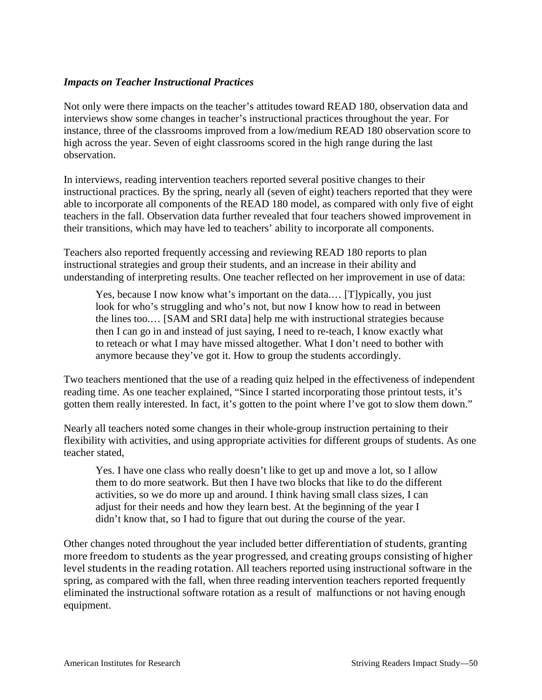### *Impacts on Teacher Instructional Practices*

Not only were there impacts on the teacher's attitudes toward READ 180, observation data and interviews show some changes in teacher's instructional practices throughout the year. For instance, three of the classrooms improved from a low/medium READ 180 observation score to high across the year. Seven of eight classrooms scored in the high range during the last observation.

In interviews, reading intervention teachers reported several positive changes to their instructional practices. By the spring, nearly all (seven of eight) teachers reported that they were able to incorporate all components of the READ 180 model, as compared with only five of eight teachers in the fall. Observation data further revealed that four teachers showed improvement in their transitions, which may have led to teachers' ability to incorporate all components.

Teachers also reported frequently accessing and reviewing READ 180 reports to plan instructional strategies and group their students, and an increase in their ability and understanding of interpreting results. One teacher reflected on her improvement in use of data:

Yes, because I now know what's important on the data.… [T]ypically, you just look for who's struggling and who's not, but now I know how to read in between the lines too.… [SAM and SRI data] help me with instructional strategies because then I can go in and instead of just saying, I need to re-teach, I know exactly what to reteach or what I may have missed altogether. What I don't need to bother with anymore because they've got it. How to group the students accordingly.

Two teachers mentioned that the use of a reading quiz helped in the effectiveness of independent reading time. As one teacher explained, "Since I started incorporating those printout tests, it's gotten them really interested. In fact, it's gotten to the point where I've got to slow them down."

Nearly all teachers noted some changes in their whole-group instruction pertaining to their flexibility with activities, and using appropriate activities for different groups of students. As one teacher stated,

Yes. I have one class who really doesn't like to get up and move a lot, so I allow them to do more seatwork. But then I have two blocks that like to do the different activities, so we do more up and around. I think having small class sizes, I can adjust for their needs and how they learn best. At the beginning of the year I didn't know that, so I had to figure that out during the course of the year.

Other changes noted throughout the year included better differentiation of students, granting more freedom to students as the year progressed, and creating groups consisting of higher level students in the reading rotation. All teachers reported using instructional software in the spring, as compared with the fall, when three reading intervention teachers reported frequently eliminated the instructional software rotation as a result of malfunctions or not having enough equipment.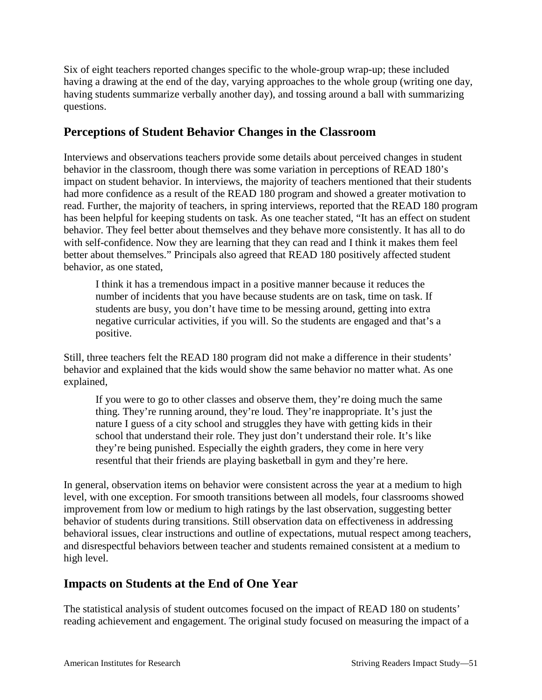Six of eight teachers reported changes specific to the whole-group wrap-up; these included having a drawing at the end of the day, varying approaches to the whole group (writing one day, having students summarize verbally another day), and tossing around a ball with summarizing questions.

## **Perceptions of Student Behavior Changes in the Classroom**

Interviews and observations teachers provide some details about perceived changes in student behavior in the classroom, though there was some variation in perceptions of READ 180's impact on student behavior. In interviews, the majority of teachers mentioned that their students had more confidence as a result of the READ 180 program and showed a greater motivation to read. Further, the majority of teachers, in spring interviews, reported that the READ 180 program has been helpful for keeping students on task. As one teacher stated, "It has an effect on student behavior. They feel better about themselves and they behave more consistently. It has all to do with self-confidence. Now they are learning that they can read and I think it makes them feel better about themselves." Principals also agreed that READ 180 positively affected student behavior, as one stated,

I think it has a tremendous impact in a positive manner because it reduces the number of incidents that you have because students are on task, time on task. If students are busy, you don't have time to be messing around, getting into extra negative curricular activities, if you will. So the students are engaged and that's a positive.

Still, three teachers felt the READ 180 program did not make a difference in their students' behavior and explained that the kids would show the same behavior no matter what. As one explained,

If you were to go to other classes and observe them, they're doing much the same thing. They're running around, they're loud. They're inappropriate. It's just the nature I guess of a city school and struggles they have with getting kids in their school that understand their role. They just don't understand their role. It's like they're being punished. Especially the eighth graders, they come in here very resentful that their friends are playing basketball in gym and they're here.

In general, observation items on behavior were consistent across the year at a medium to high level, with one exception. For smooth transitions between all models, four classrooms showed improvement from low or medium to high ratings by the last observation, suggesting better behavior of students during transitions. Still observation data on effectiveness in addressing behavioral issues, clear instructions and outline of expectations, mutual respect among teachers, and disrespectful behaviors between teacher and students remained consistent at a medium to high level.

## **Impacts on Students at the End of One Year**

The statistical analysis of student outcomes focused on the impact of READ 180 on students' reading achievement and engagement. The original study focused on measuring the impact of a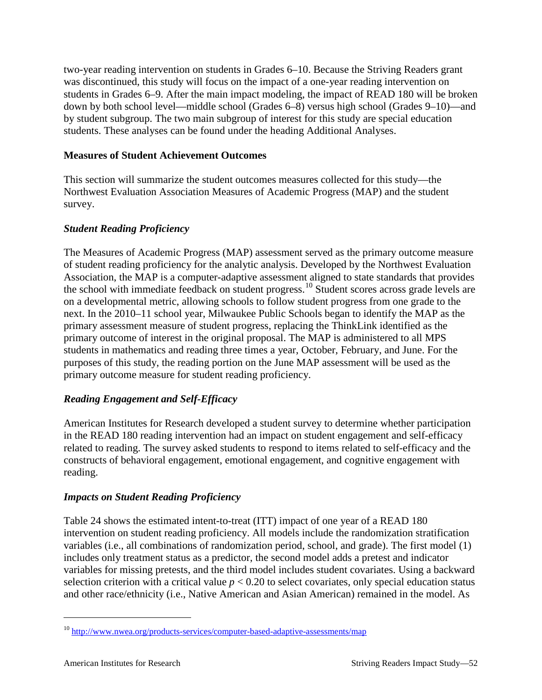two-year reading intervention on students in Grades 6–10. Because the Striving Readers grant was discontinued, this study will focus on the impact of a one-year reading intervention on students in Grades 6–9. After the main impact modeling, the impact of READ 180 will be broken down by both school level—middle school (Grades 6–8) versus high school (Grades 9–10)—and by student subgroup. The two main subgroup of interest for this study are special education students. These analyses can be found under the heading Additional Analyses.

## **Measures of Student Achievement Outcomes**

This section will summarize the student outcomes measures collected for this study—the Northwest Evaluation Association Measures of Academic Progress (MAP) and the student survey.

### *Student Reading Proficiency*

The Measures of Academic Progress (MAP) assessment served as the primary outcome measure of student reading proficiency for the analytic analysis. Developed by the Northwest Evaluation Association, the MAP is a computer-adaptive assessment aligned to state standards that provides the school with immediate feedback on student progress.<sup>[10](#page-55-0)</sup> Student scores across grade levels are on a developmental metric, allowing schools to follow student progress from one grade to the next. In the 2010–11 school year, Milwaukee Public Schools began to identify the MAP as the primary assessment measure of student progress, replacing the ThinkLink identified as the primary outcome of interest in the original proposal. The MAP is administered to all MPS students in mathematics and reading three times a year, October, February, and June. For the purposes of this study, the reading portion on the June MAP assessment will be used as the primary outcome measure for student reading proficiency.

## *Reading Engagement and Self-Efficacy*

American Institutes for Research developed a student survey to determine whether participation in the READ 180 reading intervention had an impact on student engagement and self-efficacy related to reading. The survey asked students to respond to items related to self-efficacy and the constructs of behavioral engagement, emotional engagement, and cognitive engagement with reading.

## *Impacts on Student Reading Proficiency*

Table 24 shows the estimated intent-to-treat (ITT) impact of one year of a READ 180 intervention on student reading proficiency. All models include the randomization stratification variables (i.e., all combinations of randomization period, school, and grade). The first model (1) includes only treatment status as a predictor, the second model adds a pretest and indicator variables for missing pretests, and the third model includes student covariates. Using a backward selection criterion with a critical value  $p < 0.20$  to select covariates, only special education status and other race/ethnicity (i.e., Native American and Asian American) remained in the model. As

<span id="page-55-0"></span><sup>&</sup>lt;sup>10</sup> <http://www.nwea.org/products-services/computer-based-adaptive-assessments/map>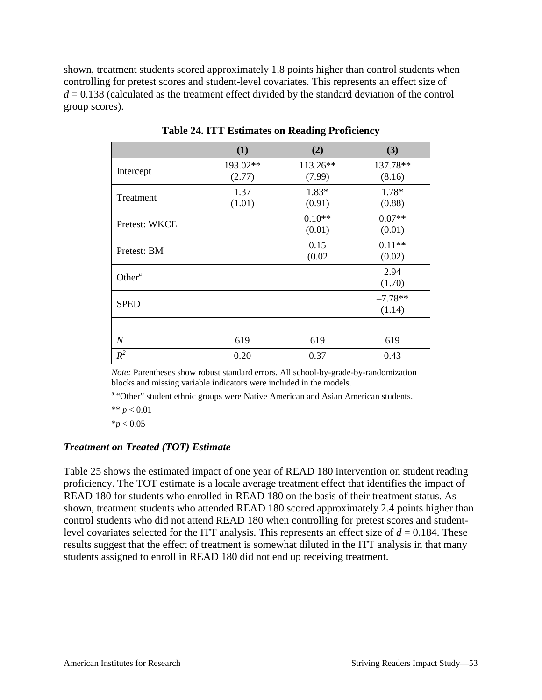shown, treatment students scored approximately 1.8 points higher than control students when controlling for pretest scores and student-level covariates. This represents an effect size of  $d = 0.138$  (calculated as the treatment effect divided by the standard deviation of the control group scores).

|                  | (1)                | (2)                | (3)                 |
|------------------|--------------------|--------------------|---------------------|
| Intercept        | 193.02**<br>(2.77) | 113.26**<br>(7.99) | 137.78**<br>(8.16)  |
| Treatment        | 1.37<br>(1.01)     | 1.83*<br>(0.91)    | 1.78*<br>(0.88)     |
| Pretest: WKCE    |                    | $0.10**$<br>(0.01) | $0.07**$<br>(0.01)  |
| Pretest: BM      |                    | 0.15<br>(0.02)     | $0.11**$<br>(0.02)  |
| Other $a$        |                    |                    | 2.94<br>(1.70)      |
| <b>SPED</b>      |                    |                    | $-7.78**$<br>(1.14) |
|                  |                    |                    |                     |
| $\boldsymbol{N}$ | 619                | 619                | 619                 |
| $R^2$            | 0.20               | 0.37               | 0.43                |

**Table 24. ITT Estimates on Reading Proficiency**

*Note:* Parentheses show robust standard errors. All school-by-grade-by-randomization blocks and missing variable indicators were included in the models.

<sup>a</sup> "Other" student ethnic groups were Native American and Asian American students.

\*\*  $p < 0.01$ 

 $*<sub>p</sub> < 0.05$ 

## *Treatment on Treated (TOT) Estimate*

Table 25 shows the estimated impact of one year of READ 180 intervention on student reading proficiency. The TOT estimate is a locale average treatment effect that identifies the impact of READ 180 for students who enrolled in READ 180 on the basis of their treatment status. As shown, treatment students who attended READ 180 scored approximately 2.4 points higher than control students who did not attend READ 180 when controlling for pretest scores and studentlevel covariates selected for the ITT analysis. This represents an effect size of  $d = 0.184$ . These results suggest that the effect of treatment is somewhat diluted in the ITT analysis in that many students assigned to enroll in READ 180 did not end up receiving treatment.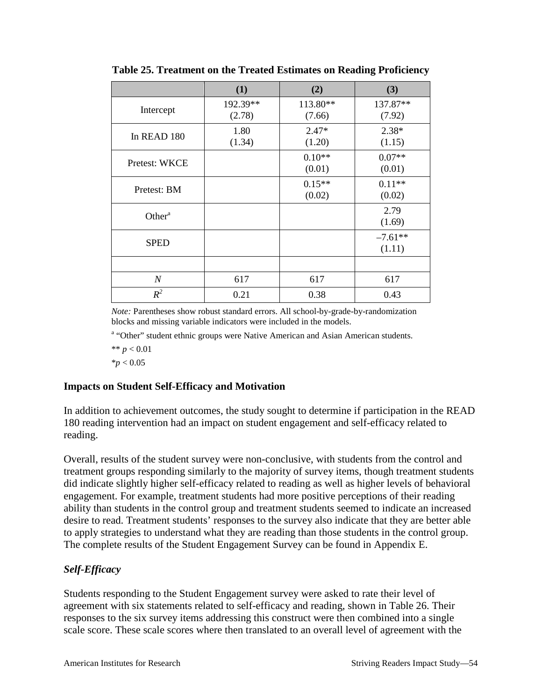|                  | (1)                | (2)                | (3)                 |
|------------------|--------------------|--------------------|---------------------|
| Intercept        | 192.39**<br>(2.78) | 113.80**<br>(7.66) | 137.87**<br>(7.92)  |
| In READ 180      | 1.80<br>(1.34)     | $2.47*$<br>(1.20)  | $2.38*$<br>(1.15)   |
| Pretest: WKCE    |                    | $0.10**$<br>(0.01) | $0.07**$<br>(0.01)  |
| Pretest: BM      |                    | $0.15**$<br>(0.02) | $0.11**$<br>(0.02)  |
| Other $a$        |                    |                    | 2.79<br>(1.69)      |
| <b>SPED</b>      |                    |                    | $-7.61**$<br>(1.11) |
|                  |                    |                    |                     |
| $\boldsymbol{N}$ | 617                | 617                | 617                 |
| $R^2$            | 0.21               | 0.38               | 0.43                |

**Table 25. Treatment on the Treated Estimates on Reading Proficiency**

*Note:* Parentheses show robust standard errors. All school-by-grade-by-randomization blocks and missing variable indicators were included in the models.

<sup>a</sup> "Other" student ethnic groups were Native American and Asian American students.

 $** p < 0.01$ 

 $*$ *p*  $< 0.05$ 

#### **Impacts on Student Self-Efficacy and Motivation**

In addition to achievement outcomes, the study sought to determine if participation in the READ 180 reading intervention had an impact on student engagement and self-efficacy related to reading.

Overall, results of the student survey were non-conclusive, with students from the control and treatment groups responding similarly to the majority of survey items, though treatment students did indicate slightly higher self-efficacy related to reading as well as higher levels of behavioral engagement. For example, treatment students had more positive perceptions of their reading ability than students in the control group and treatment students seemed to indicate an increased desire to read. Treatment students' responses to the survey also indicate that they are better able to apply strategies to understand what they are reading than those students in the control group. The complete results of the Student Engagement Survey can be found in Appendix E.

## *Self-Efficacy*

Students responding to the Student Engagement survey were asked to rate their level of agreement with six statements related to self-efficacy and reading, shown in Table 26. Their responses to the six survey items addressing this construct were then combined into a single scale score. These scale scores where then translated to an overall level of agreement with the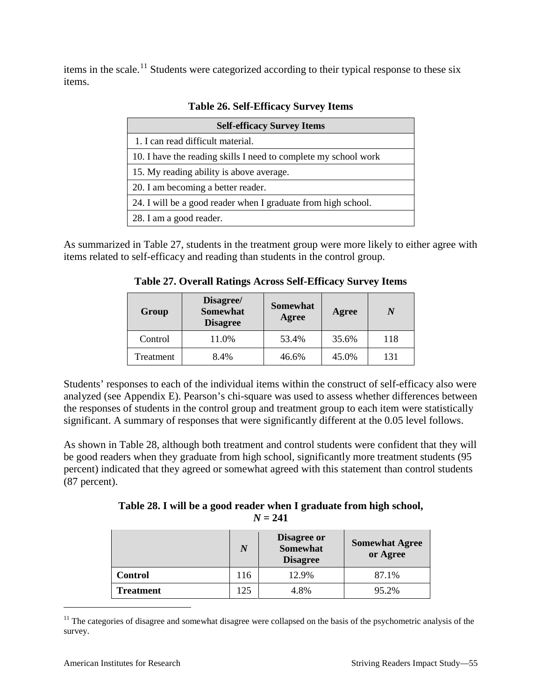items in the scale.<sup>[11](#page-58-0)</sup> Students were categorized according to their typical response to these six items.

| <b>Self-efficacy Survey Items</b>                               |
|-----------------------------------------------------------------|
| 1. I can read difficult material.                               |
| 10. I have the reading skills I need to complete my school work |
| 15. My reading ability is above average.                        |
| 20. I am becoming a better reader.                              |
| 24. I will be a good reader when I graduate from high school.   |
| 28. I am a good reader.                                         |

**Table 26. Self-Efficacy Survey Items**

As summarized in Table 27, students in the treatment group were more likely to either agree with items related to self-efficacy and reading than students in the control group.

**Table 27. Overall Ratings Across Self-Efficacy Survey Items**

| Group     | Disagree/<br><b>Somewhat</b><br><b>Disagree</b> | <b>Somewhat</b><br>Agree | Agree | N   |
|-----------|-------------------------------------------------|--------------------------|-------|-----|
| Control   | 11.0%                                           | 53.4%                    | 35.6% | 118 |
| Treatment | 8.4%                                            | 46.6%                    | 45.0% | 131 |

Students' responses to each of the individual items within the construct of self-efficacy also were analyzed (see Appendix E). Pearson's chi-square was used to assess whether differences between the responses of students in the control group and treatment group to each item were statistically significant. A summary of responses that were significantly different at the 0.05 level follows.

As shown in Table 28, although both treatment and control students were confident that they will be good readers when they graduate from high school, significantly more treatment students (95 percent) indicated that they agreed or somewhat agreed with this statement than control students (87 percent).

**Table 28. I will be a good reader when I graduate from high school,**   $N = 241$ 

|                  | N   | <b>Disagree or</b><br><b>Somewhat</b><br><b>Disagree</b> | <b>Somewhat Agree</b><br>or Agree |
|------------------|-----|----------------------------------------------------------|-----------------------------------|
| <b>Control</b>   | 116 | 12.9%                                                    | 87.1%                             |
| <b>Treatment</b> | 125 | 4.8%                                                     | 95.2%                             |

<span id="page-58-0"></span> $11$  The categories of disagree and somewhat disagree were collapsed on the basis of the psychometric analysis of the survey.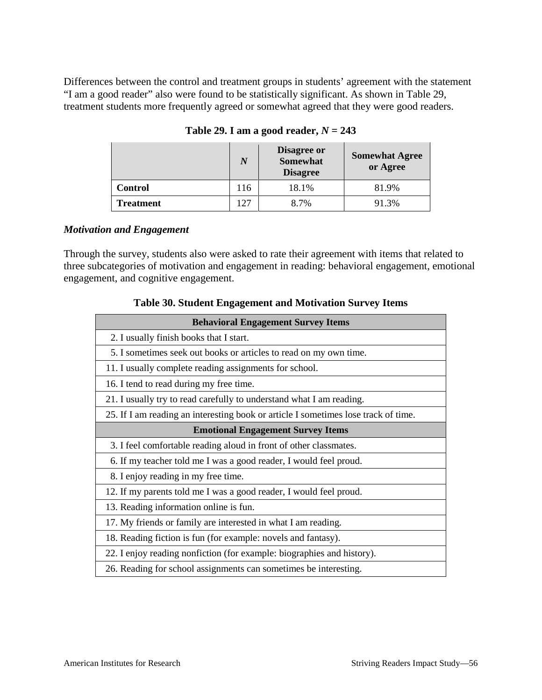Differences between the control and treatment groups in students' agreement with the statement "I am a good reader" also were found to be statistically significant. As shown in Table 29, treatment students more frequently agreed or somewhat agreed that they were good readers.

|                | N   | <b>Disagree or</b><br><b>Somewhat</b><br><b>Disagree</b> | <b>Somewhat Agree</b><br>or Agree |
|----------------|-----|----------------------------------------------------------|-----------------------------------|
| <b>Control</b> | 116 | 18.1%                                                    | 81.9%                             |
| Treatment      |     | 8.7%                                                     | 91.3%                             |

Table 29. I am a good reader,  $N = 243$ 

#### *Motivation and Engagement*

Through the survey, students also were asked to rate their agreement with items that related to three subcategories of motivation and engagement in reading: behavioral engagement, emotional engagement, and cognitive engagement.

| <b>Behavioral Engagement Survey Items</b>                                          |
|------------------------------------------------------------------------------------|
| 2. I usually finish books that I start.                                            |
| 5. I sometimes seek out books or articles to read on my own time.                  |
| 11. I usually complete reading assignments for school.                             |
| 16. I tend to read during my free time.                                            |
| 21. I usually try to read carefully to understand what I am reading.               |
| 25. If I am reading an interesting book or article I sometimes lose track of time. |
| <b>Emotional Engagement Survey Items</b>                                           |
| 3. I feel comfortable reading aloud in front of other classmates.                  |
| 6. If my teacher told me I was a good reader, I would feel proud.                  |
| 8. I enjoy reading in my free time.                                                |
| 12. If my parents told me I was a good reader, I would feel proud.                 |
| 13. Reading information online is fun.                                             |
| 17. My friends or family are interested in what I am reading.                      |
| 18. Reading fiction is fun (for example: novels and fantasy).                      |
| 22. I enjoy reading nonfiction (for example: biographies and history).             |
| 26. Reading for school assignments can sometimes be interesting.                   |

**Table 30. Student Engagement and Motivation Survey Items**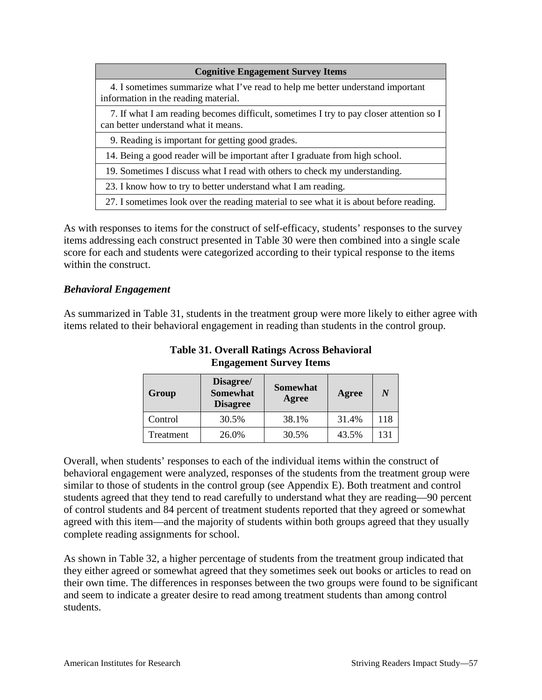| <b>Cognitive Engagement Survey Items</b>                                                                                        |
|---------------------------------------------------------------------------------------------------------------------------------|
| 4. I sometimes summarize what I've read to help me better understand important<br>information in the reading material.          |
| 7. If what I am reading becomes difficult, sometimes I try to pay closer attention so I<br>can better understand what it means. |
| 9. Reading is important for getting good grades.                                                                                |
| 14. Being a good reader will be important after I graduate from high school.                                                    |
| 19. Sometimes I discuss what I read with others to check my understanding.                                                      |
| 23. I know how to try to better understand what I am reading.                                                                   |
| 27. I sometimes look over the reading material to see what it is about before reading.                                          |

As with responses to items for the construct of self-efficacy, students' responses to the survey items addressing each construct presented in Table 30 were then combined into a single scale score for each and students were categorized according to their typical response to the items within the construct.

#### *Behavioral Engagement*

As summarized in Table 31, students in the treatment group were more likely to either agree with items related to their behavioral engagement in reading than students in the control group.

| Group     | Disagree/<br><b>Somewhat</b><br><b>Disagree</b> | <b>Somewhat</b><br>Agree | Agree | N   |
|-----------|-------------------------------------------------|--------------------------|-------|-----|
| Control   | 30.5%                                           | 38.1%                    | 31.4% | 118 |
| Treatment | 26.0%                                           | 30.5%                    | 43.5% | 131 |

**Table 31. Overall Ratings Across Behavioral Engagement Survey Items**

Overall, when students' responses to each of the individual items within the construct of behavioral engagement were analyzed, responses of the students from the treatment group were similar to those of students in the control group (see Appendix E). Both treatment and control students agreed that they tend to read carefully to understand what they are reading—90 percent of control students and 84 percent of treatment students reported that they agreed or somewhat agreed with this item—and the majority of students within both groups agreed that they usually complete reading assignments for school.

As shown in Table 32, a higher percentage of students from the treatment group indicated that they either agreed or somewhat agreed that they sometimes seek out books or articles to read on their own time. The differences in responses between the two groups were found to be significant and seem to indicate a greater desire to read among treatment students than among control students.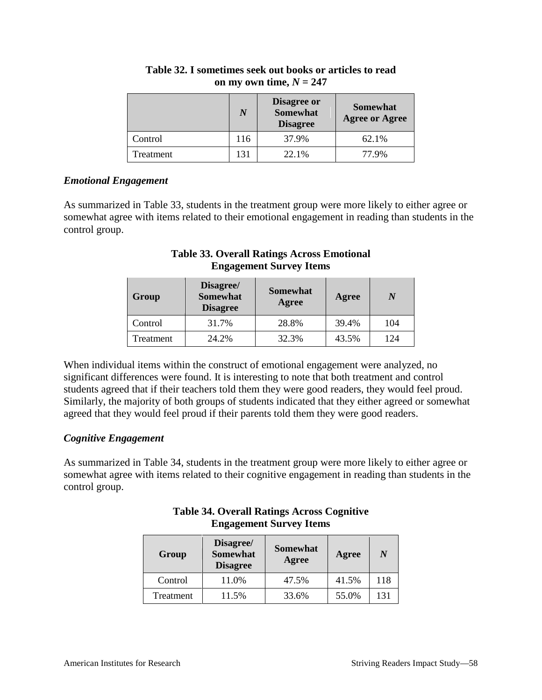|           | N   | Disagree or<br><b>Somewhat</b><br><b>Disagree</b> | <b>Somewhat</b><br><b>Agree or Agree</b> |
|-----------|-----|---------------------------------------------------|------------------------------------------|
| Control   | 116 | 37.9%                                             | 62.1%                                    |
| Treatment | 131 | 22.1%                                             | 77 9%                                    |

## **Table 32. I sometimes seek out books or articles to read**  on my own time,  $N = 247$

### *Emotional Engagement*

As summarized in Table 33, students in the treatment group were more likely to either agree or somewhat agree with items related to their emotional engagement in reading than students in the control group.

## **Table 33. Overall Ratings Across Emotional Engagement Survey Items**

| Group     | Disagree/<br><b>Somewhat</b><br><b>Disagree</b> | <b>Somewhat</b><br>Agree | Agree |     |
|-----------|-------------------------------------------------|--------------------------|-------|-----|
| Control   | 31.7%                                           | 28.8%                    | 39.4% | 104 |
| Treatment | 24.2%                                           | 32.3%                    | 43.5% | 124 |

When individual items within the construct of emotional engagement were analyzed, no significant differences were found. It is interesting to note that both treatment and control students agreed that if their teachers told them they were good readers, they would feel proud. Similarly, the majority of both groups of students indicated that they either agreed or somewhat agreed that they would feel proud if their parents told them they were good readers.

## *Cognitive Engagement*

As summarized in Table 34, students in the treatment group were more likely to either agree or somewhat agree with items related to their cognitive engagement in reading than students in the control group.

### **Table 34. Overall Ratings Across Cognitive Engagement Survey Items**

| Group     | Disagree/<br><b>Somewhat</b><br><b>Disagree</b> | <b>Somewhat</b><br>Agree | Agree | N   |
|-----------|-------------------------------------------------|--------------------------|-------|-----|
| Control   | 11.0%                                           | 47.5%                    | 41.5% | 118 |
| Treatment | 11.5%                                           | 33.6%                    | 55.0% | 131 |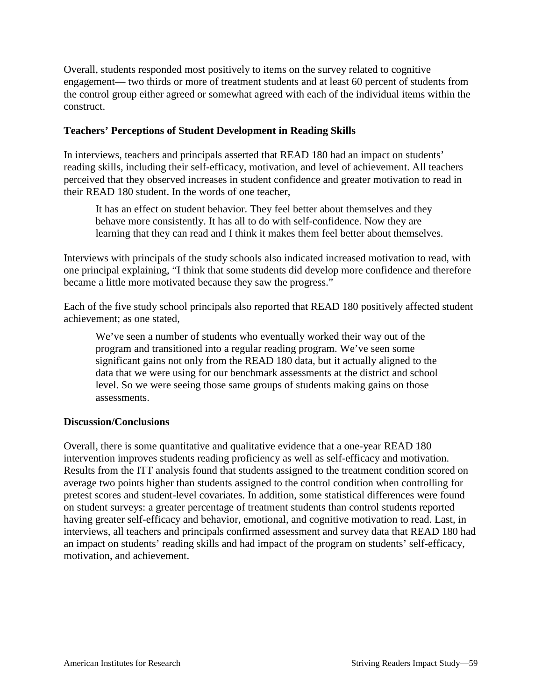Overall, students responded most positively to items on the survey related to cognitive engagement— two thirds or more of treatment students and at least 60 percent of students from the control group either agreed or somewhat agreed with each of the individual items within the construct.

## **Teachers' Perceptions of Student Development in Reading Skills**

In interviews, teachers and principals asserted that READ 180 had an impact on students' reading skills, including their self-efficacy, motivation, and level of achievement. All teachers perceived that they observed increases in student confidence and greater motivation to read in their READ 180 student. In the words of one teacher,

It has an effect on student behavior. They feel better about themselves and they behave more consistently. It has all to do with self-confidence. Now they are learning that they can read and I think it makes them feel better about themselves.

Interviews with principals of the study schools also indicated increased motivation to read, with one principal explaining, "I think that some students did develop more confidence and therefore became a little more motivated because they saw the progress."

Each of the five study school principals also reported that READ 180 positively affected student achievement; as one stated,

We've seen a number of students who eventually worked their way out of the program and transitioned into a regular reading program. We've seen some significant gains not only from the READ 180 data, but it actually aligned to the data that we were using for our benchmark assessments at the district and school level. So we were seeing those same groups of students making gains on those assessments.

#### **Discussion/Conclusions**

Overall, there is some quantitative and qualitative evidence that a one-year READ 180 intervention improves students reading proficiency as well as self-efficacy and motivation. Results from the ITT analysis found that students assigned to the treatment condition scored on average two points higher than students assigned to the control condition when controlling for pretest scores and student-level covariates. In addition, some statistical differences were found on student surveys: a greater percentage of treatment students than control students reported having greater self-efficacy and behavior, emotional, and cognitive motivation to read. Last, in interviews, all teachers and principals confirmed assessment and survey data that READ 180 had an impact on students' reading skills and had impact of the program on students' self-efficacy, motivation, and achievement.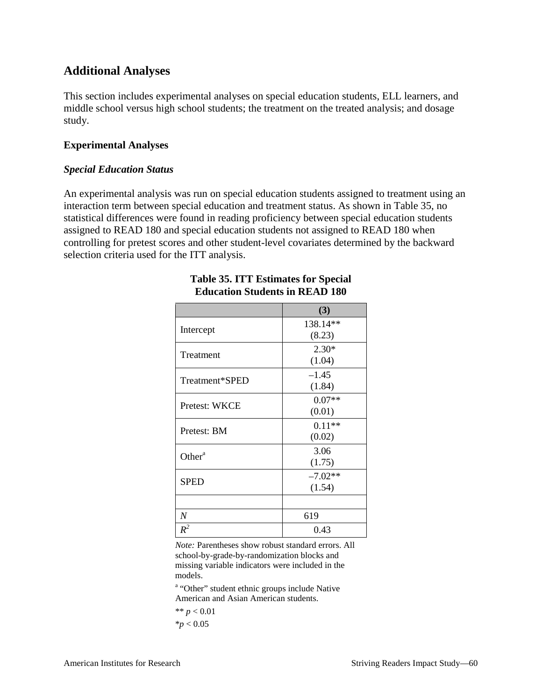## **Additional Analyses**

This section includes experimental analyses on special education students, ELL learners, and middle school versus high school students; the treatment on the treated analysis; and dosage study.

#### **Experimental Analyses**

#### *Special Education Status*

An experimental analysis was run on special education students assigned to treatment using an interaction term between special education and treatment status. As shown in Table 35, no statistical differences were found in reading proficiency between special education students assigned to READ 180 and special education students not assigned to READ 180 when controlling for pretest scores and other student-level covariates determined by the backward selection criteria used for the ITT analysis.

|                    | (3)       |
|--------------------|-----------|
| Intercept          | 138.14**  |
|                    | (8.23)    |
| Treatment          | $2.30*$   |
|                    | (1.04)    |
| Treatment*SPED     | $-1.45$   |
|                    | (1.84)    |
| Pretest: WKCE      | $0.07**$  |
|                    | (0.01)    |
| Pretest: BM        | $0.11**$  |
|                    | (0.02)    |
| Other <sup>a</sup> | 3.06      |
|                    | (1.75)    |
| <b>SPED</b>        | $-7.02**$ |
|                    | (1.54)    |
|                    |           |
| $\boldsymbol{N}$   | 619       |
| $R^2$              | 0.43      |

## **Table 35. ITT Estimates for Special Education Students in READ 180**

*Note:* Parentheses show robust standard errors. All school-by-grade-by-randomization blocks and missing variable indicators were included in the models.

<sup>a</sup> "Other" student ethnic groups include Native American and Asian American students.

\*\*  $p < 0.01$  $*_{p}$  < 0.05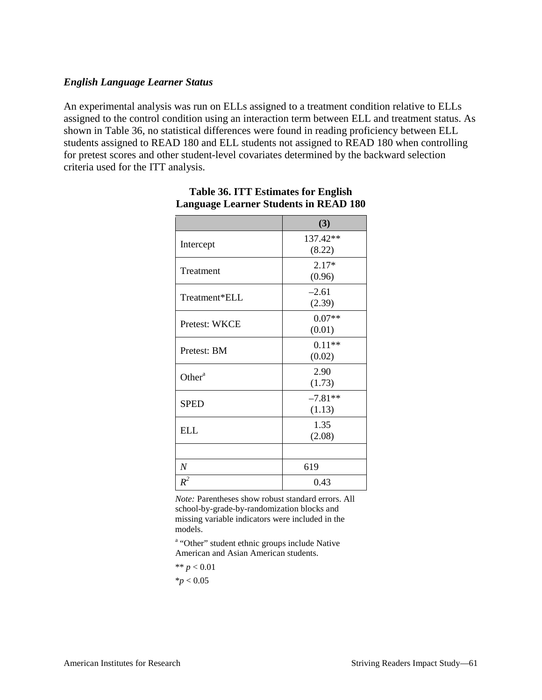#### *English Language Learner Status*

An experimental analysis was run on ELLs assigned to a treatment condition relative to ELLs assigned to the control condition using an interaction term between ELL and treatment status. As shown in Table 36, no statistical differences were found in reading proficiency between ELL students assigned to READ 180 and ELL students not assigned to READ 180 when controlling for pretest scores and other student-level covariates determined by the backward selection criteria used for the ITT analysis.

|                    | (3)       |
|--------------------|-----------|
| Intercept          | 137.42**  |
|                    | (8.22)    |
| Treatment          | $2.17*$   |
|                    | (0.96)    |
| Treatment*ELL      | $-2.61$   |
|                    | (2.39)    |
|                    | $0.07**$  |
| Pretest: WKCE      | (0.01)    |
|                    | $0.11**$  |
| Pretest: BM        | (0.02)    |
| Other <sup>a</sup> | 2.90      |
|                    | (1.73)    |
|                    | $-7.81**$ |
| <b>SPED</b>        | (1.13)    |
|                    | 1.35      |
| <b>ELL</b>         | (2.08)    |
|                    |           |
| $\boldsymbol{N}$   | 619       |
| $R^2$              | 0.43      |

## **Table 36. ITT Estimates for English Language Learner Students in READ 180**

*Note:* Parentheses show robust standard errors. All school-by-grade-by-randomization blocks and missing variable indicators were included in the models.

<sup>a</sup> "Other" student ethnic groups include Native American and Asian American students.

\*\*  $p < 0.01$  $*_{p}$  < 0.05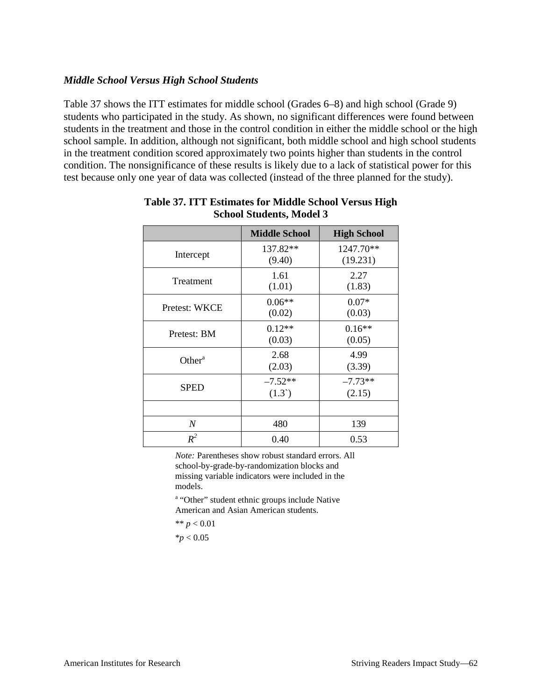#### *Middle School Versus High School Students*

Table 37 shows the ITT estimates for middle school (Grades 6–8) and high school (Grade 9) students who participated in the study. As shown, no significant differences were found between students in the treatment and those in the control condition in either the middle school or the high school sample. In addition, although not significant, both middle school and high school students in the treatment condition scored approximately two points higher than students in the control condition. The nonsignificance of these results is likely due to a lack of statistical power for this test because only one year of data was collected (instead of the three planned for the study).

|                    | <b>Middle School</b>         | <b>High School</b>    |
|--------------------|------------------------------|-----------------------|
| Intercept          | $137.82**$<br>(9.40)         | 1247.70**<br>(19.231) |
| Treatment          | 1.61<br>(1.01)               | 2.27<br>(1.83)        |
| Pretest: WKCE      | $0.06**$<br>(0.02)           | $0.07*$<br>(0.03)     |
| Pretest: BM        | $0.12**$<br>(0.03)           | $0.16**$<br>(0.05)    |
| Other <sup>a</sup> | 2.68<br>(2.03)               | 4.99<br>(3.39)        |
| <b>SPED</b>        | $-7.52**$<br>$(1.3^{\circ})$ | $-7.73**$<br>(2.15)   |
|                    |                              |                       |
| $\boldsymbol{N}$   | 480                          | 139                   |
| $R^2$              | 0.40                         | 0.53                  |

#### **Table 37. ITT Estimates for Middle School Versus High School Students, Model 3**

*Note:* Parentheses show robust standard errors. All school-by-grade-by-randomization blocks and missing variable indicators were included in the models.

<sup>a</sup> "Other" student ethnic groups include Native American and Asian American students.

$$
** p < 0.01
$$

$$
*p<0.05
$$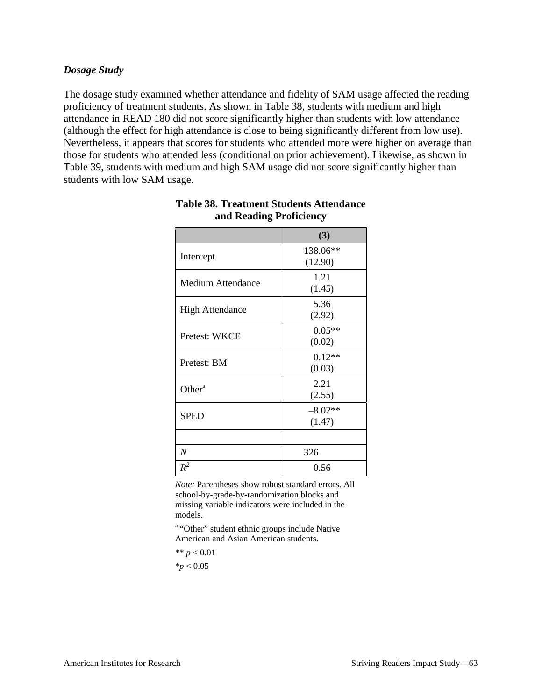#### *Dosage Study*

The dosage study examined whether attendance and fidelity of SAM usage affected the reading proficiency of treatment students. As shown in Table 38, students with medium and high attendance in READ 180 did not score significantly higher than students with low attendance (although the effect for high attendance is close to being significantly different from low use). Nevertheless, it appears that scores for students who attended more were higher on average than those for students who attended less (conditional on prior achievement). Likewise, as shown in Table 39, students with medium and high SAM usage did not score significantly higher than students with low SAM usage.

|                          | (3)                 |  |
|--------------------------|---------------------|--|
| Intercept                | 138.06**<br>(12.90) |  |
| <b>Medium Attendance</b> | 1.21<br>(1.45)      |  |
| <b>High Attendance</b>   | 5.36<br>(2.92)      |  |
| Pretest: WKCE            | $0.05**$<br>(0.02)  |  |
| Pretest: BM              | $0.12**$<br>(0.03)  |  |
| Other <sup>a</sup>       | 2.21<br>(2.55)      |  |
| <b>SPED</b>              | $-8.02**$<br>(1.47) |  |
|                          |                     |  |
| $\overline{N}$           | 326                 |  |
| $R^2$                    | 0.56                |  |

#### **Table 38. Treatment Students Attendance and Reading Proficiency**

*Note:* Parentheses show robust standard errors. All school-by-grade-by-randomization blocks and missing variable indicators were included in the models.

<sup>a</sup> "Other" student ethnic groups include Native American and Asian American students.

\*\*  $p < 0.01$  $*$ *p*  $< 0.05$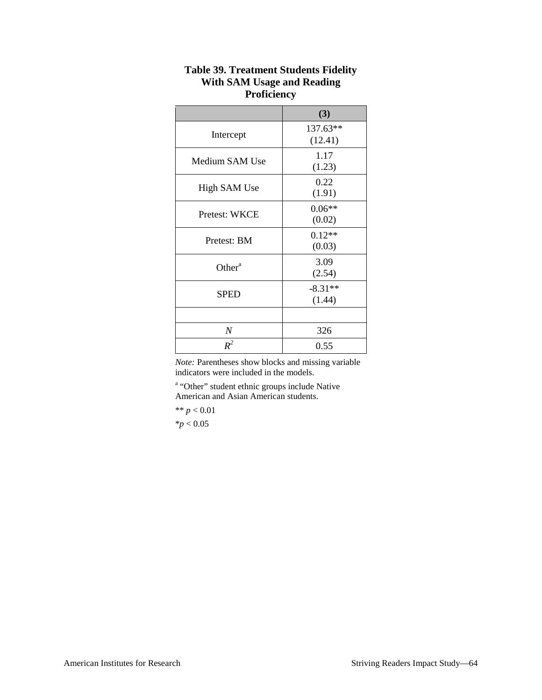|                  | (3)                 |  |
|------------------|---------------------|--|
| Intercept        | 137.63**<br>(12.41) |  |
| Medium SAM Use   | 1.17<br>(1.23)      |  |
| High SAM Use     | 0.22<br>(1.91)      |  |
| Pretest: WKCE    | $0.06**$<br>(0.02)  |  |
| Pretest: BM      | $0.12**$<br>(0.03)  |  |
| Other $a$        | 3.09<br>(2.54)      |  |
| <b>SPED</b>      | $-8.31**$<br>(1.44) |  |
|                  |                     |  |
| $\boldsymbol{N}$ | 326                 |  |
| $R^2$            | 0.55                |  |

## **Table 39. Treatment Students Fidelity With SAM Usage and Reading Proficiency**

*Note:* Parentheses show blocks and missing variable indicators were included in the models.

<sup>a</sup> "Other" student ethnic groups include Native American and Asian American students.

 $** p < 0.01$ 

 $*$ *p*  $< 0.05$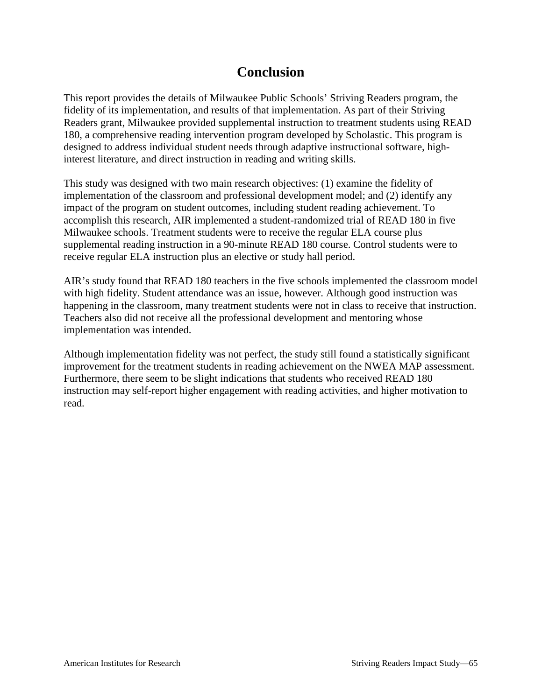# **Conclusion**

This report provides the details of Milwaukee Public Schools' Striving Readers program, the fidelity of its implementation, and results of that implementation. As part of their Striving Readers grant, Milwaukee provided supplemental instruction to treatment students using READ 180, a comprehensive reading intervention program developed by Scholastic. This program is designed to address individual student needs through adaptive instructional software, highinterest literature, and direct instruction in reading and writing skills.

This study was designed with two main research objectives: (1) examine the fidelity of implementation of the classroom and professional development model; and (2) identify any impact of the program on student outcomes, including student reading achievement. To accomplish this research, AIR implemented a student-randomized trial of READ 180 in five Milwaukee schools. Treatment students were to receive the regular ELA course plus supplemental reading instruction in a 90-minute READ 180 course. Control students were to receive regular ELA instruction plus an elective or study hall period.

AIR's study found that READ 180 teachers in the five schools implemented the classroom model with high fidelity. Student attendance was an issue, however. Although good instruction was happening in the classroom, many treatment students were not in class to receive that instruction. Teachers also did not receive all the professional development and mentoring whose implementation was intended.

Although implementation fidelity was not perfect, the study still found a statistically significant improvement for the treatment students in reading achievement on the NWEA MAP assessment. Furthermore, there seem to be slight indications that students who received READ 180 instruction may self-report higher engagement with reading activities, and higher motivation to read.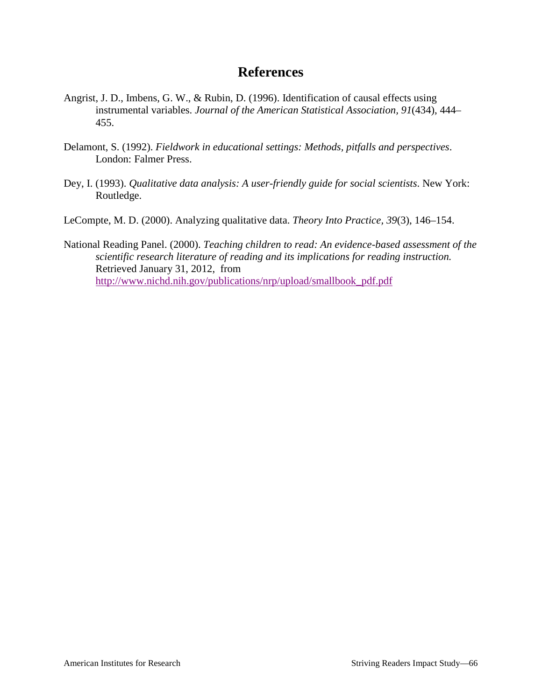## **References**

- Angrist, J. D., Imbens, G. W., & Rubin, D. (1996). Identification of causal effects using instrumental variables. *Journal of the American Statistical Association, 91*(434), 444– 455.
- Delamont, S. (1992). *Fieldwork in educational settings: Methods, pitfalls and perspectives*. London: Falmer Press.
- Dey, I. (1993). *Qualitative data analysis: A user-friendly guide for social scientists*. New York: Routledge.
- LeCompte, M. D. (2000). Analyzing qualitative data. *Theory Into Practice, 39*(3), 146–154.
- National Reading Panel. (2000). *Teaching children to read: An evidence-based assessment of the scientific research literature of reading and its implications for reading instruction.*  Retrieved January 31, 2012, from [http://www.nichd.nih.gov/publications/nrp/upload/smallbook\\_pdf.pdf](http://www.nichd.nih.gov/publications/nrp/upload/smallbook_pdf.pdf)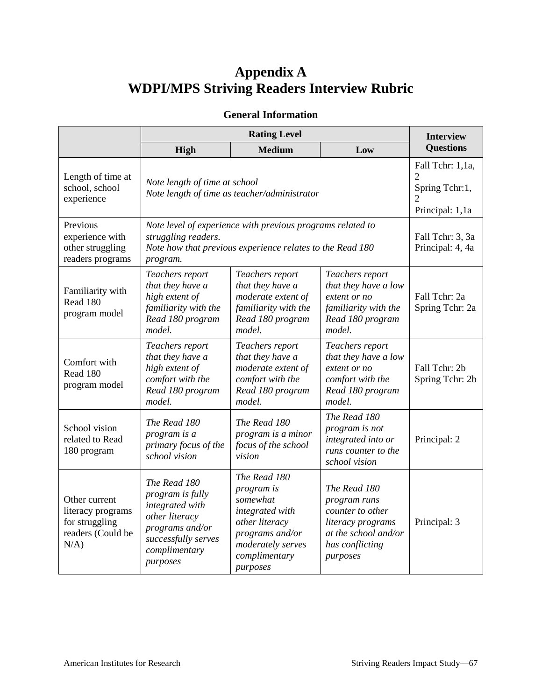# **Appendix A WDPI/MPS Striving Readers Interview Rubric**

## **General Information**

|                                                                                      | <b>Rating Level</b>                                                                                                                                        |                                                                                                                                                  |                                                                                                                              | <b>Interview</b>                     |
|--------------------------------------------------------------------------------------|------------------------------------------------------------------------------------------------------------------------------------------------------------|--------------------------------------------------------------------------------------------------------------------------------------------------|------------------------------------------------------------------------------------------------------------------------------|--------------------------------------|
|                                                                                      | High                                                                                                                                                       | <b>Medium</b>                                                                                                                                    | Low                                                                                                                          | <b>Questions</b>                     |
| Length of time at<br>school, school<br>experience                                    | Note length of time at school<br>Note length of time as teacher/administrator                                                                              | Fall Tchr: 1,1a,<br>Spring Tchr:1,<br>Principal: 1,1a                                                                                            |                                                                                                                              |                                      |
| Previous<br>experience with<br>other struggling<br>readers programs                  | Note level of experience with previous programs related to<br>struggling readers.<br>Note how that previous experience relates to the Read 180<br>program. |                                                                                                                                                  |                                                                                                                              | Fall Tchr: 3, 3a<br>Principal: 4, 4a |
| Familiarity with<br>Read 180<br>program model                                        | Teachers report<br>that they have a<br>high extent of<br>familiarity with the<br>Read 180 program<br>model.                                                | Teachers report<br>that they have a<br>moderate extent of<br>familiarity with the<br>Read 180 program<br>model.                                  | Teachers report<br>that they have a low<br>extent or no<br>familiarity with the<br>Read 180 program<br>model.                | Fall Tchr: 2a<br>Spring Tchr: 2a     |
| Comfort with<br>Read 180<br>program model                                            | Teachers report<br>that they have a<br>high extent of<br>comfort with the<br>Read 180 program<br>model.                                                    | Teachers report<br>that they have a<br>moderate extent of<br>comfort with the<br>Read 180 program<br>model.                                      | Teachers report<br>that they have a low<br>extent or no<br>comfort with the<br>Read 180 program<br>model.                    | Fall Tchr: 2b<br>Spring Tchr: 2b     |
| School vision<br>related to Read<br>180 program                                      | The Read 180<br>program is a<br>primary focus of the<br>school vision                                                                                      | The Read 180<br>program is a minor<br>focus of the school<br>vision                                                                              | The Read 180<br>program is not<br>integrated into or<br>runs counter to the<br>school vision                                 | Principal: 2                         |
| Other current<br>literacy programs<br>for struggling<br>readers (Could be<br>$N/A$ ) | The Read 180<br>program is fully<br>integrated with<br>other literacy<br>programs and/or<br>successfully serves<br>complimentary<br>purposes               | The Read 180<br>program is<br>somewhat<br>integrated with<br>other literacy<br>programs and/or<br>moderately serves<br>complimentary<br>purposes | The Read 180<br>program runs<br>counter to other<br>literacy programs<br>at the school and/or<br>has conflicting<br>purposes | Principal: 3                         |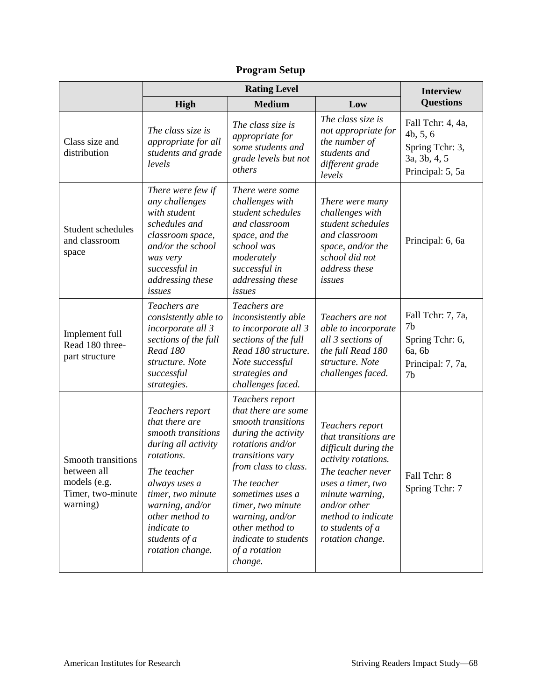|                                                                                    | <b>Rating Level</b>                                                                                                                                                                                                                         |                                                                                                                                                                                                                                                                                                       |                                                                                                                                                                                                                                   |                                                                                             |
|------------------------------------------------------------------------------------|---------------------------------------------------------------------------------------------------------------------------------------------------------------------------------------------------------------------------------------------|-------------------------------------------------------------------------------------------------------------------------------------------------------------------------------------------------------------------------------------------------------------------------------------------------------|-----------------------------------------------------------------------------------------------------------------------------------------------------------------------------------------------------------------------------------|---------------------------------------------------------------------------------------------|
|                                                                                    | High                                                                                                                                                                                                                                        | <b>Medium</b>                                                                                                                                                                                                                                                                                         | Low                                                                                                                                                                                                                               | <b>Questions</b>                                                                            |
| Class size and<br>distribution                                                     | The class size is<br>appropriate for all<br>students and grade<br>levels                                                                                                                                                                    | The class size is<br>appropriate for<br>some students and<br>grade levels but not<br>others                                                                                                                                                                                                           | The class size is<br>not appropriate for<br>the number of<br>students and<br>different grade<br>levels                                                                                                                            | Fall Tchr: 4, 4a,<br>4b, 5, 6<br>Spring Tchr: 3,<br>3a, 3b, 4, 5<br>Principal: 5, 5a        |
| Student schedules<br>and classroom<br>space                                        | There were few if<br>any challenges<br>with student<br>schedules and<br>classroom space,<br>and/or the school<br>was very<br>successful in<br>addressing these<br>issues                                                                    | There were some<br>challenges with<br>student schedules<br>and classroom<br>space, and the<br>school was<br>moderately<br>successful in<br>addressing these<br>issues                                                                                                                                 | There were many<br>challenges with<br>student schedules<br>and classroom<br>space, and/or the<br>school did not<br>address these<br>issues                                                                                        | Principal: 6, 6a                                                                            |
| Implement full<br>Read 180 three-<br>part structure                                | Teachers are<br>consistently able to<br>incorporate all 3<br>sections of the full<br><b>Read 180</b><br>structure. Note<br>successful<br>strategies.                                                                                        | Teachers are<br>inconsistently able<br>to incorporate all 3<br>sections of the full<br>Read 180 structure.<br>Note successful<br>strategies and<br>challenges faced.                                                                                                                                  | Teachers are not<br>able to incorporate<br>all 3 sections of<br>the full Read 180<br>structure. Note<br>challenges faced.                                                                                                         | Fall Tchr: 7, 7a,<br>7b<br>Spring Tchr: 6,<br>6a, 6b<br>Principal: 7, 7a,<br>7 <sub>b</sub> |
| Smooth transitions<br>between all<br>models (e.g.<br>Timer, two-minute<br>warning) | Teachers report<br>that there are<br>smooth transitions<br>during all activity<br>rotations.<br>The teacher<br>always uses a<br>timer, two minute<br>warning, and/or<br>other method to<br>indicate to<br>students of a<br>rotation change. | Teachers report<br>that there are some<br>smooth transitions<br>during the activity<br>rotations and/or<br>transitions vary<br>from class to class.<br>The teacher<br>sometimes uses a<br>timer, two minute<br>warning, and/or<br>other method to<br>indicate to students<br>of a rotation<br>change. | Teachers report<br>that transitions are<br>difficult during the<br>activity rotations.<br>The teacher never<br>uses a timer, two<br>minute warning,<br>and/or other<br>method to indicate<br>to students of a<br>rotation change. | Fall Tchr: 8<br>Spring Tchr: 7                                                              |

# **Program Setup**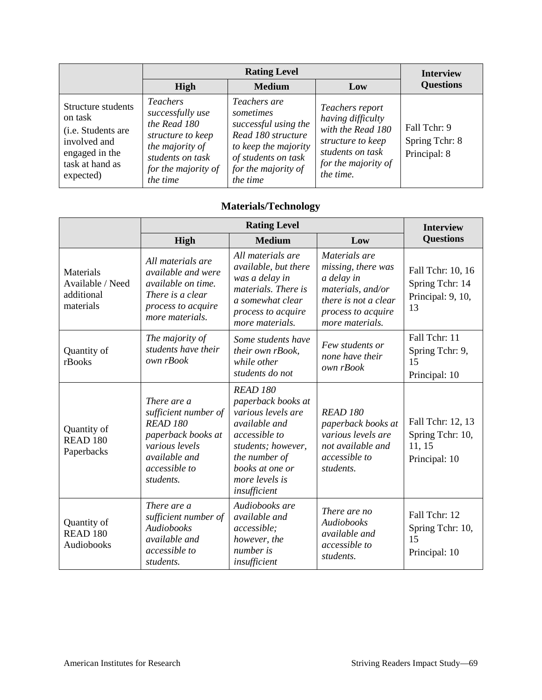|                                                                                                                       | <b>Rating Level</b>                                                                                                                                |                                                                                                                                                           |                                                                                                                                        | <b>Interview</b>                               |
|-----------------------------------------------------------------------------------------------------------------------|----------------------------------------------------------------------------------------------------------------------------------------------------|-----------------------------------------------------------------------------------------------------------------------------------------------------------|----------------------------------------------------------------------------------------------------------------------------------------|------------------------------------------------|
|                                                                                                                       | <b>High</b>                                                                                                                                        | <b>Medium</b>                                                                                                                                             | Low                                                                                                                                    | <b>Questions</b>                               |
| Structure students<br>on task<br>(i.e. Students are<br>involved and<br>engaged in the<br>task at hand as<br>expected) | <i>Teachers</i><br>successfully use<br>the Read 180<br>structure to keep<br>the majority of<br>students on task<br>for the majority of<br>the time | Teachers are<br>sometimes<br>successful using the<br>Read 180 structure<br>to keep the majority<br>of students on task<br>for the majority of<br>the time | Teachers report<br>having difficulty<br>with the Read 180<br>structure to keep<br>students on task<br>for the majority of<br>the time. | Fall Tchr: 9<br>Spring Tchr: 8<br>Principal: 8 |

## **Materials/Technology**

|                                                          | <b>Rating Level</b>                                                                                                                                  |                                                                                                                                                                                                  |                                                                                                                                         | <b>Interview</b>                                                 |
|----------------------------------------------------------|------------------------------------------------------------------------------------------------------------------------------------------------------|--------------------------------------------------------------------------------------------------------------------------------------------------------------------------------------------------|-----------------------------------------------------------------------------------------------------------------------------------------|------------------------------------------------------------------|
|                                                          | High                                                                                                                                                 | <b>Medium</b>                                                                                                                                                                                    | Low                                                                                                                                     | <b>Questions</b>                                                 |
| Materials<br>Available / Need<br>additional<br>materials | All materials are<br>available and were<br><i>available on time.</i><br>There is a clear<br>process to acquire<br>more materials.                    | All materials are<br>available, but there<br>was a delay in<br><i>materials. There is</i><br>a somewhat clear<br>process to acquire<br>more materials.                                           | Materials are<br>missing, there was<br>a delay in<br>materials, and/or<br>there is not a clear<br>process to acquire<br>more materials. | Fall Tchr: 10, 16<br>Spring Tchr: 14<br>Principal: 9, 10,<br>13  |
| Quantity of<br>rBooks                                    | The majority of<br>students have their<br>own rBook                                                                                                  | Some students have<br>their own rBook,<br>while other<br>students do not                                                                                                                         | Few students or<br>none have their<br>own rBook                                                                                         | Fall Tchr: 11<br>Spring Tchr: 9,<br>15<br>Principal: 10          |
| Quantity of<br>READ <sub>180</sub><br>Paperbacks         | There are a<br>sufficient number of<br><b>READ 180</b><br>paperback books at<br>various levels<br>available and<br><i>accessible to</i><br>students. | <b>READ 180</b><br>paperback books at<br>various levels are<br><i>available and</i><br>accessible to<br>students; however,<br>the number of<br>books at one or<br>more levels is<br>insufficient | <b>READ 180</b><br>paperback books at<br>various levels are<br>not available and<br>accessible to<br>students.                          | Fall Tchr: 12, 13<br>Spring Tchr: 10,<br>11, 15<br>Principal: 10 |
| Quantity of<br><b>READ 180</b><br>Audiobooks             | There are a<br>sufficient number of<br>Audiobooks<br>available and<br>accessible to<br>students.                                                     | Audiobooks are<br><i>available and</i><br>accessible;<br>however, the<br>number is<br>insufficient                                                                                               | There are no<br>Audiobooks<br>available and<br>accessible to<br>students.                                                               | Fall Tchr: 12<br>Spring Tchr: 10,<br>15<br>Principal: 10         |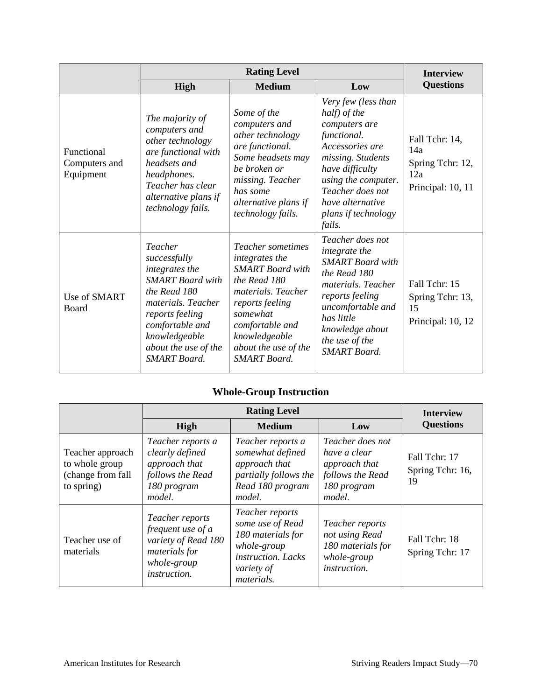|                                          | <b>Rating Level</b>                                                                                                                                                                                              |                                                                                                                                                                                                                        |                                                                                                                                                                                                                                | <b>Interview</b>                                                      |
|------------------------------------------|------------------------------------------------------------------------------------------------------------------------------------------------------------------------------------------------------------------|------------------------------------------------------------------------------------------------------------------------------------------------------------------------------------------------------------------------|--------------------------------------------------------------------------------------------------------------------------------------------------------------------------------------------------------------------------------|-----------------------------------------------------------------------|
|                                          | <b>High</b>                                                                                                                                                                                                      | <b>Medium</b>                                                                                                                                                                                                          | Low                                                                                                                                                                                                                            | <b>Questions</b>                                                      |
| Functional<br>Computers and<br>Equipment | The majority of<br>computers and<br>other technology<br>are functional with<br>headsets and<br>headphones.<br>Teacher has clear<br>alternative plans if<br>technology fails.                                     | Some of the<br>computers and<br>other technology<br>are functional.<br>Some headsets may<br>be broken or<br>missing. Teacher<br>has some<br>alternative plans if<br>technology fails.                                  | Very few (less than<br>half) of the<br>computers are<br>functional.<br>Accessories are<br>missing. Students<br>have difficulty<br>using the computer.<br>Teacher does not<br>have alternative<br>plans if technology<br>fails. | Fall Tchr: 14,<br>14a<br>Spring Tchr: 12,<br>12a<br>Principal: 10, 11 |
| Use of SMART<br>Board                    | Teacher<br>successfully<br>integrates the<br><b>SMART</b> Board with<br>the Read 180<br>materials. Teacher<br>reports feeling<br>comfortable and<br>knowledgeable<br>about the use of the<br><b>SMART</b> Board. | Teacher sometimes<br>integrates the<br><b>SMART</b> Board with<br>the Read 180<br>materials. Teacher<br>reports feeling<br>somewhat<br>comfortable and<br>knowledgeable<br>about the use of the<br><b>SMART</b> Board. | Teacher does not<br>integrate the<br><b>SMART</b> Board with<br>the Read 180<br>materials. Teacher<br>reports feeling<br>uncomfortable and<br>has little<br>knowledge about<br>the use of the<br><b>SMART</b> Board.           | Fall Tchr: 15<br>Spring Tchr: 13,<br>15<br>Principal: 10, 12          |

# **Whole-Group Instruction**

|                                                                       | <b>Rating Level</b>                                                                                                |                                                                                                                           |                                                                                                | <b>Interview</b>                        |
|-----------------------------------------------------------------------|--------------------------------------------------------------------------------------------------------------------|---------------------------------------------------------------------------------------------------------------------------|------------------------------------------------------------------------------------------------|-----------------------------------------|
|                                                                       | <b>High</b>                                                                                                        | <b>Medium</b>                                                                                                             | Low                                                                                            | <b>Questions</b>                        |
| Teacher approach<br>to whole group<br>(change from fall<br>to spring) | Teacher reports a<br>clearly defined<br>approach that<br>follows the Read<br>180 program<br>model.                 | Teacher reports a<br>somewhat defined<br>approach that<br>partially follows the<br>Read 180 program<br>model.             | Teacher does not<br>have a clear<br>approach that<br>follows the Read<br>180 program<br>model. | Fall Tchr: 17<br>Spring Tchr: 16,<br>19 |
| Teacher use of<br>materials                                           | Teacher reports<br>frequent use of a<br>variety of Read 180<br>materials for<br>whole-group<br><i>instruction.</i> | Teacher reports<br>some use of Read<br>180 materials for<br>whole-group<br>instruction. Lacks<br>variety of<br>materials. | Teacher reports<br>not using Read<br>180 materials for<br>whole-group<br><i>instruction.</i>   | Fall Tchr: 18<br>Spring Tchr: 17        |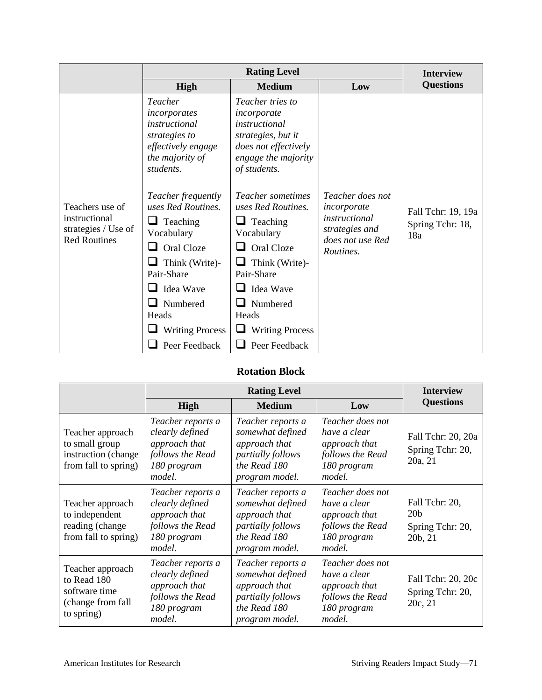|                                                                                | <b>Rating Level</b>                                                                                                                                                                                                                                                                                                                       |                                                                                                                                                                                                                                                                                                                                    |                                                                                                     | <b>Interview</b>                              |
|--------------------------------------------------------------------------------|-------------------------------------------------------------------------------------------------------------------------------------------------------------------------------------------------------------------------------------------------------------------------------------------------------------------------------------------|------------------------------------------------------------------------------------------------------------------------------------------------------------------------------------------------------------------------------------------------------------------------------------------------------------------------------------|-----------------------------------------------------------------------------------------------------|-----------------------------------------------|
|                                                                                | High                                                                                                                                                                                                                                                                                                                                      | <b>Medium</b>                                                                                                                                                                                                                                                                                                                      | Low                                                                                                 | <b>Questions</b>                              |
| Teachers use of<br>instructional<br>strategies / Use of<br><b>Red Routines</b> | Teacher<br>incorporates<br>instructional<br>strategies to<br>effectively engage<br>the majority of<br>students.<br>Teacher frequently<br>uses Red Routines.<br>Teaching<br>⊔<br>Vocabulary<br>Oral Cloze<br>$\mathsf{L}$<br>Think (Write)-<br>ப<br>Pair-Share<br>Idea Wave<br>$\mathsf{L}$<br>Numbered<br>Heads<br><b>Writing Process</b> | <i>Teacher tries to</i><br>incorporate<br>instructional<br>strategies, but it<br>does not effectively<br>engage the majority<br>of students.<br><i>Teacher sometimes</i><br>uses Red Routines.<br>Teaching<br>Vocabulary<br>Oral Cloze<br>Think (Write)-<br>Pair-Share<br>Idea Wave<br>Numbered<br>Heads<br><b>Writing Process</b> | Teacher does not<br>incorporate<br>instructional<br>strategies and<br>does not use Red<br>Routines. | Fall Tchr: 19, 19a<br>Spring Tchr: 18,<br>18a |
|                                                                                | Peer Feedback                                                                                                                                                                                                                                                                                                                             | Peer Feedback                                                                                                                                                                                                                                                                                                                      |                                                                                                     |                                               |

## **Rotation Block**

|                                                                                     | <b>Rating Level</b>                                                                                |                                                                                                               |                                                                                                | <b>Interview</b>                                                 |
|-------------------------------------------------------------------------------------|----------------------------------------------------------------------------------------------------|---------------------------------------------------------------------------------------------------------------|------------------------------------------------------------------------------------------------|------------------------------------------------------------------|
|                                                                                     | <b>High</b>                                                                                        | <b>Medium</b>                                                                                                 | Low                                                                                            | <b>Questions</b>                                                 |
| Teacher approach<br>to small group<br>instruction (change<br>from fall to spring)   | Teacher reports a<br>clearly defined<br>approach that<br>follows the Read<br>180 program<br>model. | Teacher reports a<br>somewhat defined<br>approach that<br>partially follows<br>the Read 180<br>program model. | Teacher does not<br>have a clear<br>approach that<br>follows the Read<br>180 program<br>model. | Fall Tchr: 20, 20a<br>Spring Tchr: 20,<br>20a, 21                |
| Teacher approach<br>to independent<br>reading (change<br>from fall to spring)       | Teacher reports a<br>clearly defined<br>approach that<br>follows the Read<br>180 program<br>model. | Teacher reports a<br>somewhat defined<br>approach that<br>partially follows<br>the Read 180<br>program model. | Teacher does not<br>have a clear<br>approach that<br>follows the Read<br>180 program<br>model. | Fall Tchr: 20,<br>20 <sub>b</sub><br>Spring Tchr: 20,<br>20b, 21 |
| Teacher approach<br>to Read 180<br>software time<br>(change from fall<br>to spring) | Teacher reports a<br>clearly defined<br>approach that<br>follows the Read<br>180 program<br>model. | Teacher reports a<br>somewhat defined<br>approach that<br>partially follows<br>the Read 180<br>program model. | Teacher does not<br>have a clear<br>approach that<br>follows the Read<br>180 program<br>model. | Fall Tchr: 20, 20c<br>Spring Tchr: 20,<br>20c, 21                |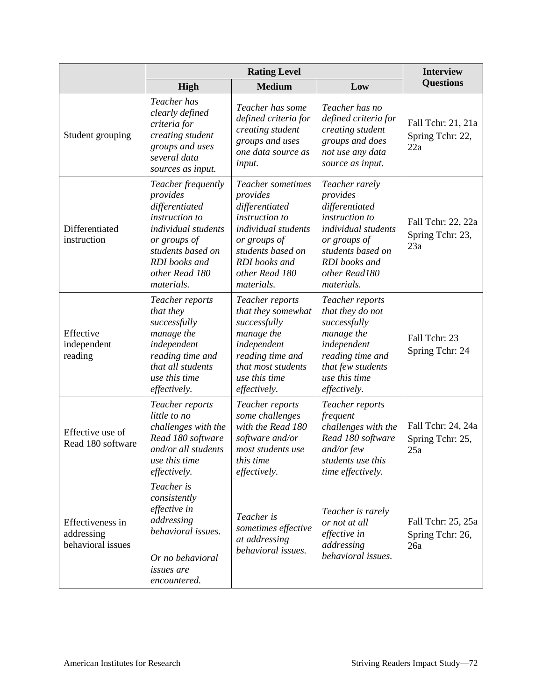|                                                     |                                                                                                                                                                                 | <b>Interview</b>                                                                                                                                                               |                                                                                                                                                                            |                                               |
|-----------------------------------------------------|---------------------------------------------------------------------------------------------------------------------------------------------------------------------------------|--------------------------------------------------------------------------------------------------------------------------------------------------------------------------------|----------------------------------------------------------------------------------------------------------------------------------------------------------------------------|-----------------------------------------------|
|                                                     | <b>High</b>                                                                                                                                                                     | <b>Medium</b>                                                                                                                                                                  | Low                                                                                                                                                                        | <b>Questions</b>                              |
| Student grouping                                    | Teacher has<br>clearly defined<br>criteria for<br>creating student<br>groups and uses<br>several data<br>sources as input.                                                      | Teacher has some<br>defined criteria for<br>creating student<br>groups and uses<br>one data source as<br>input.                                                                | Teacher has no<br>defined criteria for<br>creating student<br>groups and does<br>not use any data<br>source as input.                                                      | Fall Tchr: 21, 21a<br>Spring Tchr: 22,<br>22a |
| Differentiated<br>instruction                       | Teacher frequently<br>provides<br>differentiated<br>instruction to<br>individual students<br>or groups of<br>students based on<br>RDI books and<br>other Read 180<br>materials. | Teacher sometimes<br>provides<br>differentiated<br>instruction to<br>individual students<br>or groups of<br>students based on<br>RDI books and<br>other Read 180<br>materials. | Teacher rarely<br>provides<br>differentiated<br>instruction to<br>individual students<br>or groups of<br>students based on<br>RDI books and<br>other Read180<br>materials. | Fall Tchr: 22, 22a<br>Spring Tchr: 23,<br>23a |
| Effective<br>independent<br>reading                 | Teacher reports<br>that they<br>successfully<br>manage the<br>independent<br>reading time and<br>that all students<br>use this time<br>effectively.                             | Teacher reports<br>that they somewhat<br>successfully<br>manage the<br>independent<br>reading time and<br>that most students<br>use this time<br>effectively.                  | Teacher reports<br>that they do not<br>successfully<br>manage the<br>independent<br>reading time and<br>that few students<br>use this time<br>effectively.                 | Fall Tchr: 23<br>Spring Tchr: 24              |
| Effective use of<br>Read 180 software               | Teacher reports<br>little to no<br>challenges with the<br>Read 180 software<br>and/or all students<br>use this time<br>effectively.                                             | Teacher reports<br>some challenges<br>with the Read 180<br>software and/or<br>most students use<br>this time<br>effectively.                                                   | Teacher reports<br>frequent<br>challenges with the<br>Read 180 software<br>and/or few<br>students use this<br>time effectively.                                            | Fall Tchr: 24, 24a<br>Spring Tchr: 25,<br>25a |
| Effectiveness in<br>addressing<br>behavioral issues | Teacher is<br>consistently<br>effective in<br>addressing<br>behavioral issues.<br>Or no behavioral<br><i>issues are</i><br>encountered.                                         | Teacher is<br>sometimes effective<br>at addressing<br>behavioral issues.                                                                                                       | Teacher is rarely<br>or not at all<br>effective in<br>addressing<br>behavioral issues.                                                                                     | Fall Tchr: 25, 25a<br>Spring Tchr: 26,<br>26a |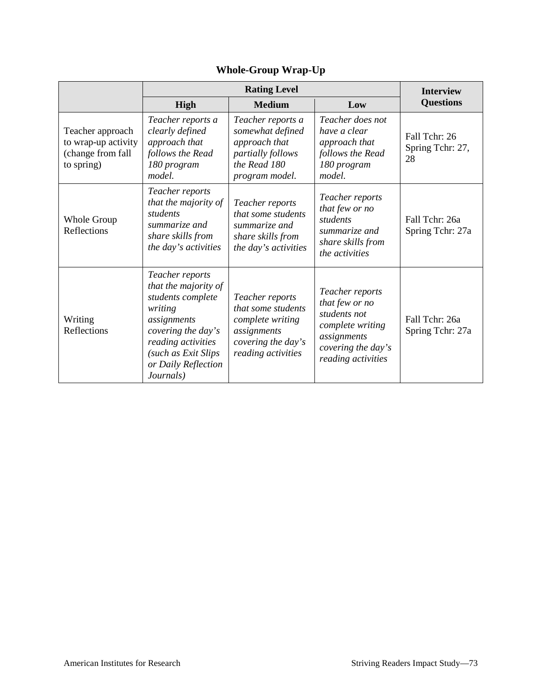|                                                                            | <b>Rating Level</b>                                                                                                                                                                           |                                                                                                                      |                                                                                                                                  | <b>Interview</b>                        |
|----------------------------------------------------------------------------|-----------------------------------------------------------------------------------------------------------------------------------------------------------------------------------------------|----------------------------------------------------------------------------------------------------------------------|----------------------------------------------------------------------------------------------------------------------------------|-----------------------------------------|
|                                                                            | High                                                                                                                                                                                          | <b>Medium</b>                                                                                                        | Low                                                                                                                              | <b>Questions</b>                        |
| Teacher approach<br>to wrap-up activity<br>(change from fall<br>to spring) | Teacher reports a<br>clearly defined<br>approach that<br>follows the Read<br>180 program<br>model.                                                                                            | Teacher reports a<br>somewhat defined<br>approach that<br>partially follows<br>the Read 180<br>program model.        | Teacher does not<br>have a clear<br>approach that<br>follows the Read<br>180 program<br>model.                                   | Fall Tchr: 26<br>Spring Tchr: 27,<br>28 |
| Whole Group<br>Reflections                                                 | Teacher reports<br>that the majority of<br>students<br>summarize and<br>share skills from<br>the day's activities                                                                             | Teacher reports<br>that some students<br>summarize and<br>share skills from<br>the day's activities                  | Teacher reports<br>that few or no<br>students<br>summarize and<br>share skills from<br>the activities                            | Fall Tchr: 26a<br>Spring Tchr: 27a      |
| Writing<br>Reflections                                                     | Teacher reports<br>that the majority of<br>students complete<br>writing<br>assignments<br>covering the day's<br>reading activities<br>(such as Exit Slips<br>or Daily Reflection<br>Journals) | Teacher reports<br>that some students<br>complete writing<br>assignments<br>covering the day's<br>reading activities | Teacher reports<br>that few or no<br>students not<br>complete writing<br>assignments<br>covering the day's<br>reading activities | Fall Tchr: 26a<br>Spring Tchr: 27a      |

# **Whole-Group Wrap-Up**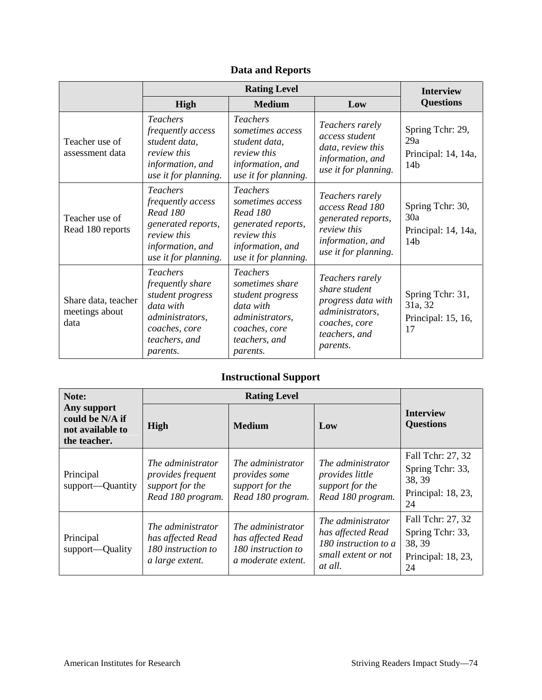|                                               | <b>Rating Level</b>                                                                                                                      |                                                                                                                                         |                                                                                                                         | <b>Interview</b>                                                  |
|-----------------------------------------------|------------------------------------------------------------------------------------------------------------------------------------------|-----------------------------------------------------------------------------------------------------------------------------------------|-------------------------------------------------------------------------------------------------------------------------|-------------------------------------------------------------------|
|                                               | <b>High</b>                                                                                                                              | <b>Medium</b>                                                                                                                           | Low                                                                                                                     | <b>Questions</b>                                                  |
| Teacher use of<br>assessment data             | <b>Teachers</b><br>frequently access<br>student data,<br><i>review this</i><br>information, and<br>use it for planning.                  | <b>Teachers</b><br>sometimes access<br>student data,<br><i>review this</i><br>information, and<br>use it for planning.                  | Teachers rarely<br>access student<br>data, review this<br>information, and<br>use it for planning.                      | Spring Tchr: 29,<br>29a<br>Principal: 14, 14a,<br>14 <sub>b</sub> |
| Teacher use of<br>Read 180 reports            | <b>Teachers</b><br>frequently access<br><b>Read 180</b><br>generated reports,<br>review this<br>information, and<br>use it for planning. | <b>Teachers</b><br>sometimes access<br><b>Read 180</b><br>generated reports,<br>review this<br>information, and<br>use it for planning. | Teachers rarely<br>access Read 180<br>generated reports,<br>review this<br>information, and<br>use it for planning.     | Spring Tchr: 30,<br>30a<br>Principal: 14, 14a,<br>14 <sub>b</sub> |
| Share data, teacher<br>meetings about<br>data | <b>Teachers</b><br>frequently share<br>student progress<br>data with<br>administrators,<br>coaches, core<br>teachers, and<br>parents.    | <b>Teachers</b><br>sometimes share<br>student progress<br>data with<br>administrators,<br>coaches, core<br>teachers, and<br>parents.    | Teachers rarely<br>share student<br>progress data with<br>administrators,<br>coaches, core<br>teachers, and<br>parents. | Spring Tchr: 31,<br>31a, 32<br>Principal: 15, 16,<br>17           |

## **Data and Reports**

## **Instructional Support**

| Note:                                                              | <b>Rating Level</b>                                                                   |                                                                                    |                                                                                                  |                                                                             |
|--------------------------------------------------------------------|---------------------------------------------------------------------------------------|------------------------------------------------------------------------------------|--------------------------------------------------------------------------------------------------|-----------------------------------------------------------------------------|
| Any support<br>could be N/A if<br>not available to<br>the teacher. | High                                                                                  | <b>Medium</b>                                                                      | Low                                                                                              | <b>Interview</b><br><b>Questions</b>                                        |
| Principal<br>support—Quantity                                      | The administrator<br><i>provides frequent</i><br>support for the<br>Read 180 program. | The administrator<br>provides some<br>support for the<br>Read 180 program.         | The administrator<br><i>provides little</i><br>support for the<br>Read 180 program.              | Fall Tchr: 27, 32<br>Spring Tchr: 33,<br>38, 39<br>Principal: 18, 23,<br>24 |
| Principal<br>support—Quality                                       | The administrator<br>has affected Read<br>180 instruction to<br>a large extent.       | The administrator<br>has affected Read<br>180 instruction to<br>a moderate extent. | The administrator<br>has affected Read<br>180 instruction to a<br>small extent or not<br>at all. | Fall Tchr: 27, 32<br>Spring Tchr: 33,<br>38, 39<br>Principal: 18, 23,<br>24 |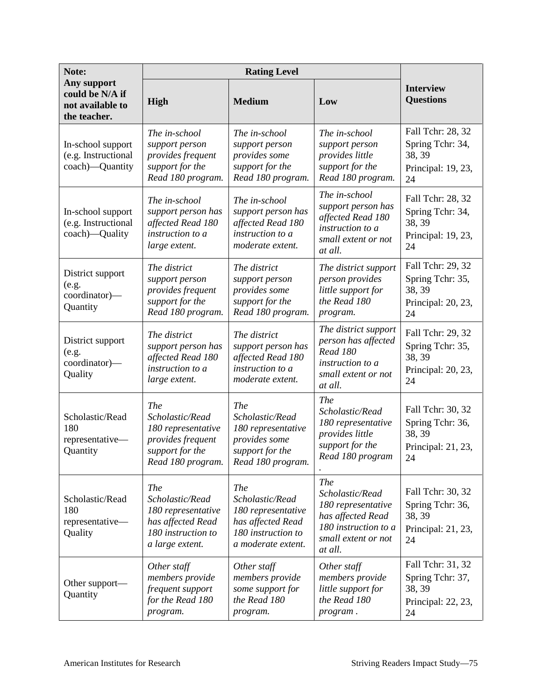| Note:                                                              |                                                                                                            |                                                                                                                      |                                                                                                                                    |                                                                             |
|--------------------------------------------------------------------|------------------------------------------------------------------------------------------------------------|----------------------------------------------------------------------------------------------------------------------|------------------------------------------------------------------------------------------------------------------------------------|-----------------------------------------------------------------------------|
| Any support<br>could be N/A if<br>not available to<br>the teacher. | High                                                                                                       | <b>Medium</b>                                                                                                        | Low                                                                                                                                | <b>Interview</b><br><b>Questions</b>                                        |
| In-school support<br>(e.g. Instructional<br>coach)—Quantity        | The in-school<br>support person<br>provides frequent<br>support for the<br>Read 180 program.               | The in-school<br>support person<br>provides some<br>support for the<br>Read 180 program.                             | The in-school<br>support person<br>provides little<br>support for the<br>Read 180 program.                                         | Fall Tchr: 28, 32<br>Spring Tchr: 34,<br>38, 39<br>Principal: 19, 23,<br>24 |
| In-school support<br>(e.g. Instructional<br>coach)-Quality         | The in-school<br>support person has<br>affected Read 180<br>instruction to a<br>large extent.              | The in-school<br>support person has<br>affected Read 180<br>instruction to a<br>moderate extent.                     | The in-school<br>support person has<br>affected Read 180<br>instruction to a<br>small extent or not<br>at all.                     | Fall Tchr: 28, 32<br>Spring Tchr: 34,<br>38, 39<br>Principal: 19, 23,<br>24 |
| District support<br>(e.g.<br>coordinator)-<br>Quantity             | The district<br>support person<br>provides frequent<br>support for the<br>Read 180 program.                | The district<br>support person<br>provides some<br>support for the<br>Read 180 program.                              | The district support<br>person provides<br>little support for<br>the Read 180<br>program.                                          | Fall Tchr: 29, 32<br>Spring Tchr: 35,<br>38, 39<br>Principal: 20, 23,<br>24 |
| District support<br>(e.g.<br>coordinator)-<br>Quality              | The district<br>support person has<br>affected Read 180<br>instruction to a<br>large extent.               | The district<br>support person has<br>affected Read 180<br>instruction to a<br>moderate extent.                      | The district support<br>person has affected<br><b>Read 180</b><br>instruction to a<br>small extent or not<br>at all.               | Fall Tchr: 29, 32<br>Spring Tchr: 35,<br>38, 39<br>Principal: 20, 23,<br>24 |
| Scholastic/Read<br>180<br>representative-<br>Quantity              | The<br>Scholastic/Read<br>180 representative<br>provides frequent<br>support for the<br>Read 180 program.  | The<br>Scholastic/Read<br>180 representative<br>provides some<br>support for the<br>Read 180 program.                | <b>The</b><br>Scholastic/Read<br>180 representative<br>provides little<br>support for the<br>Read 180 program                      | Fall Tchr: 30, 32<br>Spring Tchr: 36,<br>38, 39<br>Principal: 21, 23,<br>24 |
| Scholastic/Read<br>180<br>representative-<br>Quality               | The<br>Scholastic/Read<br>180 representative<br>has affected Read<br>180 instruction to<br>a large extent. | <b>The</b><br>Scholastic/Read<br>180 representative<br>has affected Read<br>180 instruction to<br>a moderate extent. | <b>The</b><br>Scholastic/Read<br>180 representative<br>has affected Read<br>180 instruction to a<br>small extent or not<br>at all. | Fall Tchr: 30, 32<br>Spring Tchr: 36,<br>38, 39<br>Principal: 21, 23,<br>24 |
| Other support—<br>Quantity                                         | Other staff<br>members provide<br>frequent support<br>for the Read 180<br>program.                         | Other staff<br>members provide<br>some support for<br>the Read 180<br>program.                                       | Other staff<br>members provide<br>little support for<br>the Read 180<br>program.                                                   | Fall Tchr: 31, 32<br>Spring Tchr: 37,<br>38, 39<br>Principal: 22, 23,<br>24 |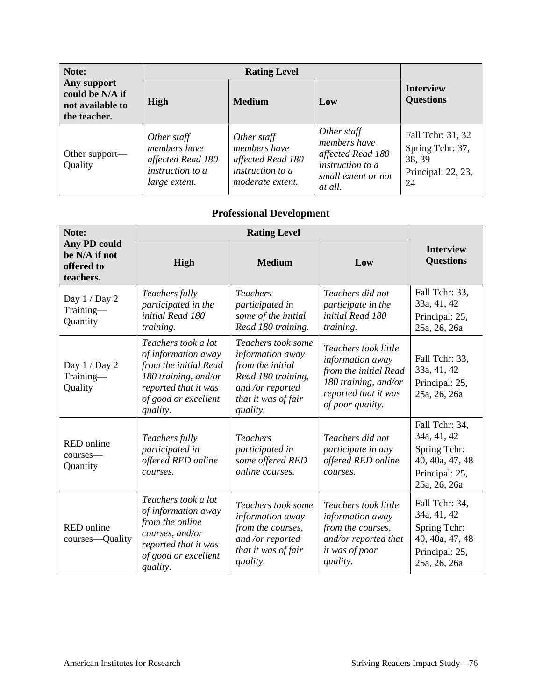| Note:                                                              | <b>Rating Level</b>                                                                   |                                                                                          |                                                                                                               |                                                                             |
|--------------------------------------------------------------------|---------------------------------------------------------------------------------------|------------------------------------------------------------------------------------------|---------------------------------------------------------------------------------------------------------------|-----------------------------------------------------------------------------|
| Any support<br>could be N/A if<br>not available to<br>the teacher. | High                                                                                  | <b>Medium</b>                                                                            | Low                                                                                                           | <b>Interview</b><br><b>Questions</b>                                        |
| Other support—<br>Quality                                          | Other staff<br>members have<br>affected Read 180<br>instruction to a<br>large extent. | Other staff<br>members have<br>affected Read 180<br>instruction to a<br>moderate extent. | Other staff<br>members have<br>affected Read 180<br><i>instruction to a</i><br>small extent or not<br>at all. | Fall Tchr: 31, 32<br>Spring Tchr: 37,<br>38, 39<br>Principal: 22, 23,<br>24 |

#### **Professional Development**

| Note:                                                           |                                                                                                                                                         |                                                                                                                                         |                                                                                                                                       |                                                                                                    |
|-----------------------------------------------------------------|---------------------------------------------------------------------------------------------------------------------------------------------------------|-----------------------------------------------------------------------------------------------------------------------------------------|---------------------------------------------------------------------------------------------------------------------------------------|----------------------------------------------------------------------------------------------------|
| <b>Any PD could</b><br>be N/A if not<br>offered to<br>teachers. | High                                                                                                                                                    | <b>Medium</b>                                                                                                                           | Low                                                                                                                                   | <b>Interview</b><br><b>Questions</b>                                                               |
| Day 1 / Day 2<br>Training-<br>Quantity                          | Teachers fully<br>participated in the<br>initial Read 180<br>training.                                                                                  | <b>Teachers</b><br>participated in<br>some of the initial<br>Read 180 training.                                                         | Teachers did not<br>participate in the<br>initial Read 180<br>training.                                                               | Fall Tchr: 33,<br>33a, 41, 42<br>Principal: 25,<br>25a, 26, 26a                                    |
| Day $1 /$ Day $2$<br>Training-<br>Quality                       | Teachers took a lot<br>of information away<br>from the initial Read<br>180 training, and/or<br>reported that it was<br>of good or excellent<br>quality. | Teachers took some<br>information away<br>from the initial<br>Read 180 training,<br>and /or reported<br>that it was of fair<br>quality. | Teachers took little<br>information away<br>from the initial Read<br>180 training, and/or<br>reported that it was<br>of poor quality. | Fall Tchr: 33,<br>33a, 41, 42<br>Principal: 25,<br>25a, 26, 26a                                    |
| <b>RED</b> online<br>courses-<br>Quantity                       | Teachers fully<br>participated in<br>offered RED online<br>courses.                                                                                     | <b>Teachers</b><br>participated in<br>some offered RED<br>online courses.                                                               | Teachers did not<br>participate in any<br>offered RED online<br>courses.                                                              | Fall Tchr: 34,<br>34a, 41, 42<br>Spring Tchr:<br>40, 40a, 47, 48<br>Principal: 25,<br>25a, 26, 26a |
| <b>RED</b> online<br>courses—Quality                            | Teachers took a lot<br>of information away<br>from the online<br>courses, and/or<br>reported that it was<br>of good or excellent<br>quality.            | Teachers took some<br>information away<br>from the courses,<br>and /or reported<br>that it was of fair<br>quality.                      | Teachers took little<br>information away<br>from the courses,<br>and/or reported that<br>it was of poor<br>quality.                   | Fall Tchr: 34,<br>34a, 41, 42<br>Spring Tchr:<br>40, 40a, 47, 48<br>Principal: 25,<br>25a, 26, 26a |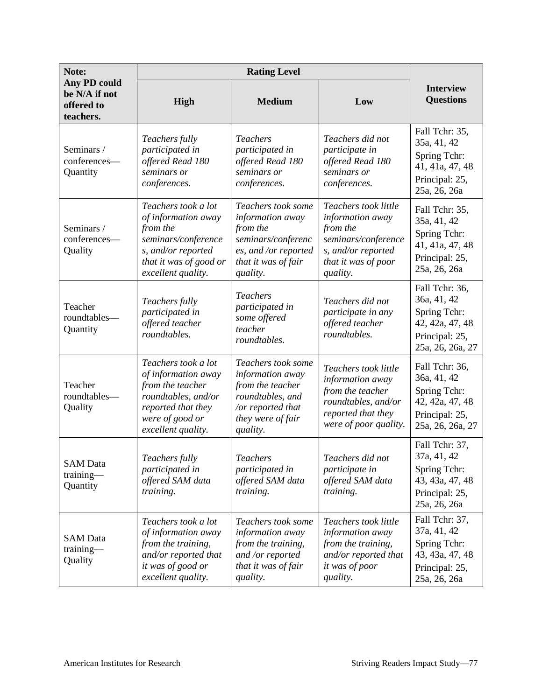| Note:                                                    |                                                                                                                                                      |                                                                                                                                      |                                                                                                                                      |                                                                                                        |
|----------------------------------------------------------|------------------------------------------------------------------------------------------------------------------------------------------------------|--------------------------------------------------------------------------------------------------------------------------------------|--------------------------------------------------------------------------------------------------------------------------------------|--------------------------------------------------------------------------------------------------------|
| Any PD could<br>be N/A if not<br>offered to<br>teachers. | <b>High</b>                                                                                                                                          | <b>Medium</b>                                                                                                                        | Low                                                                                                                                  | <b>Interview</b><br><b>Questions</b>                                                                   |
| Seminars /<br>conferences-<br>Quantity                   | Teachers fully<br>participated in<br>offered Read 180<br>seminars or<br>conferences.                                                                 | <b>Teachers</b><br>participated in<br>offered Read 180<br>seminars or<br>conferences.                                                | Teachers did not<br>participate in<br>offered Read 180<br>seminars or<br>conferences.                                                | Fall Tchr: 35,<br>35a, 41, 42<br>Spring Tchr:<br>41, 41a, 47, 48<br>Principal: 25,<br>25a, 26, 26a     |
| Seminars /<br>conferences-<br>Quality                    | Teachers took a lot<br>of information away<br>from the<br>seminars/conference<br>s, and/or reported<br>that it was of good or<br>excellent quality.  | Teachers took some<br>information away<br>from the<br>seminars/conferenc<br>es, and /or reported<br>that it was of fair<br>quality.  | Teachers took little<br>information away<br>from the<br>seminars/conference<br>s, and/or reported<br>that it was of poor<br>quality. | Fall Tchr: 35,<br>35a, 41, 42<br>Spring Tchr:<br>41, 41a, 47, 48<br>Principal: 25,<br>25a, 26, 26a     |
| Teacher<br>roundtables-<br>Quantity                      | Teachers fully<br>participated in<br>offered teacher<br>roundtables.                                                                                 | <b>Teachers</b><br>participated in<br>some offered<br>teacher<br>roundtables.                                                        | Teachers did not<br>participate in any<br>offered teacher<br>roundtables.                                                            | Fall Tchr: 36,<br>36a, 41, 42<br>Spring Tchr:<br>42, 42a, 47, 48<br>Principal: 25,<br>25a, 26, 26a, 27 |
| Teacher<br>roundtables-<br>Quality                       | Teachers took a lot<br>of information away<br>from the teacher<br>roundtables, and/or<br>reported that they<br>were of good or<br>excellent quality. | Teachers took some<br>information away<br>from the teacher<br>roundtables, and<br>/or reported that<br>they were of fair<br>quality. | Teachers took little<br>information away<br>from the teacher<br>roundtables, and/or<br>reported that they<br>were of poor quality.   | Fall Tchr: 36,<br>36a, 41, 42<br>Spring Tchr:<br>42, 42a, 47, 48<br>Principal: 25,<br>25a, 26, 26a, 27 |
| <b>SAM Data</b><br>training-<br>Quantity                 | Teachers fully<br>participated in<br>offered SAM data<br>training.                                                                                   | <b>Teachers</b><br>participated in<br>offered SAM data<br>training.                                                                  | Teachers did not<br>participate in<br>offered SAM data<br>training.                                                                  | Fall Tchr: 37,<br>37a, 41, 42<br>Spring Tchr:<br>43, 43a, 47, 48<br>Principal: 25,<br>25a, 26, 26a     |
| <b>SAM</b> Data<br>training-<br>Quality                  | Teachers took a lot<br>of information away<br>from the training,<br>and/or reported that<br>it was of good or<br>excellent quality.                  | Teachers took some<br>information away<br>from the training,<br>and /or reported<br>that it was of fair<br>quality.                  | Teachers took little<br>information away<br>from the training,<br>and/or reported that<br>it was of poor<br>quality.                 | Fall Tchr: 37,<br>37a, 41, 42<br>Spring Tchr:<br>43, 43a, 47, 48<br>Principal: 25,<br>25a, 26, 26a     |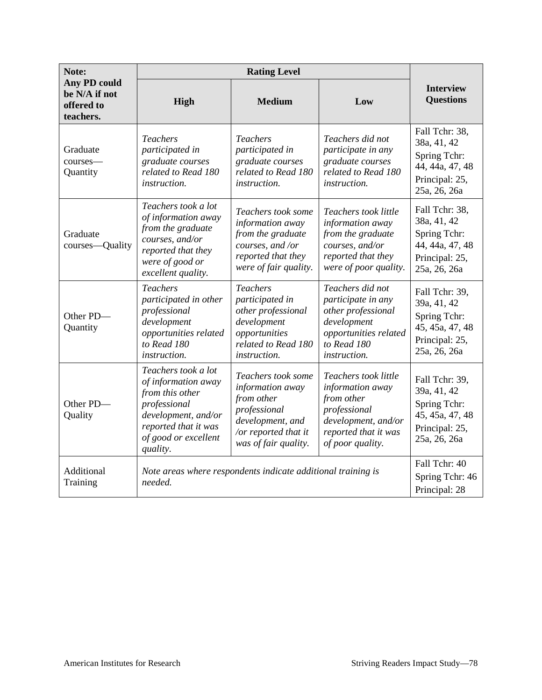| Note:                                                           |                                                                                                                                                                  |                                                                                                                                          |                                                                                                                                           |                                                                                                    |
|-----------------------------------------------------------------|------------------------------------------------------------------------------------------------------------------------------------------------------------------|------------------------------------------------------------------------------------------------------------------------------------------|-------------------------------------------------------------------------------------------------------------------------------------------|----------------------------------------------------------------------------------------------------|
| <b>Any PD could</b><br>be N/A if not<br>offered to<br>teachers. | High                                                                                                                                                             | <b>Medium</b>                                                                                                                            | Low                                                                                                                                       | <b>Interview</b><br><b>Questions</b>                                                               |
| Graduate<br>courses-<br>Quantity                                | <i>Teachers</i><br>participated in<br>graduate courses<br>related to Read 180<br>instruction.                                                                    | <i>Teachers</i><br>participated in<br>graduate courses<br>related to Read 180<br>instruction.                                            | Teachers did not<br>participate in any<br>graduate courses<br>related to Read 180<br><i>instruction.</i>                                  | Fall Tchr: 38,<br>38a, 41, 42<br>Spring Tchr:<br>44, 44a, 47, 48<br>Principal: 25,<br>25a, 26, 26a |
| Graduate<br>courses—Quality                                     | Teachers took a lot<br>of information away<br>from the graduate<br>courses, and/or<br>reported that they<br>were of good or<br>excellent quality.                | Teachers took some<br>information away<br>from the graduate<br>courses, and /or<br>reported that they<br>were of fair quality.           | Teachers took little<br>information away<br>from the graduate<br>courses, and/or<br>reported that they<br>were of poor quality.           | Fall Tchr: 38,<br>38a, 41, 42<br>Spring Tchr:<br>44, 44a, 47, 48<br>Principal: 25,<br>25a, 26, 26a |
| Other PD-<br>Quantity                                           | <b>Teachers</b><br>participated in other<br>professional<br>development<br>opportunities related<br>to Read 180<br>instruction.                                  | <b>Teachers</b><br>participated in<br>other professional<br>development<br>opportunities<br>related to Read 180<br><i>instruction.</i>   | Teachers did not<br>participate in any<br>other professional<br>development<br>opportunities related<br>to Read 180<br>instruction.       | Fall Tchr: 39,<br>39a, 41, 42<br>Spring Tchr:<br>45, 45a, 47, 48<br>Principal: 25,<br>25a, 26, 26a |
| Other PD-<br>Quality                                            | Teachers took a lot<br>of information away<br>from this other<br>professional<br>development, and/or<br>reported that it was<br>of good or excellent<br>quality. | Teachers took some<br>information away<br>from other<br>professional<br>development, and<br>/or reported that it<br>was of fair quality. | Teachers took little<br>information away<br>from other<br>professional<br>development, and/or<br>reported that it was<br>of poor quality. | Fall Tchr: 39,<br>39a, 41, 42<br>Spring Tchr:<br>45, 45a, 47, 48<br>Principal: 25,<br>25a, 26, 26a |
| Additional<br>Training                                          | Note areas where respondents indicate additional training is<br>needed.                                                                                          |                                                                                                                                          |                                                                                                                                           | Fall Tchr: 40<br>Spring Tchr: 46<br>Principal: 28                                                  |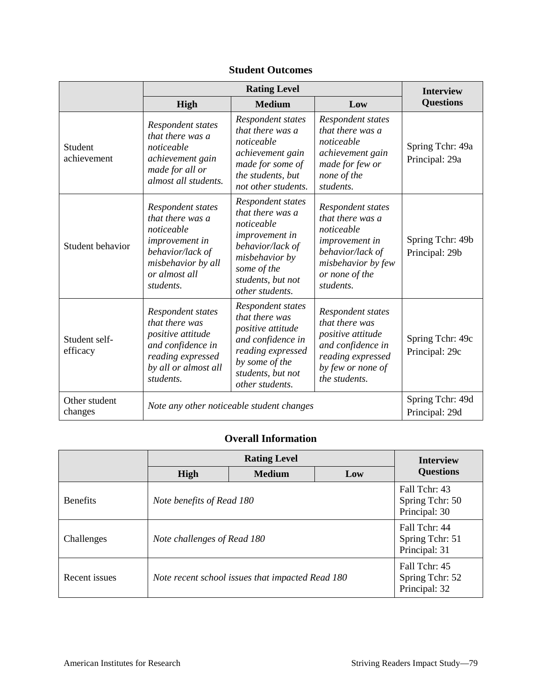|                           | <b>Rating Level</b>                                                                                                                           |                                                                                                                                                                    |                                                                                                                                                | <b>Interview</b>                   |
|---------------------------|-----------------------------------------------------------------------------------------------------------------------------------------------|--------------------------------------------------------------------------------------------------------------------------------------------------------------------|------------------------------------------------------------------------------------------------------------------------------------------------|------------------------------------|
|                           | <b>High</b>                                                                                                                                   | <b>Medium</b>                                                                                                                                                      | Low                                                                                                                                            | <b>Questions</b>                   |
| Student<br>achievement    | Respondent states<br>that there was a<br>noticeable<br>achievement gain<br>made for all or<br>almost all students.                            | Respondent states<br>that there was a<br>noticeable<br>achievement gain<br>made for some of<br>the students, but<br>not other students.                            | Respondent states<br>that there was a<br>noticeable<br>achievement gain<br>made for few or<br>none of the<br>students.                         | Spring Tchr: 49a<br>Principal: 29a |
| Student behavior          | Respondent states<br>that there was a<br>noticeable<br>improvement in<br>behavior/lack of<br>misbehavior by all<br>or almost all<br>students. | Respondent states<br>that there was a<br>noticeable<br>improvement in<br>behavior/lack of<br>misbehavior by<br>some of the<br>students, but not<br>other students. | Respondent states<br>that there was a<br>noticeable<br>improvement in<br>behavior/lack of<br>misbehavior by few<br>or none of the<br>students. | Spring Tchr: 49b<br>Principal: 29b |
| Student self-<br>efficacy | Respondent states<br>that there was<br>positive attitude<br>and confidence in<br>reading expressed<br>by all or almost all<br>students.       | Respondent states<br>that there was<br>positive attitude<br>and confidence in<br>reading expressed<br>by some of the<br>students, but not<br>other students.       | Respondent states<br>that there was<br>positive attitude<br>and confidence in<br>reading expressed<br>by few or none of<br>the students.       | Spring Tchr: 49c<br>Principal: 29c |
| Other student<br>changes  | Note any other noticeable student changes                                                                                                     |                                                                                                                                                                    |                                                                                                                                                | Spring Tchr: 49d<br>Principal: 29d |

#### **Student Outcomes**

#### **Overall Information**

|                 | <b>Rating Level</b>                              |               |                                                   | <b>Interview</b>                                  |
|-----------------|--------------------------------------------------|---------------|---------------------------------------------------|---------------------------------------------------|
|                 | High                                             | <b>Medium</b> | Low                                               | <b>Questions</b>                                  |
| <b>Benefits</b> | Note benefits of Read 180                        |               |                                                   | Fall Tchr: 43<br>Spring Tchr: 50<br>Principal: 30 |
| Challenges      | Note challenges of Read 180                      |               |                                                   | Fall Tchr: 44<br>Spring Tchr: 51<br>Principal: 31 |
| Recent issues   | Note recent school issues that impacted Read 180 |               | Fall Tchr: 45<br>Spring Tchr: 52<br>Principal: 32 |                                                   |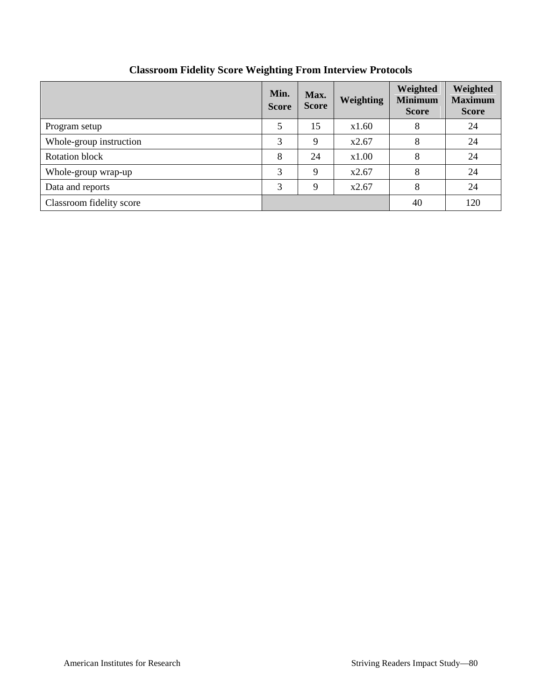|                          | Min.<br><b>Score</b> | Max.<br><b>Score</b> | <b>Weighting</b> | Weighted<br><b>Minimum</b><br><b>Score</b> | Weighted<br><b>Maximum</b><br><b>Score</b> |
|--------------------------|----------------------|----------------------|------------------|--------------------------------------------|--------------------------------------------|
| Program setup            | 5                    | 15                   | x1.60            | 8                                          | 24                                         |
| Whole-group instruction  | 3                    | 9                    | x2.67            | 8                                          | 24                                         |
| Rotation block           | 8                    | 24                   | x1.00            | 8                                          | 24                                         |
| Whole-group wrap-up      | 3                    | 9                    | x2.67            | 8                                          | 24                                         |
| Data and reports         | 3                    | 9                    | x2.67            | 8                                          | 24                                         |
| Classroom fidelity score |                      |                      |                  | 40                                         | 120                                        |

## **Classroom Fidelity Score Weighting From Interview Protocols**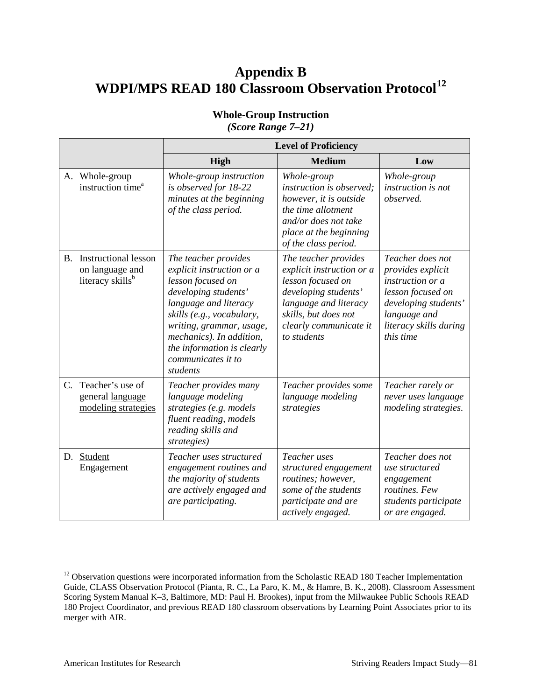# **Appendix B WDPI/MPS READ 180 Classroom Observation Protocol[12](#page-84-0)**

|             |                                                                                | <b>Level of Proficiency</b>                                                                                                                                                                                                                                                  |                                                                                                                                                                                          |                                                                                                                                                               |  |
|-------------|--------------------------------------------------------------------------------|------------------------------------------------------------------------------------------------------------------------------------------------------------------------------------------------------------------------------------------------------------------------------|------------------------------------------------------------------------------------------------------------------------------------------------------------------------------------------|---------------------------------------------------------------------------------------------------------------------------------------------------------------|--|
|             |                                                                                | High                                                                                                                                                                                                                                                                         | <b>Medium</b>                                                                                                                                                                            | Low                                                                                                                                                           |  |
|             | A. Whole-group<br>instruction time <sup>a</sup>                                | Whole-group instruction<br>is observed for 18-22<br>minutes at the beginning<br>of the class period.                                                                                                                                                                         | Whole-group<br><i>instruction is observed;</i><br>however, it is outside<br>the time allotment<br>and/or does not take<br>place at the beginning<br>of the class period.                 | Whole-group<br>instruction is not<br>observed.                                                                                                                |  |
| В.          | <b>Instructional lesson</b><br>on language and<br>literacy skills <sup>b</sup> | The teacher provides<br>explicit instruction or a<br>lesson focused on<br>developing students'<br>language and literacy<br>skills (e.g., vocabulary,<br>writing, grammar, usage,<br>mechanics). In addition,<br>the information is clearly<br>communicates it to<br>students | The teacher provides<br>explicit instruction or a<br>lesson focused on<br>developing students'<br>language and literacy<br>skills, but does not<br>clearly communicate it<br>to students | Teacher does not<br>provides explicit<br>instruction or a<br>lesson focused on<br>developing students'<br>language and<br>literacy skills during<br>this time |  |
| $C_{\cdot}$ | Teacher's use of<br>general language<br>modeling strategies                    | Teacher provides many<br>language modeling<br>strategies (e.g. models<br>fluent reading, models<br>reading skills and<br>strategies)                                                                                                                                         | Teacher provides some<br>language modeling<br>strategies                                                                                                                                 | Teacher rarely or<br>never uses language<br>modeling strategies.                                                                                              |  |
| D.          | Student<br>Engagement                                                          | Teacher uses structured<br>engagement routines and<br>the majority of students<br>are actively engaged and<br>are participating.                                                                                                                                             | Teacher uses<br>structured engagement<br>routines; however,<br>some of the students<br>participate and are<br>actively engaged.                                                          | Teacher does not<br>use structured<br>engagement<br>routines. Few<br>students participate<br>or are engaged.                                                  |  |

#### **Whole-Group Instruction** *(Score Range 7–21)*

<span id="page-84-0"></span><sup>&</sup>lt;sup>12</sup> Observation questions were incorporated information from the Scholastic READ 180 Teacher Implementation Guide, CLASS Observation Protocol (Pianta, R. C., La Paro, K. M., & Hamre, B. K., 2008). Classroom Assessment Scoring System Manual K–3, Baltimore, MD: Paul H. Brookes), input from the Milwaukee Public Schools READ 180 Project Coordinator, and previous READ 180 classroom observations by Learning Point Associates prior to its merger with AIR.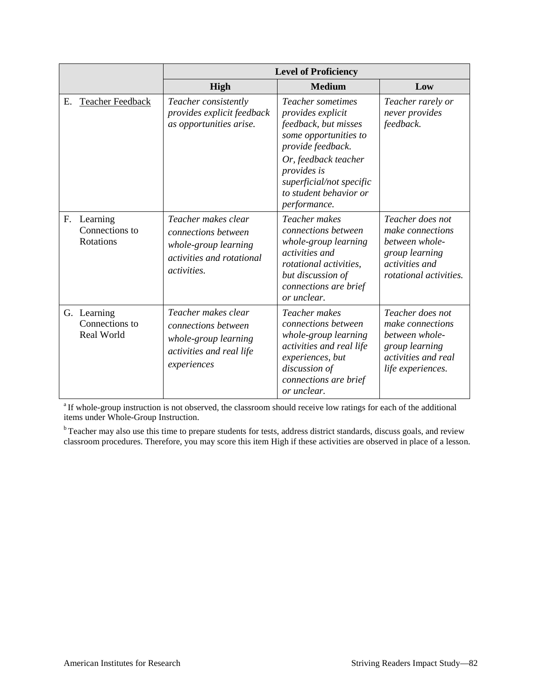|             |                                             | <b>Level of Proficiency</b>                                                                                           |                                                                                                                                                                                                                                  |                                                                                                                             |
|-------------|---------------------------------------------|-----------------------------------------------------------------------------------------------------------------------|----------------------------------------------------------------------------------------------------------------------------------------------------------------------------------------------------------------------------------|-----------------------------------------------------------------------------------------------------------------------------|
|             |                                             | High                                                                                                                  | <b>Medium</b>                                                                                                                                                                                                                    | Low                                                                                                                         |
| Е.          | <b>Teacher Feedback</b>                     | Teacher consistently<br>provides explicit feedback<br>as opportunities arise.                                         | Teacher sometimes<br>provides explicit<br>feedback, but misses<br>some opportunities to<br>provide feedback.<br>Or, feedback teacher<br><i>provides is</i><br>superficial/not specific<br>to student behavior or<br>performance. | Teacher rarely or<br>never provides<br>feedback.                                                                            |
| $F_{\cdot}$ | Learning<br>Connections to<br>Rotations     | Teacher makes clear<br>connections between<br>whole-group learning<br>activities and rotational<br><i>activities.</i> | Teacher makes<br>connections between<br>whole-group learning<br>activities and<br><i>rotational activities.</i><br>but discussion of<br>connections are brief<br>or unclear.                                                     | Teacher does not<br>make connections<br>between whole-<br>group learning<br>activities and<br><i>rotational activities.</i> |
|             | G. Learning<br>Connections to<br>Real World | Teacher makes clear<br>connections between<br>whole-group learning<br>activities and real life<br>experiences         | Teacher makes<br>connections between<br>whole-group learning<br>activities and real life<br>experiences, but<br>discussion of<br>connections are brief<br>or unclear.                                                            | Teacher does not<br>make connections<br>between whole-<br>group learning<br><i>activities and real</i><br>life experiences. |

<sup>a</sup> If whole-group instruction is not observed, the classroom should receive low ratings for each of the additional items under Whole-Group Instruction.

<sup>b</sup> Teacher may also use this time to prepare students for tests, address district standards, discuss goals, and review classroom procedures. Therefore, you may score this item High if these activities are observed in place of a lesson.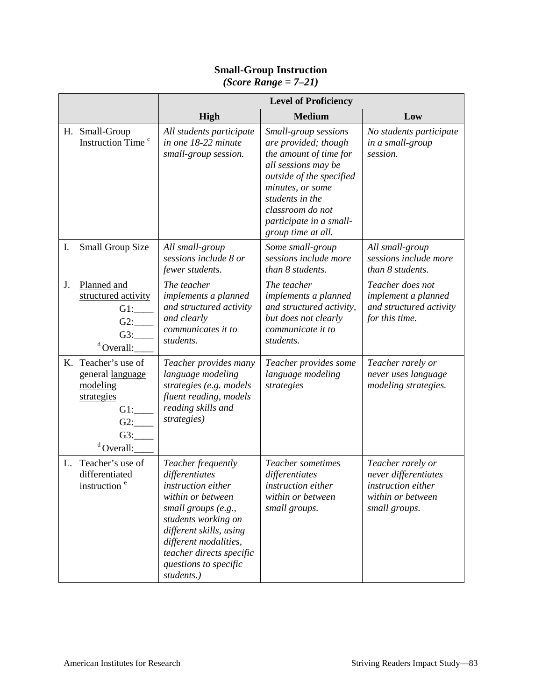#### **Small-Group Instruction**

*(Score Range = 7–21)*

|    |                                                                                                              | <b>Level of Proficiency</b>                                                                                                                                                                                                                            |                                                                                                                                                                                                                                       |                                                                                                       |
|----|--------------------------------------------------------------------------------------------------------------|--------------------------------------------------------------------------------------------------------------------------------------------------------------------------------------------------------------------------------------------------------|---------------------------------------------------------------------------------------------------------------------------------------------------------------------------------------------------------------------------------------|-------------------------------------------------------------------------------------------------------|
|    |                                                                                                              | <b>High</b>                                                                                                                                                                                                                                            | <b>Medium</b>                                                                                                                                                                                                                         | Low                                                                                                   |
|    | H. Small-Group<br>Instruction Time <sup>c</sup>                                                              | All students participate<br>in one 18-22 minute<br>small-group session.                                                                                                                                                                                | Small-group sessions<br>are provided; though<br>the amount of time for<br>all sessions may be<br>outside of the specified<br>minutes, or some<br>students in the<br>classroom do not<br>participate in a small-<br>group time at all. | No students participate<br>in a small-group<br>session.                                               |
| I. | <b>Small Group Size</b>                                                                                      | All small-group<br>sessions include 8 or<br>fewer students.                                                                                                                                                                                            | Some small-group<br>sessions include more<br>than 8 students.                                                                                                                                                                         | All small-group<br>sessions include more<br>than 8 students.                                          |
| J. | Planned and<br>structured activity<br>$G1$ :<br>G2:<br>G3:<br>$d$ Overall:                                   | The teacher<br>implements a planned<br>and structured activity<br>and clearly<br>communicates it to<br>students.                                                                                                                                       | The teacher<br>implements a planned<br>and structured activity,<br>but does not clearly<br>communicate it to<br>students.                                                                                                             | Teacher does not<br>implement a planned<br>and structured activity<br>for this time.                  |
|    | K. Teacher's use of<br>general language<br>modeling<br>strategies<br>$G1$ :<br>$G2$ :<br>G3:<br>$d$ Overall: | Teacher provides many<br>language modeling<br>strategies (e.g. models<br>fluent reading, models<br>reading skills and<br>strategies)                                                                                                                   | Teacher provides some<br>language modeling<br>strategies                                                                                                                                                                              | Teacher rarely or<br>never uses language<br>modeling strategies.                                      |
| L. | Teacher's use of<br>differentiated<br>instruction <sup>e</sup>                                               | Teacher frequently<br>differentiates<br>instruction either<br>within or between<br>small groups $(e.g.,$<br>students working on<br>different skills, using<br>different modalities,<br>teacher directs specific<br>questions to specific<br>students.) | Teacher sometimes<br>differentiates<br>instruction either<br>within or between<br>small groups.                                                                                                                                       | Teacher rarely or<br>never differentiates<br>instruction either<br>within or between<br>small groups. |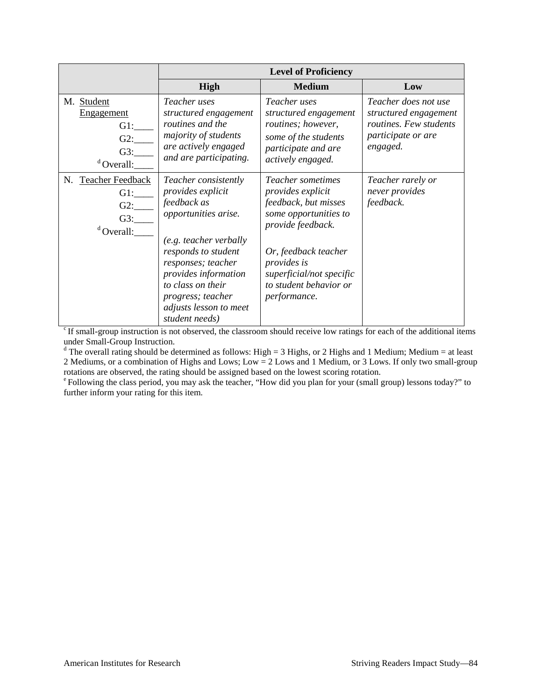|                                                             | <b>Level of Proficiency</b>                                                                                                                                                                                                                                           |                                                                                                                                                                                                                                  |                                                                                                           |
|-------------------------------------------------------------|-----------------------------------------------------------------------------------------------------------------------------------------------------------------------------------------------------------------------------------------------------------------------|----------------------------------------------------------------------------------------------------------------------------------------------------------------------------------------------------------------------------------|-----------------------------------------------------------------------------------------------------------|
|                                                             | High                                                                                                                                                                                                                                                                  | <b>Medium</b>                                                                                                                                                                                                                    | Low                                                                                                       |
| M. Student<br>Engagement<br>GI:<br>G2:<br>G3:<br>Overall:   | Teacher uses<br>structured engagement<br>routines and the<br>majority of students<br>are actively engaged<br>and are participating.                                                                                                                                   | Teacher uses<br>structured engagement<br>routines; however,<br>some of the students<br>participate and are<br>actively engaged.                                                                                                  | Teacher does not use<br>structured engagement<br>routines. Few students<br>participate or are<br>engaged. |
| N. Teacher Feedback<br>$G1$ :<br>G2:<br>G3:<br>$d$ Overall: | Teacher consistently<br>provides explicit<br>feedback as<br>opportunities arise.<br>(e.g. teacher verbally<br>responds to student<br>responses; teacher<br>provides information<br>to class on their<br>progress; teacher<br>adjusts lesson to meet<br>student needs) | Teacher sometimes<br>provides explicit<br>feedback, but misses<br>some opportunities to<br>provide feedback.<br>Or, feedback teacher<br><i>provides is</i><br>superficial/not specific<br>to student behavior or<br>performance. | Teacher rarely or<br>never provides<br>feedback.                                                          |

 $\overrightarrow{c}$  If small-group instruction is not observed, the classroom should receive low ratings for each of the additional items under Small-Group Instruction.<br>d The overall rating should be determined as follows: High = 3 Highs, or 2 Highs and 1 Medium; Medium = at least

2 Mediums, or a combination of Highs and Lows; Low = 2 Lows and 1 Medium, or 3 Lows. If only two small-group rotations are observed, the rating should be assigned based on the lowest scoring rotation.

<sup>e</sup> Following the class period, you may ask the teacher, "How did you plan for your (small group) lessons today?" to further inform your rating for this item.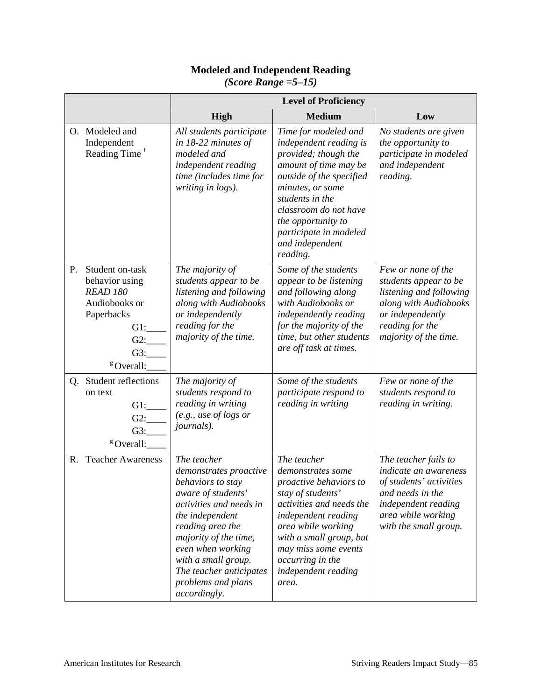#### **Modeled and Independent Reading**

|    |                                                                                                                                         | <b>Level of Proficiency</b>                                                                                                                                                                                                                                                              |                                                                                                                                                                                                                                                                            |                                                                                                                                                                           |  |
|----|-----------------------------------------------------------------------------------------------------------------------------------------|------------------------------------------------------------------------------------------------------------------------------------------------------------------------------------------------------------------------------------------------------------------------------------------|----------------------------------------------------------------------------------------------------------------------------------------------------------------------------------------------------------------------------------------------------------------------------|---------------------------------------------------------------------------------------------------------------------------------------------------------------------------|--|
|    |                                                                                                                                         | High                                                                                                                                                                                                                                                                                     | <b>Medium</b>                                                                                                                                                                                                                                                              | Low                                                                                                                                                                       |  |
|    | O. Modeled and<br>Independent<br>Reading Time <sup>f</sup>                                                                              | All students participate<br>in 18-22 minutes of<br>modeled and<br>independent reading<br>time (includes time for<br>writing in logs).                                                                                                                                                    | Time for modeled and<br>independent reading is<br>provided; though the<br>amount of time may be<br>outside of the specified<br>minutes, or some<br>students in the<br>classroom do not have<br>the opportunity to<br>participate in modeled<br>and independent<br>reading. | No students are given<br>the opportunity to<br>participate in modeled<br>and independent<br>reading.                                                                      |  |
| Ρ. | Student on-task<br>behavior using<br><b>READ 180</b><br>Audiobooks or<br>Paperbacks<br>$G1$ :<br>$G2$ :<br>G3:<br><sup>g</sup> Overall: | The majority of<br>students appear to be<br>listening and following<br>along with Audiobooks<br>or independently<br>reading for the<br>majority of the time.                                                                                                                             | Some of the students<br>appear to be listening<br>and following along<br>with Audiobooks or<br>independently reading<br>for the majority of the<br>time, but other students<br>are off task at times.                                                                      | Few or none of the<br>students appear to be<br>listening and following<br>along with Audiobooks<br>or independently<br>reading for the<br>majority of the time.           |  |
|    | Q. Student reflections<br>on text<br>$G1$ :<br>$G2$ :<br>G3:<br><sup>g</sup> Overall:                                                   | The majority of<br>students respond to<br>reading in writing<br>(e.g., use of logs or<br><i>journals</i> ).                                                                                                                                                                              | Some of the students<br>participate respond to<br>reading in writing                                                                                                                                                                                                       | Few or none of the<br>students respond to<br>reading in writing.                                                                                                          |  |
|    | R. Teacher Awareness                                                                                                                    | The teacher<br>demonstrates proactive<br>behaviors to stay<br>aware of students'<br>activities and needs in<br>the independent<br>reading area the<br>majority of the time,<br>even when working<br>with a small group.<br>The teacher anticipates<br>problems and plans<br>accordingly. | The teacher<br>demonstrates some<br>proactive behaviors to<br>stay of students'<br>activities and needs the<br>independent reading<br>area while working<br>with a small group, but<br>may miss some events<br>occurring in the<br>independent reading<br>area.            | The teacher fails to<br><i>indicate an awareness</i><br>of students' activities<br>and needs in the<br>independent reading<br>area while working<br>with the small group. |  |

*(Score Range =5–15)*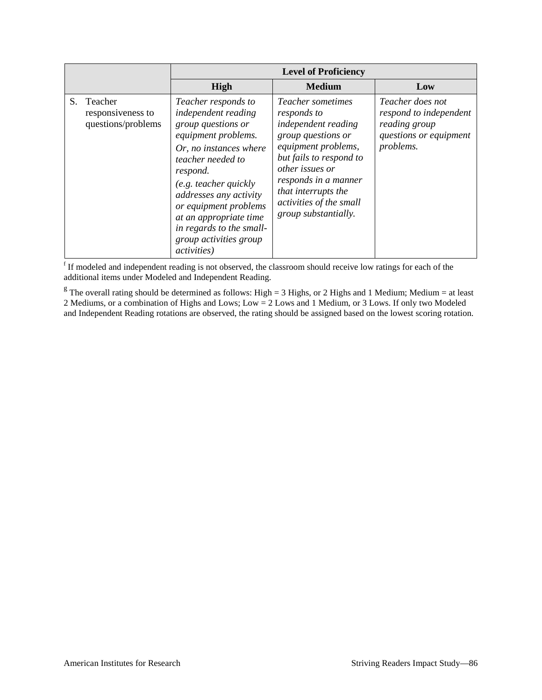|                                                       | <b>Level of Proficiency</b>                                                                                                                                                                                                                                                                                                            |                                                                                                                                                                                                                                                      |                                                                                                    |  |
|-------------------------------------------------------|----------------------------------------------------------------------------------------------------------------------------------------------------------------------------------------------------------------------------------------------------------------------------------------------------------------------------------------|------------------------------------------------------------------------------------------------------------------------------------------------------------------------------------------------------------------------------------------------------|----------------------------------------------------------------------------------------------------|--|
|                                                       | High                                                                                                                                                                                                                                                                                                                                   | <b>Medium</b>                                                                                                                                                                                                                                        | Low                                                                                                |  |
| S. Teacher<br>responsiveness to<br>questions/problems | Teacher responds to<br>independent reading<br>group questions or<br>equipment problems.<br>Or, no instances where<br>teacher needed to<br>respond.<br>(e.g. teacher quickly)<br>addresses any activity<br>or equipment problems<br>at an appropriate time<br>in regards to the small-<br>group activities group<br><i>activities</i> ) | Teacher sometimes<br>responds to<br>independent reading<br>group questions or<br>equipment problems,<br>but fails to respond to<br>other issues or<br>responds in a manner<br>that interrupts the<br>activities of the small<br>group substantially. | Teacher does not<br>respond to independent<br>reading group<br>questions or equipment<br>problems. |  |

<sup>f</sup> If modeled and independent reading is not observed, the classroom should receive low ratings for each of the additional items under Modeled and Independent Reading.

<sup>g</sup> The overall rating should be determined as follows: High = 3 Highs, or 2 Highs and 1 Medium; Medium = at least 2 Mediums, or a combination of Highs and Lows; Low = 2 Lows and 1 Medium, or 3 Lows. If only two Modeled and Independent Reading rotations are observed, the rating should be assigned based on the lowest scoring rotation.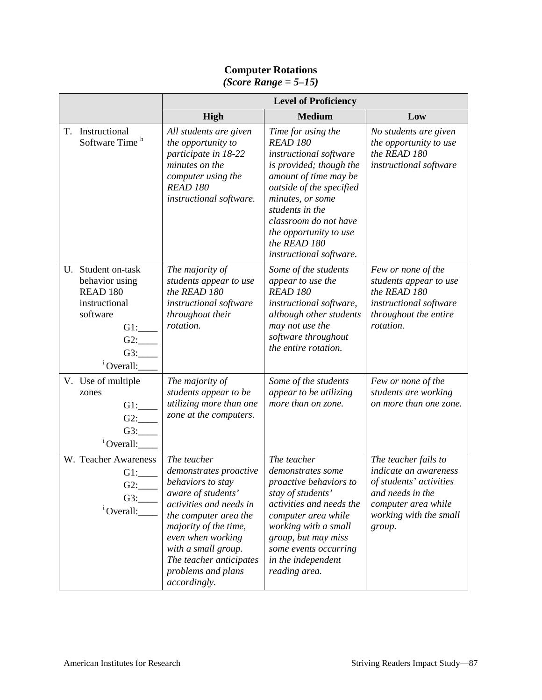#### **Level of Proficiency High Medium Low** T. Instructional Software Time<sup>h</sup> *All students are given the opportunity to participate in 18-22 minutes on the computer using the READ 180 instructional software. Time for using the READ 180 instructional software is provided; though the amount of time may be outside of the specified minutes, or some students in the classroom do not have the opportunity to use the READ 180 instructional software. No students are given the opportunity to use the READ 180 instructional software* U. Student on-task behavior using READ 180 instructional software  $G1:$ G2:\_\_\_\_ G3:\_\_\_\_ <sup>i</sup> Overall: *The majority of students appear to use the READ 180 instructional software throughout their rotation. Some of the students appear to use the READ 180 instructional software, although other students may not use the software throughout the entire rotation. Few or none of the students appear to use the READ 180 instructional software throughout the entire rotation.*  V. Use of multiple zones G1:\_\_\_\_ G2:\_\_\_\_ G3:\_\_\_\_ <sup>i</sup> Overall: *The majority of students appear to be utilizing more than one zone at the computers. Some of the students appear to be utilizing more than on zone. Few or none of the students are working on more than one zone.* W. Teacher Awareness  $G1:$  $G2:$ G3:\_\_\_\_ <sup>i</sup> Overall: *The teacher demonstrates proactive behaviors to stay aware of students' activities and needs in the computer area the majority of the time, even when working The teacher demonstrates some proactive behaviors to stay of students' activities and needs the computer area while working with a small group, but may miss The teacher fails to indicate an awareness of students' activities and needs in the computer area while working with the small group.*

*some events occurring in the independent reading area.*

*with a small group. The teacher anticipates problems and plans* 

*accordingly.*

## **Computer Rotations**

*(Score Range = 5–15)*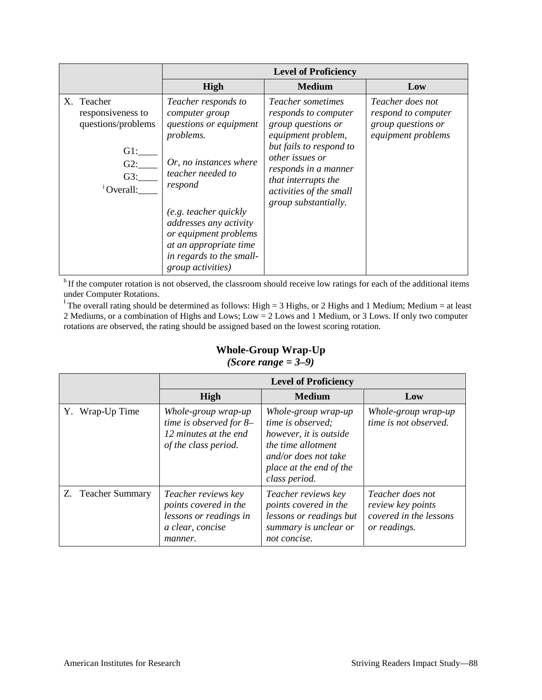|                                                                                                     |                                                                                                                                                                                                                                                                                                | <b>Level of Proficiency</b>                                                                                                                                                                                                                  |                                                                                     |
|-----------------------------------------------------------------------------------------------------|------------------------------------------------------------------------------------------------------------------------------------------------------------------------------------------------------------------------------------------------------------------------------------------------|----------------------------------------------------------------------------------------------------------------------------------------------------------------------------------------------------------------------------------------------|-------------------------------------------------------------------------------------|
|                                                                                                     | High                                                                                                                                                                                                                                                                                           | <b>Medium</b>                                                                                                                                                                                                                                | Low                                                                                 |
| X. Teacher<br>responsiveness to<br>questions/problems<br>$G1$ :<br>$G2$ :<br>G3:<br>$^{1}$ Overall: | Teacher responds to<br>computer group<br>questions or equipment<br>problems.<br>Or, no instances where<br>teacher needed to<br>respond<br>(e.g. teacher quickly)<br>addresses any activity<br>or equipment problems<br>at an appropriate time<br>in regards to the small-<br>group activities) | <i>Teacher sometimes</i><br>responds to computer<br>group questions or<br>equipment problem,<br>but fails to respond to<br>other issues or<br>responds in a manner<br>that interrupts the<br>activities of the small<br>group substantially. | Teacher does not<br>respond to computer<br>group questions or<br>equipment problems |

<sup>h</sup> If the computer rotation is not observed, the classroom should receive low ratings for each of the additional items under Computer Rotations.<br>i The overall rating should be determined as follows: High = 3 Highs, or 2 Highs and 1 Medium; Medium = at least

2 Mediums, or a combination of Highs and Lows; Low = 2 Lows and 1 Medium, or 3 Lows. If only two computer rotations are observed, the rating should be assigned based on the lowest scoring rotation.

# **Whole-Group Wrap-Up**

## *(Score range = 3–9)*

|                    | <b>Level of Proficiency</b>                                                                           |                                                                                                                                                              |                                                                                 |  |  |  |  |
|--------------------|-------------------------------------------------------------------------------------------------------|--------------------------------------------------------------------------------------------------------------------------------------------------------------|---------------------------------------------------------------------------------|--|--|--|--|
|                    | High                                                                                                  | <b>Medium</b>                                                                                                                                                | Low                                                                             |  |  |  |  |
| Y. Wrap-Up Time    | Whole-group wrap-up<br>time is observed for 8-<br>12 minutes at the end<br>of the class period.       | Whole-group wrap-up<br>time is observed;<br>however, it is outside<br>the time allotment<br>and/or does not take<br>place at the end of the<br>class period. | Whole-group wrap-up<br>time is not observed.                                    |  |  |  |  |
| Z. Teacher Summary | Teacher reviews key<br>points covered in the<br>lessons or readings in<br>a clear, concise<br>manner. | Teacher reviews key<br>points covered in the<br>lessons or readings but<br>summary is unclear or<br>not concise.                                             | Teacher does not<br>review key points<br>covered in the lessons<br>or readings. |  |  |  |  |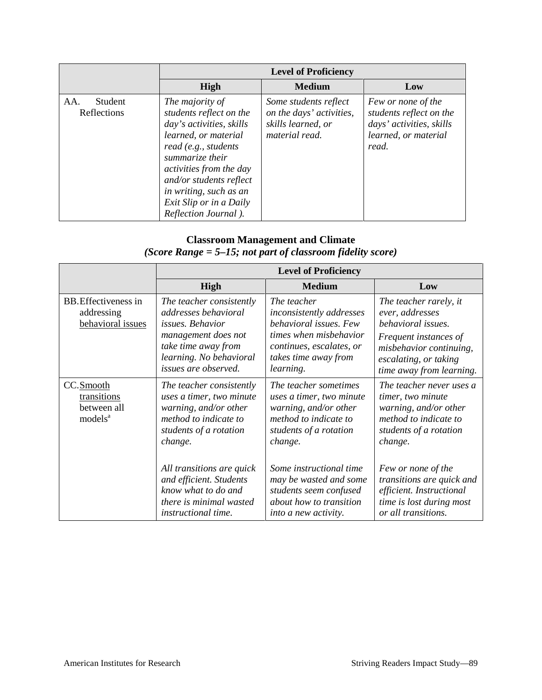|                               |                                                                                                                                                                                                                                                                               | <b>Level of Proficiency</b>                                                               |                                                                                                            |
|-------------------------------|-------------------------------------------------------------------------------------------------------------------------------------------------------------------------------------------------------------------------------------------------------------------------------|-------------------------------------------------------------------------------------------|------------------------------------------------------------------------------------------------------------|
|                               | <b>High</b>                                                                                                                                                                                                                                                                   | Low                                                                                       |                                                                                                            |
| AA.<br>Student<br>Reflections | The majority of<br>students reflect on the<br>day's activities, skills<br>learned, or material<br>read (e.g., students)<br>summarize their<br>activities from the day<br>and/or students reflect<br>in writing, such as an<br>Exit Slip or in a Daily<br>Reflection Journal). | Some students reflect<br>on the days' activities,<br>skills learned, or<br>material read. | Few or none of the<br>students reflect on the<br>days' activities, skills<br>learned, or material<br>read. |

#### **Classroom Management and Climate**  *(Score Range = 5–15; not part of classroom fidelity score)*

|                                                                |                                                                                                                                                                              | <b>Level of Proficiency</b>                                                                                                                                         |                                                                                                                                                                          |
|----------------------------------------------------------------|------------------------------------------------------------------------------------------------------------------------------------------------------------------------------|---------------------------------------------------------------------------------------------------------------------------------------------------------------------|--------------------------------------------------------------------------------------------------------------------------------------------------------------------------|
|                                                                | <b>High</b>                                                                                                                                                                  | <b>Medium</b>                                                                                                                                                       | Low                                                                                                                                                                      |
| <b>BB.</b> Effectiveness in<br>addressing<br>behavioral issues | The teacher consistently<br>addresses behavioral<br><i>issues. Behavior</i><br>management does not<br>take time away from<br>learning. No behavioral<br>issues are observed. | The teacher<br><i>inconsistently addresses</i><br>behavioral issues. Few<br>times when misbehavior<br>continues, escalates, or<br>takes time away from<br>learning. | The teacher rarely, it<br>ever, addresses<br>behavioral issues.<br>Frequent instances of<br>misbehavior continuing,<br>escalating, or taking<br>time away from learning. |
| CC.Smooth<br>transitions<br>between all<br>models <sup>a</sup> | The teacher consistently<br>uses a timer, two minute<br>warning, and/or other<br>method to indicate to<br>students of a rotation<br>change.                                  | The teacher sometimes<br>uses a timer, two minute<br>warning, and/or other<br>method to indicate to<br>students of a rotation<br>change.                            | The teacher never uses a<br>timer, two minute<br>warning, and/or other<br>method to indicate to<br>students of a rotation<br>change.                                     |
|                                                                | All transitions are quick<br>and efficient. Students<br>know what to do and<br>there is minimal wasted<br><i>instructional time.</i>                                         | Some instructional time<br>may be wasted and some<br>students seem confused<br>about how to transition<br>into a new activity.                                      | Few or none of the<br>transitions are quick and<br>efficient. Instructional<br>time is lost during most<br>or all transitions.                                           |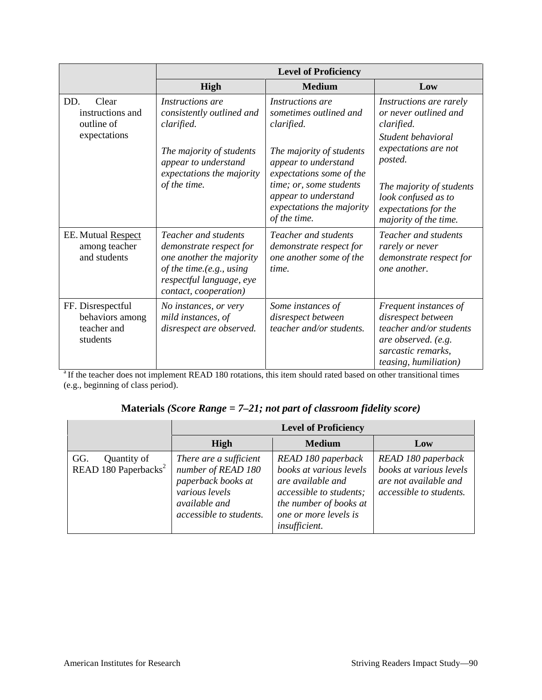|                                                                 |                                                                                                                                                              | <b>Level of Proficiency</b>                                                                  |                                                                                                                                                     |
|-----------------------------------------------------------------|--------------------------------------------------------------------------------------------------------------------------------------------------------------|----------------------------------------------------------------------------------------------|-----------------------------------------------------------------------------------------------------------------------------------------------------|
|                                                                 | High                                                                                                                                                         | <b>Medium</b>                                                                                | Low                                                                                                                                                 |
| Clear<br>DD.<br>instructions and<br>outline of                  | Instructions are<br>consistently outlined and<br>clarified.                                                                                                  | <i>Instructions are</i><br>sometimes outlined and<br>clarified.                              | Instructions are rarely<br>or never outlined and<br>clarified.                                                                                      |
| expectations                                                    | The majority of students<br>appear to understand<br>expectations the majority                                                                                | The majority of students<br>appear to understand<br>expectations some of the                 | Student behavioral<br>expectations are not<br>posted.                                                                                               |
|                                                                 | of the time.                                                                                                                                                 | time; or, some students<br>appear to understand<br>expectations the majority<br>of the time. | The majority of students<br>look confused as to<br>expectations for the<br>majority of the time.                                                    |
| EE. Mutual Respect<br>among teacher<br>and students             | Teacher and students<br>demonstrate respect for<br>one another the majority<br>of the time.(e.g., using<br>respectful language, eye<br>contact, cooperation) | Teacher and students<br>demonstrate respect for<br>one another some of the<br>time.          | Teacher and students<br>rarely or never<br>demonstrate respect for<br>one another.                                                                  |
| FF. Disrespectful<br>behaviors among<br>teacher and<br>students | No instances, or very<br>mild instances, of<br>disrespect are observed.                                                                                      | Some instances of<br>disrespect between<br>teacher and/or students.                          | Frequent instances of<br>disrespect between<br>teacher and/or students<br>are observed. (e.g.<br>sarcastic remarks,<br><i>teasing, humiliation)</i> |

<sup>a</sup> If the teacher does not implement READ 180 rotations, this item should rated based on other transitional times (e.g., beginning of class period).

#### **Materials** *(Score Range = 7–21; not part of classroom fidelity score)*

|                                                        |                                                                                                                                         | <b>Level of Proficiency</b>                                                                                                                                       |                                                                                                   |
|--------------------------------------------------------|-----------------------------------------------------------------------------------------------------------------------------------------|-------------------------------------------------------------------------------------------------------------------------------------------------------------------|---------------------------------------------------------------------------------------------------|
|                                                        | <b>High</b>                                                                                                                             | <b>Medium</b>                                                                                                                                                     | Low                                                                                               |
| Quantity of<br>GG.<br>READ 180 Paperbacks <sup>2</sup> | There are a sufficient<br>number of READ 180<br>paperback books at<br>various levels<br><i>available and</i><br>accessible to students. | READ 180 paperback<br>books at various levels<br>are available and<br>accessible to students;<br>the number of books at<br>one or more levels is<br>insufficient. | READ 180 paperback<br>books at various levels<br>are not available and<br>accessible to students. |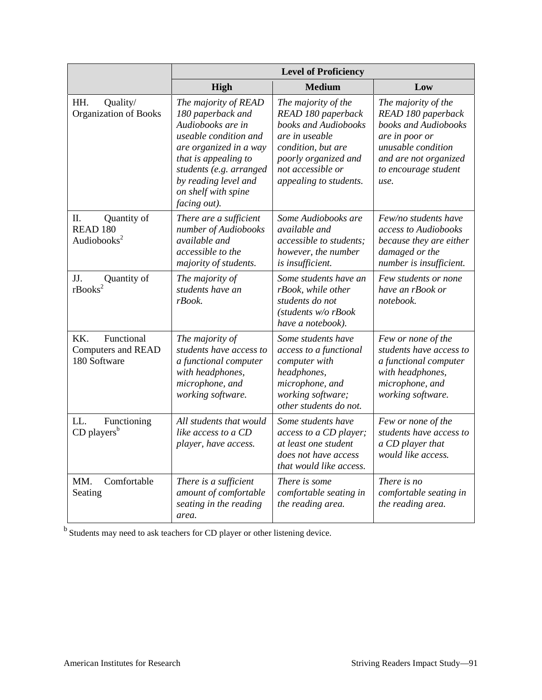|                                                                     |                                                                                                                                                                                                                                     | <b>Level of Proficiency</b>                                                                                                                                                      |                                                                                                                                                                    |
|---------------------------------------------------------------------|-------------------------------------------------------------------------------------------------------------------------------------------------------------------------------------------------------------------------------------|----------------------------------------------------------------------------------------------------------------------------------------------------------------------------------|--------------------------------------------------------------------------------------------------------------------------------------------------------------------|
|                                                                     | High                                                                                                                                                                                                                                | <b>Medium</b>                                                                                                                                                                    | Low                                                                                                                                                                |
| HH.<br>Quality/<br><b>Organization of Books</b>                     | The majority of READ<br>180 paperback and<br>Audiobooks are in<br>useable condition and<br>are organized in a way<br>that is appealing to<br>students (e.g. arranged<br>by reading level and<br>on shelf with spine<br>facing out). | The majority of the<br>READ 180 paperback<br>books and Audiobooks<br>are in useable<br>condition, but are<br>poorly organized and<br>not accessible or<br>appealing to students. | The majority of the<br>READ 180 paperback<br>books and Audiobooks<br>are in poor or<br>unusable condition<br>and are not organized<br>to encourage student<br>use. |
| П.<br>Quantity of<br>READ <sub>180</sub><br>Audiobooks <sup>2</sup> | There are a sufficient<br>number of Audiobooks<br>available and<br>accessible to the<br>majority of students.                                                                                                                       | Some Audiobooks are<br>available and<br>accessible to students;<br>however, the number<br>is insufficient.                                                                       | Few/no students have<br>access to Audiobooks<br>because they are either<br>damaged or the<br>number is insufficient.                                               |
| $\overline{\text{c}}$ Puantity of rBooks <sup>2</sup>               | The majority of<br>students have an<br>rBook.                                                                                                                                                                                       | Some students have an<br>rBook, while other<br>students do not<br>(students w/o rBook<br>have a notebook).                                                                       | Few students or none<br>have an rBook or<br>notebook.                                                                                                              |
| Functional<br>KK.<br><b>Computers and READ</b><br>180 Software      | The majority of<br>students have access to<br>a functional computer<br>with headphones,<br>microphone, and<br>working software.                                                                                                     | Some students have<br>access to a functional<br>computer with<br>headphones,<br>microphone, and<br>working software;<br>other students do not.                                   | Few or none of the<br>students have access to<br>a functional computer<br>with headphones,<br>microphone, and<br>working software.                                 |
| LL.<br>Functioning<br>$CD$ players <sup>b</sup>                     | All students that would<br>like access to a CD<br>player, have access.                                                                                                                                                              | Some students have<br>access to a CD player;<br>at least one student<br>does not have access<br>that would like access.                                                          | Few or none of the<br>students have access to<br>a CD player that<br>would like access.                                                                            |
| Comfortable<br>MM.<br>Seating                                       | There is a sufficient<br>amount of comfortable<br>seating in the reading<br>area.                                                                                                                                                   | There is some<br>comfortable seating in<br>the reading area.                                                                                                                     | There is no<br>comfortable seating in<br>the reading area.                                                                                                         |

b Students may need to ask teachers for CD player or other listening device.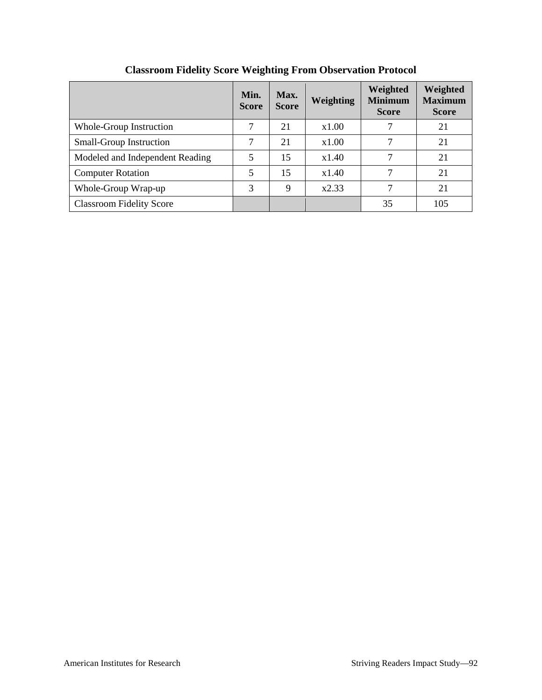|                                 | Min.<br><b>Score</b> | Max.<br><b>Score</b> | <b>Weighting</b> | Weighted<br><b>Minimum</b><br><b>Score</b> | Weighted<br><b>Maximum</b><br><b>Score</b> |
|---------------------------------|----------------------|----------------------|------------------|--------------------------------------------|--------------------------------------------|
| Whole-Group Instruction         |                      | 21                   | x1.00            |                                            | 21                                         |
| Small-Group Instruction         | 7                    | 21                   | x1.00            | 7                                          | 21                                         |
| Modeled and Independent Reading | 5                    | 15                   | x1.40            | 7                                          | 21                                         |
| <b>Computer Rotation</b>        | 5                    | 15                   | x1.40            |                                            | 21                                         |
| Whole-Group Wrap-up             | 3                    | 9                    | x2.33            | 7                                          | 21                                         |
| <b>Classroom Fidelity Score</b> |                      |                      |                  | 35                                         | 105                                        |

## **Classroom Fidelity Score Weighting From Observation Protocol**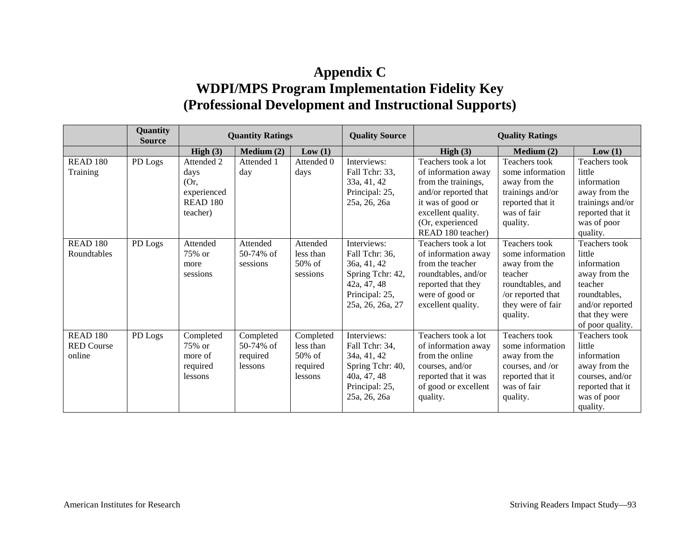# **Appendix C WDPI/MPS Program Implementation Fidelity Key (Professional Development and Instructional Supports)**

|                   | Quantity<br><b>Source</b> | <b>Quantity Ratings</b> |            | <b>Quality Source</b> | <b>Quality Ratings</b> |                      |                      |                  |
|-------------------|---------------------------|-------------------------|------------|-----------------------|------------------------|----------------------|----------------------|------------------|
|                   |                           | High $(3)$              | Median (2) | Low(1)                |                        | High $(3)$           | Median (2)           | Low(1)           |
| <b>READ 180</b>   | PD Logs                   | Attended 2              | Attended 1 | Attended 0            | Interviews:            | Teachers took a lot  | Teachers took        | Teachers took    |
| Training          |                           | days                    | day        | days                  | Fall Tchr: 33,         | of information away  | some information     | little           |
|                   |                           | (Or,                    |            |                       | 33a, 41, 42            | from the trainings,  | away from the        | information      |
|                   |                           | experienced             |            |                       | Principal: 25,         | and/or reported that | trainings and/or     | away from the    |
|                   |                           | <b>READ 180</b>         |            |                       | 25a, 26, 26a           | it was of good or    | reported that it     | trainings and/or |
|                   |                           | teacher)                |            |                       |                        | excellent quality.   | was of fair          | reported that it |
|                   |                           |                         |            |                       |                        | (Or, experienced     | quality.             | was of poor      |
|                   |                           |                         |            |                       |                        | READ 180 teacher)    |                      | quality.         |
| <b>READ 180</b>   | PD Logs                   | Attended                | Attended   | Attended              | Interviews:            | Teachers took a lot  | <b>Teachers</b> took | Teachers took    |
| Roundtables       |                           | 75% or                  | 50-74% of  | less than             | Fall Tchr: 36,         | of information away  | some information     | little           |
|                   |                           | more                    | sessions   | $50\%$ of             | 36a, 41, 42            | from the teacher     | away from the        | information      |
|                   |                           | sessions                |            | sessions              | Spring Tchr: 42,       | roundtables, and/or  | teacher              | away from the    |
|                   |                           |                         |            |                       | 42a, 47, 48            | reported that they   | roundtables, and     | teacher          |
|                   |                           |                         |            |                       | Principal: 25,         | were of good or      | /or reported that    | roundtables,     |
|                   |                           |                         |            |                       | 25a, 26, 26a, 27       | excellent quality.   | they were of fair    | and/or reported  |
|                   |                           |                         |            |                       |                        |                      | quality.             | that they were   |
|                   |                           |                         |            |                       |                        |                      |                      | of poor quality. |
| <b>READ 180</b>   | PD Logs                   | Completed               | Completed  | Completed             | Interviews:            | Teachers took a lot  | Teachers took        | Teachers took    |
| <b>RED Course</b> |                           | 75% or                  | 50-74% of  | less than             | Fall Tchr: 34,         | of information away  | some information     | little           |
| online            |                           | more of                 | required   | $50\%$ of             | 34a, 41, 42            | from the online      | away from the        | information      |
|                   |                           | required                | lessons    | required              | Spring Tchr: 40,       | courses, and/or      | courses, and /or     | away from the    |
|                   |                           | lessons                 |            | lessons               | 40a, 47, 48            | reported that it was | reported that it     | courses, and/or  |
|                   |                           |                         |            |                       | Principal: 25,         | of good or excellent | was of fair          | reported that it |
|                   |                           |                         |            |                       | 25a, 26, 26a           | quality.             | quality.             | was of poor      |
|                   |                           |                         |            |                       |                        |                      |                      | quality.         |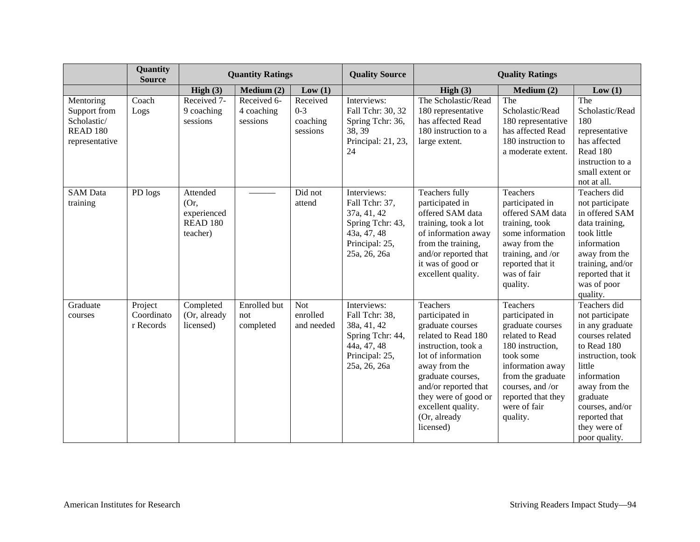|                                                                                   | Quantity<br><b>Source</b>          |                                                                | <b>Quantity Ratings</b>               |                                             | <b>Quality Source</b>                                                                                             | <b>Quality Ratings</b>                                                                                                                                                                                                                                       |                                                                                                                                                                                                                    |                                                                                                                                                                                                                                      |
|-----------------------------------------------------------------------------------|------------------------------------|----------------------------------------------------------------|---------------------------------------|---------------------------------------------|-------------------------------------------------------------------------------------------------------------------|--------------------------------------------------------------------------------------------------------------------------------------------------------------------------------------------------------------------------------------------------------------|--------------------------------------------------------------------------------------------------------------------------------------------------------------------------------------------------------------------|--------------------------------------------------------------------------------------------------------------------------------------------------------------------------------------------------------------------------------------|
|                                                                                   |                                    | High $(3)$                                                     | Median (2)                            | Low(1)                                      |                                                                                                                   | High $(3)$                                                                                                                                                                                                                                                   | Medium (2)                                                                                                                                                                                                         | Low(1)                                                                                                                                                                                                                               |
| Mentoring<br>Support from<br>Scholastic/<br>READ <sub>180</sub><br>representative | Coach<br>Logs                      | Received 7-<br>9 coaching<br>sessions                          | Received 6-<br>4 coaching<br>sessions | Received<br>$0 - 3$<br>coaching<br>sessions | Interviews:<br>Fall Tchr: 30, 32<br>Spring Tchr: 36,<br>38, 39<br>Principal: 21, 23,<br>24                        | The Scholastic/Read<br>180 representative<br>has affected Read<br>180 instruction to a<br>large extent.                                                                                                                                                      | The<br>Scholastic/Read<br>180 representative<br>has affected Read<br>180 instruction to<br>a moderate extent.                                                                                                      | The<br>Scholastic/Read<br>180<br>representative<br>has affected<br>Read 180<br>instruction to a<br>small extent or<br>not at all.                                                                                                    |
| <b>SAM</b> Data<br>training                                                       | PD logs                            | Attended<br>(Or,<br>experienced<br><b>READ 180</b><br>teacher) |                                       | Did not<br>attend                           | Interviews:<br>Fall Tchr: 37,<br>37a, 41, 42<br>Spring Tchr: 43,<br>43a, 47, 48<br>Principal: 25,<br>25a, 26, 26a | Teachers fully<br>participated in<br>offered SAM data<br>training, took a lot<br>of information away<br>from the training,<br>and/or reported that<br>it was of good or<br>excellent quality.                                                                | Teachers<br>participated in<br>offered SAM data<br>training, took<br>some information<br>away from the<br>training, and /or<br>reported that it<br>was of fair<br>quality.                                         | Teachers did<br>not participate<br>in offered SAM<br>data training,<br>took little<br>information<br>away from the<br>training, and/or<br>reported that it<br>was of poor<br>quality.                                                |
| Graduate<br>courses                                                               | Project<br>Coordinato<br>r Records | Completed<br>(Or, already<br>licensed)                         | Enrolled but<br>not<br>completed      | <b>Not</b><br>enrolled<br>and needed        | Interviews:<br>Fall Tchr: 38,<br>38a, 41, 42<br>Spring Tchr: 44,<br>44a, 47, 48<br>Principal: 25,<br>25a, 26, 26a | Teachers<br>participated in<br>graduate courses<br>related to Read 180<br>instruction, took a<br>lot of information<br>away from the<br>graduate courses,<br>and/or reported that<br>they were of good or<br>excellent quality.<br>(Or, already<br>licensed) | Teachers<br>participated in<br>graduate courses<br>related to Read<br>180 instruction,<br>took some<br>information away<br>from the graduate<br>courses, and /or<br>reported that they<br>were of fair<br>quality. | Teachers did<br>not participate<br>in any graduate<br>courses related<br>to Read 180<br>instruction, took<br>little<br>information<br>away from the<br>graduate<br>courses, and/or<br>reported that<br>they were of<br>poor quality. |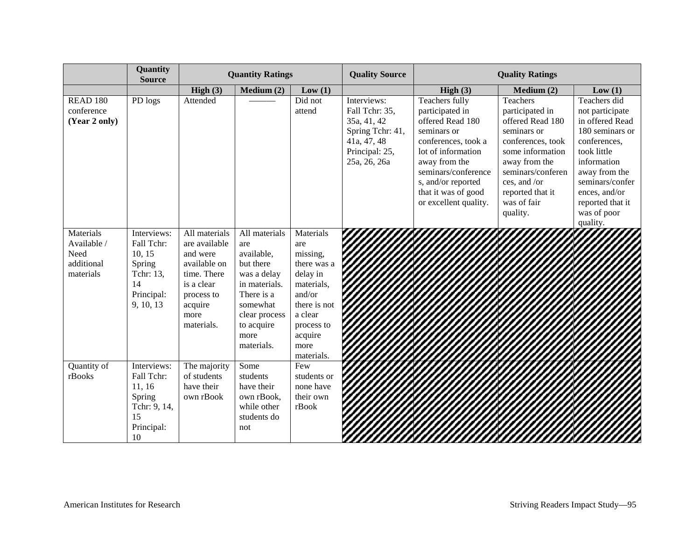|                                                             | Quantity<br><b>Source</b>                                                                   | <b>Quantity Ratings</b>                                                                                                                |                                                                                                                                                                | <b>Quality Source</b>                                                                                                                                     | <b>Quality Ratings</b>                                                                                            |                                                                                                                                                                                                                                 |                                                                                                                                                                                                              |                                                                                                                                                                                                                         |
|-------------------------------------------------------------|---------------------------------------------------------------------------------------------|----------------------------------------------------------------------------------------------------------------------------------------|----------------------------------------------------------------------------------------------------------------------------------------------------------------|-----------------------------------------------------------------------------------------------------------------------------------------------------------|-------------------------------------------------------------------------------------------------------------------|---------------------------------------------------------------------------------------------------------------------------------------------------------------------------------------------------------------------------------|--------------------------------------------------------------------------------------------------------------------------------------------------------------------------------------------------------------|-------------------------------------------------------------------------------------------------------------------------------------------------------------------------------------------------------------------------|
|                                                             |                                                                                             | High $(3)$                                                                                                                             | Median (2)                                                                                                                                                     | Low(1)                                                                                                                                                    |                                                                                                                   | High $(3)$                                                                                                                                                                                                                      | Medium (2)                                                                                                                                                                                                   | Low(1)                                                                                                                                                                                                                  |
| <b>READ 180</b><br>conference<br>(Year 2 only)              | PD logs                                                                                     | Attended                                                                                                                               |                                                                                                                                                                | Did not<br>attend                                                                                                                                         | Interviews:<br>Fall Tchr: 35,<br>35a, 41, 42<br>Spring Tchr: 41,<br>41a, 47, 48<br>Principal: 25,<br>25a, 26, 26a | Teachers fully<br>participated in<br>offered Read 180<br>seminars or<br>conferences, took a<br>lot of information<br>away from the<br>seminars/conference<br>s, and/or reported<br>that it was of good<br>or excellent quality. | Teachers<br>participated in<br>offered Read 180<br>seminars or<br>conferences, took<br>some information<br>away from the<br>seminars/conferen<br>ces, and /or<br>reported that it<br>was of fair<br>quality. | Teachers did<br>not participate<br>in offered Read<br>180 seminars or<br>conferences,<br>took little<br>information<br>away from the<br>seminars/confer<br>ences, and/or<br>reported that it<br>was of poor<br>quality. |
| Materials<br>Available /<br>Need<br>additional<br>materials | Interviews:<br>Fall Tchr:<br>10, 15<br>Spring<br>Tchr: 13,<br>14<br>Principal:<br>9, 10, 13 | All materials<br>are available<br>and were<br>available on<br>time. There<br>is a clear<br>process to<br>acquire<br>more<br>materials. | All materials<br>are<br>available,<br>but there<br>was a delay<br>in materials.<br>There is a<br>somewhat<br>clear process<br>to acquire<br>more<br>materials. | Materials<br>are<br>missing,<br>there was a<br>delay in<br>materials,<br>and/or<br>there is not<br>a clear<br>process to<br>acquire<br>more<br>materials. |                                                                                                                   |                                                                                                                                                                                                                                 |                                                                                                                                                                                                              |                                                                                                                                                                                                                         |
| Quantity of<br>rBooks                                       | Interviews:<br>Fall Tchr:<br>11, 16<br>Spring<br>Tchr: 9, 14,<br>15<br>Principal:<br>10     | The majority<br>of students<br>have their<br>own rBook                                                                                 | Some<br>students<br>have their<br>own rBook,<br>while other<br>students do<br>not                                                                              | Few<br>students or<br>none have<br>their own<br>rBook                                                                                                     |                                                                                                                   |                                                                                                                                                                                                                                 |                                                                                                                                                                                                              |                                                                                                                                                                                                                         |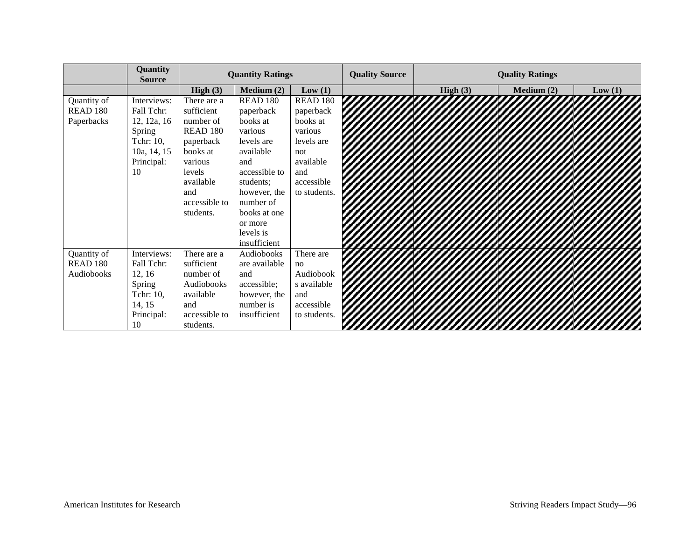|                 | Quantity<br><b>Source</b> | <b>Quantity Ratings</b> |                 | <b>Quality Source</b> | <b>Quality Ratings</b> |            |            |        |
|-----------------|---------------------------|-------------------------|-----------------|-----------------------|------------------------|------------|------------|--------|
|                 |                           | High $(3)$              | Median (2)      | Low(1)                |                        | High $(3)$ | Medium (2) | Low(1) |
| Quantity of     | Interviews:               | There are a             | <b>READ 180</b> | READ 180              |                        |            |            |        |
| <b>READ 180</b> | Fall Tchr:                | sufficient              | paperback       | paperback             |                        |            |            |        |
| Paperbacks      | 12, 12a, 16               | number of               | books at        | books at              |                        |            |            |        |
|                 | Spring                    | <b>READ 180</b>         | various         | various               |                        |            |            |        |
|                 | Tchr: 10,                 | paperback               | levels are      | levels are            |                        |            |            |        |
|                 | 10a, 14, 15               | books at                | available       | not                   |                        |            |            |        |
|                 | Principal:                | various                 | and             | available             |                        |            |            |        |
|                 | 10                        | levels                  | accessible to   | and                   |                        |            |            |        |
|                 |                           | available               | students;       | accessible            |                        |            |            |        |
|                 |                           | and                     | however, the    | to students.          |                        |            |            |        |
|                 |                           | accessible to           | number of       |                       |                        |            |            |        |
|                 |                           | students.               | books at one    |                       |                        |            |            |        |
|                 |                           |                         | or more         |                       |                        |            |            |        |
|                 |                           |                         | levels is       |                       |                        |            |            |        |
|                 |                           |                         | insufficient    |                       |                        |            |            |        |
| Quantity of     | Interviews:               | There are a             | Audiobooks      | There are             |                        |            |            |        |
| <b>READ 180</b> | Fall Tchr:                | sufficient              | are available   | no                    |                        |            |            |        |
| Audiobooks      | 12, 16                    | number of               | and             | Audiobook             |                        |            |            |        |
|                 | Spring                    | Audiobooks              | accessible;     | s available           |                        |            |            |        |
|                 | Tchr: 10,                 | available               | however, the    | and                   |                        |            |            |        |
|                 | 14, 15                    | and                     | number is       | accessible            |                        |            |            |        |
|                 | Principal:                | accessible to           | insufficient    | to students.          |                        |            |            |        |
|                 | 10                        | students.               |                 |                       |                        |            |            |        |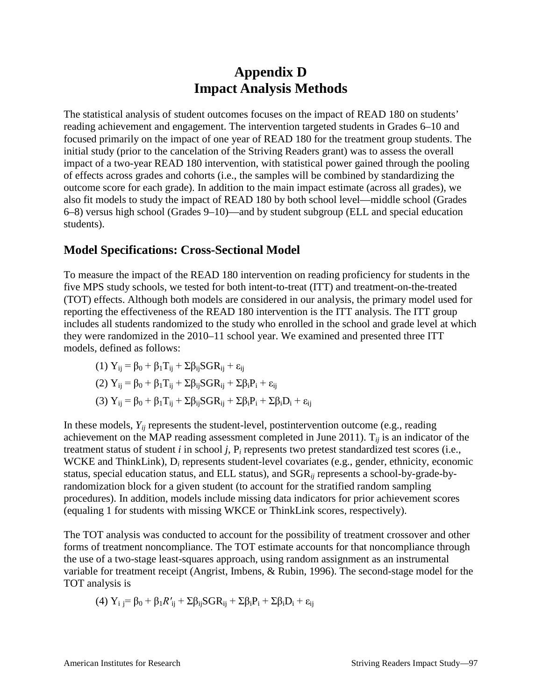# **Appendix D Impact Analysis Methods**

The statistical analysis of student outcomes focuses on the impact of READ 180 on students' reading achievement and engagement. The intervention targeted students in Grades 6–10 and focused primarily on the impact of one year of READ 180 for the treatment group students. The initial study (prior to the cancelation of the Striving Readers grant) was to assess the overall impact of a two-year READ 180 intervention, with statistical power gained through the pooling of effects across grades and cohorts (i.e., the samples will be combined by standardizing the outcome score for each grade). In addition to the main impact estimate (across all grades), we also fit models to study the impact of READ 180 by both school level—middle school (Grades 6–8) versus high school (Grades 9–10)—and by student subgroup (ELL and special education students).

#### **Model Specifications: Cross-Sectional Model**

To measure the impact of the READ 180 intervention on reading proficiency for students in the five MPS study schools, we tested for both intent-to-treat (ITT) and treatment-on-the-treated (TOT) effects. Although both models are considered in our analysis, the primary model used for reporting the effectiveness of the READ 180 intervention is the ITT analysis. The ITT group includes all students randomized to the study who enrolled in the school and grade level at which they were randomized in the 2010–11 school year. We examined and presented three ITT models, defined as follows:

(1)  $Y_{ii} = \beta_0 + \beta_1 T_{ii} + \Sigma \beta_{ii} SGR_{ii} + \varepsilon_{ii}$ 

(2) 
$$
Y_{ij} = \beta_0 + \beta_1 T_{ij} + \Sigma \beta_{ij} SGR_{ij} + \Sigma \beta_i P_i + \epsilon_{ij}
$$

$$
(3) Y_{ij} = \beta_0 + \beta_1 T_{ij} + \Sigma \beta_{ij} SGR_{ij} + \Sigma \beta_i P_i + \Sigma \beta_i D_i + \epsilon_{ij}
$$

In these models,  $Y_{ij}$  represents the student-level, postintervention outcome (e.g., reading achievement on the MAP reading assessment completed in June 2011).  $T_{ii}$  is an indicator of the treatment status of student *i* in school *j,* P*<sup>i</sup>* represents two pretest standardized test scores (i.e., WCKE and ThinkLink), D*<sup>i</sup>* represents student-level covariates (e.g., gender, ethnicity, economic status, special education status, and ELL status), and SGR*ij* represents a school-by-grade-byrandomization block for a given student (to account for the stratified random sampling procedures). In addition, models include missing data indicators for prior achievement scores (equaling 1 for students with missing WKCE or ThinkLink scores, respectively).

The TOT analysis was conducted to account for the possibility of treatment crossover and other forms of treatment noncompliance. The TOT estimate accounts for that noncompliance through the use of a two-stage least-squares approach, using random assignment as an instrumental variable for treatment receipt (Angrist, Imbens, & Rubin, 1996). The second-stage model for the TOT analysis is

$$
(4) Y_i j = \beta_0 + \beta_1 R'_{ij} + \Sigma \beta_{ij} SGR_{ij} + \Sigma \beta_i P_i + \Sigma \beta_i D_i + \epsilon_{ij}
$$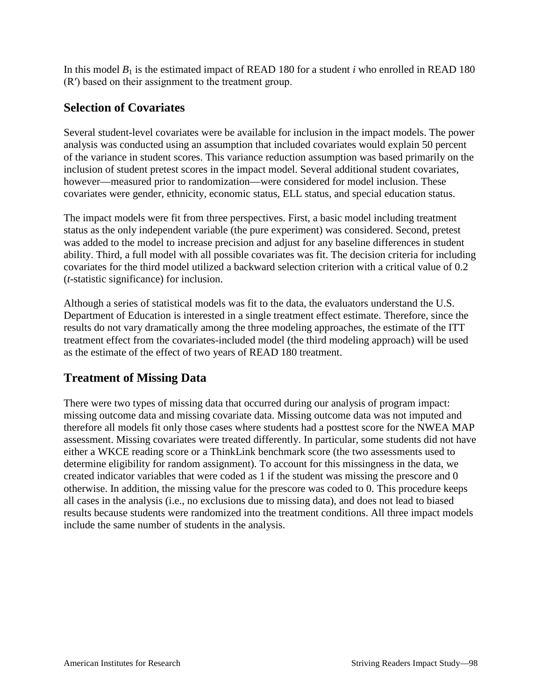In this model *B*<sup>1</sup> is the estimated impact of READ 180 for a student *i* who enrolled in READ 180 (R′) based on their assignment to the treatment group.

#### **Selection of Covariates**

Several student-level covariates were be available for inclusion in the impact models. The power analysis was conducted using an assumption that included covariates would explain 50 percent of the variance in student scores. This variance reduction assumption was based primarily on the inclusion of student pretest scores in the impact model. Several additional student covariates, however—measured prior to randomization—were considered for model inclusion. These covariates were gender, ethnicity, economic status, ELL status, and special education status.

The impact models were fit from three perspectives. First, a basic model including treatment status as the only independent variable (the pure experiment) was considered. Second, pretest was added to the model to increase precision and adjust for any baseline differences in student ability. Third, a full model with all possible covariates was fit. The decision criteria for including covariates for the third model utilized a backward selection criterion with a critical value of 0.2 (*t*-statistic significance) for inclusion.

Although a series of statistical models was fit to the data, the evaluators understand the U.S. Department of Education is interested in a single treatment effect estimate. Therefore, since the results do not vary dramatically among the three modeling approaches, the estimate of the ITT treatment effect from the covariates-included model (the third modeling approach) will be used as the estimate of the effect of two years of READ 180 treatment.

#### **Treatment of Missing Data**

There were two types of missing data that occurred during our analysis of program impact: missing outcome data and missing covariate data. Missing outcome data was not imputed and therefore all models fit only those cases where students had a posttest score for the NWEA MAP assessment. Missing covariates were treated differently. In particular, some students did not have either a WKCE reading score or a ThinkLink benchmark score (the two assessments used to determine eligibility for random assignment). To account for this missingness in the data, we created indicator variables that were coded as 1 if the student was missing the prescore and 0 otherwise. In addition, the missing value for the prescore was coded to 0. This procedure keeps all cases in the analysis (i.e., no exclusions due to missing data), and does not lead to biased results because students were randomized into the treatment conditions. All three impact models include the same number of students in the analysis.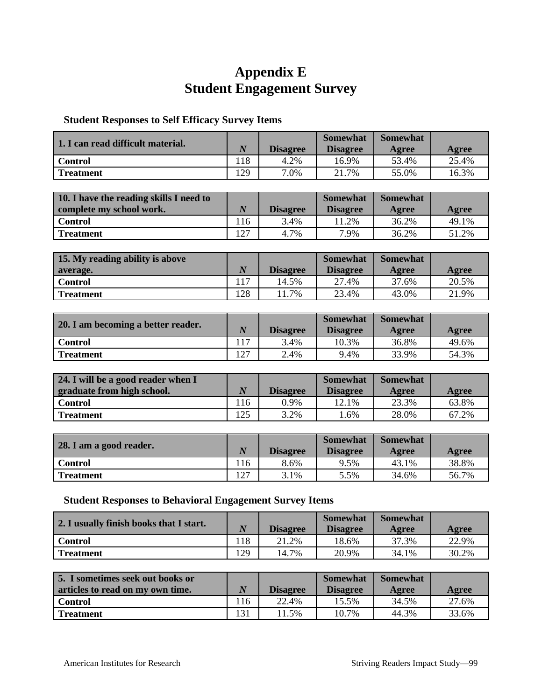# **Appendix E Student Engagement Survey**

#### **Student Responses to Self Efficacy Survey Items**

| 1. I can read difficult material. | $\overline{N}$ | <b>Disagree</b> | <b>Somewhat</b><br><b>Disagree</b> | <b>Somewhat</b><br>Agree | Agree |
|-----------------------------------|----------------|-----------------|------------------------------------|--------------------------|-------|
| Control                           | 118            | 4.2%            | 16.9%                              | 53.4%                    | 25.4% |
| <b>Treatment</b>                  | 129            | 7.0%            | 7%                                 | 55.0%                    | 16.3% |

| 10. I have the reading skills I need to |                |                 | <b>Somewhat</b> | <b>Somewhat</b> |       |
|-----------------------------------------|----------------|-----------------|-----------------|-----------------|-------|
| complete my school work.                | $\overline{N}$ | <b>Disagree</b> | <b>Disagree</b> | Agree           | Agree |
| Control                                 | 116            | 3.4%            | 1.2%            | 36.2%           | 49.1% |
| <b>Treatment</b>                        | 127            | 4.7%            | 7.9%            | 36.2%           | 51.2% |

| 15. My reading ability is above |          |                 | <b>Somewhat</b> | <b>Somewhat</b> |       |
|---------------------------------|----------|-----------------|-----------------|-----------------|-------|
| average.                        | $\bm{N}$ | <b>Disagree</b> | <b>Disagree</b> | Agree           | Agree |
| <b>Control</b>                  |          | 14.5%           | 27.4%           | 37.6%           | 20.5% |
| <b>Treatment</b>                | 128      | 11.7%           | 23.4%           | 43.0%           | 21.9% |

| 20. I am becoming a better reader. | $\overline{N}$ | <b>Disagree</b> | <b>Somewhat</b><br><b>Disagree</b> | <b>Somewhat</b><br>Agree | Agree |
|------------------------------------|----------------|-----------------|------------------------------------|--------------------------|-------|
| <b>Control</b>                     |                | 3.4%            | 10.3%                              | 36.8%                    | 49.6% |
| <b>Treatment</b>                   | 127            | 2.4%            | 9.4%                               | 33.9%                    | 54.3% |

| 24. I will be a good reader when I |                  |                 | <b>Somewhat</b> | <b>Somewhat</b> |       |
|------------------------------------|------------------|-----------------|-----------------|-----------------|-------|
| graduate from high school.         | $\boldsymbol{N}$ | <b>Disagree</b> | <b>Disagree</b> | Agree           | Agree |
| <b>Control</b>                     | l 16             | $0.9\%$         | 12.1%           | 23.3%           | 63.8% |
| <b>Treatment</b>                   | 125              | 3.2%            | . .6%           | 28.0%           | 67.2% |

| 28. I am a good reader. |     | <b>Disagree</b> | <b>Somewhat</b><br><b>Disagree</b> | <b>Somewhat</b><br>Agree | Agree |
|-------------------------|-----|-----------------|------------------------------------|--------------------------|-------|
| <b>Control</b>          | 116 | 8.6%            | 9.5%                               | 43.1%                    | 38.8% |
| <b>Treatment</b>        | 127 | 3.1%            | 5.5%                               | 34.6%                    | 56.7% |

#### **Student Responses to Behavioral Engagement Survey Items**

| 2. I usually finish books that I start. | $\overline{N}$ | <b>Disagree</b> | <b>Somewhat</b><br><b>Disagree</b> | <b>Somewhat</b><br>Agree | Agree |
|-----------------------------------------|----------------|-----------------|------------------------------------|--------------------------|-------|
| <b>Control</b>                          | 118            | 21.2%           | 18.6%                              | 37.3%                    | 22.9% |
| <b>Treatment</b>                        | 129            | 14.7%           | 20.9%                              | 34.1%                    | 30.2% |

| 5. I sometimes seek out books or |          |                 | <b>Somewhat</b> | <b>Somewhat</b> |       |
|----------------------------------|----------|-----------------|-----------------|-----------------|-------|
| articles to read on my own time. | $\bm{N}$ | <b>Disagree</b> | <b>Disagree</b> | Agree           | Agree |
| <b>Control</b>                   | 116      | 22.4%           | 15.5%           | 34.5%           | 27.6% |
| <b>Treatment</b>                 | 131      | 1.5%            | 10.7%           | 44.3%           | 33.6% |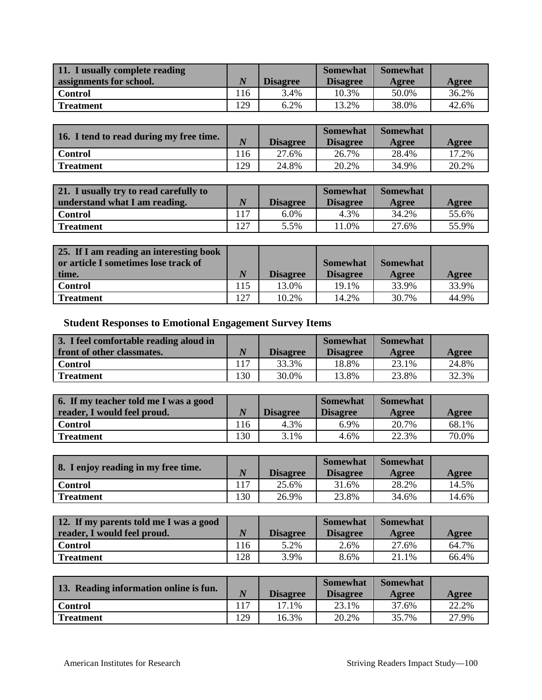| 11. I usually complete reading |          |                 | <b>Somewhat</b> | <b>Somewhat</b> |       |
|--------------------------------|----------|-----------------|-----------------|-----------------|-------|
| assignments for school.        | $\bm{N}$ | <b>Disagree</b> | <b>Disagree</b> | Agree           | Agree |
| <b>Control</b>                 | 116      | 3.4%            | 10.3%           | 50.0%           | 36.2% |
| <b>Treatment</b>               | 129      | 6.2%            | 13.2%           | 38.0%           | 42.6% |

| 16. I tend to read during my free time. | $\overline{N}$ | <b>Disagree</b> | <b>Somewhat</b><br><b>Disagree</b> | <b>Somewhat</b><br>Agree | Agree |
|-----------------------------------------|----------------|-----------------|------------------------------------|--------------------------|-------|
| <b>Control</b>                          | 116            | 27.6%           | 26.7%                              | 28.4%                    | 17.2% |
| <b>Treatment</b>                        | 129            | 24.8%           | 20.2%                              | 34.9%                    | 20.2% |

| 21. I usually try to read carefully to |          |                 | <b>Somewhat</b> | <b>Somewhat</b> |       |
|----------------------------------------|----------|-----------------|-----------------|-----------------|-------|
| understand what I am reading.          | $\bm{N}$ | <b>Disagree</b> | <b>Disagree</b> | Agree           | Agree |
| Control                                | 117      | 6.0%            | 4.3%            | 34.2%           | 55.6% |
| l Treatment                            | 127      | 5.5%            | 1.0%            | 27.6%           | 55.9% |

| 25. If I am reading an interesting book<br>or article I sometimes lose track of |                |                 | <b>Somewhat</b> | <b>Somewhat</b> |       |
|---------------------------------------------------------------------------------|----------------|-----------------|-----------------|-----------------|-------|
| time.                                                                           | $\overline{N}$ | <b>Disagree</b> | <b>Disagree</b> | Agree           | Agree |
| <b>Control</b>                                                                  | 115            | 13.0%           | 19.1%           | 33.9%           | 33.9% |
| <b>Treatment</b>                                                                | 127            | 10.2%           | 14.2%           | 30.7%           | 44.9% |

**Student Responses to Emotional Engagement Survey Items**

| 3. I feel comfortable reading aloud in |          |                 | <b>Somewhat</b> | <b>Somewhat</b> |       |
|----------------------------------------|----------|-----------------|-----------------|-----------------|-------|
| front of other classmates.             | $\bm{N}$ | <b>Disagree</b> | <b>Disagree</b> | Agree           | Agree |
| <b>Control</b>                         |          | 33.3%           | 18.8%           | 23.1%           | 24.8% |
| <b>Treatment</b>                       | 130      | 30.0%           | 13.8%           | 23.8%           | 32.3% |

| 6. If my teacher told me I was a good |                  |                 | <b>Somewhat</b> | <b>Somewhat</b> |       |
|---------------------------------------|------------------|-----------------|-----------------|-----------------|-------|
| reader, I would feel proud.           | $\boldsymbol{N}$ | <b>Disagree</b> | <b>Disagree</b> | Agree           | Agree |
| Control                               | 116              | 4.3%            | 6.9%            | 20.7%           | 68.1% |
| <b>Treatment</b>                      | 130              | 3.1%            | 4.6%            | 22.3%           | 70.0% |

| 8. I enjoy reading in my free time. | $\bm{N}$ | <b>Disagree</b> | <b>Somewhat</b><br><b>Disagree</b> | <b>Somewhat</b><br>Agree | Agree |
|-------------------------------------|----------|-----------------|------------------------------------|--------------------------|-------|
| <b>Control</b>                      | 117      | 25.6%           | 31.6%                              | 28.2%                    | 14.5% |
| <b>Treatment</b>                    | 130      | 26.9%           | 23.8%                              | 34.6%                    | 14.6% |

| 12. If my parents told me I was a good |                  |                 | <b>Somewhat</b> | <b>Somewhat</b> |       |
|----------------------------------------|------------------|-----------------|-----------------|-----------------|-------|
| reader, I would feel proud.            | $\boldsymbol{N}$ | <b>Disagree</b> | <b>Disagree</b> | Agree           | Agree |
| <b>Control</b>                         | 116              | 5.2%            | 2.6%            | 27.6%           | 64.7% |
| <b>Treatment</b>                       | 128              | 3.9%            | 8.6%            | 21.1%           | 66.4% |

| 13. Reading information online is fun. | $\overline{N}$ | <b>Disagree</b> | <b>Somewhat</b><br><b>Disagree</b> | <b>Somewhat</b><br>Agree | Agree |
|----------------------------------------|----------------|-----------------|------------------------------------|--------------------------|-------|
| <b>Control</b>                         | 117            | 17.1%           | 23.1%                              | 37.6%                    | 22.2% |
| <b>Treatment</b>                       | 129            | 16.3%           | 20.2%                              | 35.7%                    | 27.9% |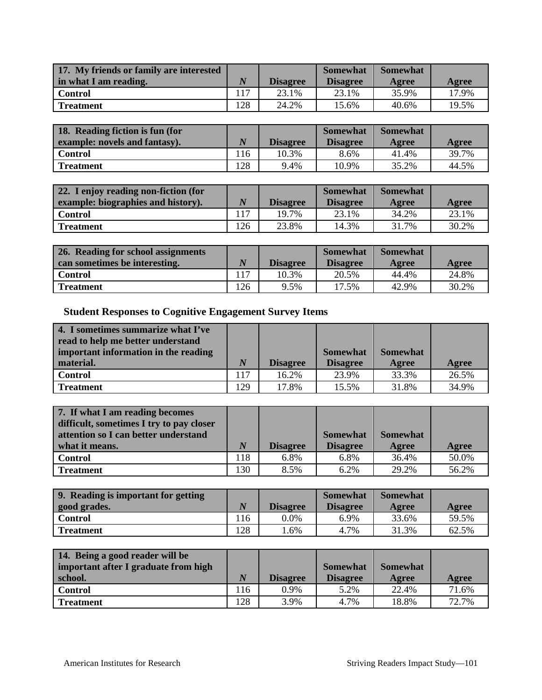| 17. My friends or family are interested |          |                 | <b>Somewhat</b> | <b>Somewhat</b> |       |
|-----------------------------------------|----------|-----------------|-----------------|-----------------|-------|
| in what I am reading.                   | $\bm{N}$ | <b>Disagree</b> | <b>Disagree</b> | Agree           | Agree |
| Control                                 | 117      | 23.1%           | 23.1%           | 35.9%           | 17.9% |
| Treatment                               | 128      | 24.2%           | 15.6%           | 40.6%           | 19.5% |

| 18. Reading fiction is fun (for |                  |                 | <b>Somewhat</b> | <b>Somewhat</b> |       |
|---------------------------------|------------------|-----------------|-----------------|-----------------|-------|
| example: novels and fantasy).   | $\boldsymbol{N}$ | <b>Disagree</b> | <b>Disagree</b> | Agree           | Agree |
| Control                         | 116              | 10.3%           | 8.6%            | 41.4%           | 39.7% |
| Treatment                       | 128              | 9.4%            | 10.9%           | 35.2%           | 44.5% |

| 22. I enjoy reading non-fiction (for |                  |                 | <b>Somewhat</b> | <b>Somewhat</b> |       |
|--------------------------------------|------------------|-----------------|-----------------|-----------------|-------|
| example: biographies and history).   | $\boldsymbol{N}$ | <b>Disagree</b> | <b>Disagree</b> | Agree           | Agree |
| Control                              | 117              | 19.7%           | 23.1%           | 34.2%           | 23.1% |
| <b>Treatment</b>                     | 126              | 23.8%           | 14.3%           | 31.7%           | 30.2% |

| 26. Reading for school assignments |          |                 | <b>Somewhat</b> | <b>Somewhat</b> |       |
|------------------------------------|----------|-----------------|-----------------|-----------------|-------|
| can sometimes be interesting.      | $\bm{N}$ | <b>Disagree</b> | <b>Disagree</b> | Agree           | Agree |
| <b>Control</b>                     | 117      | 10.3%           | 20.5%           | 44.4%           | 24.8% |
| <b>Treatment</b>                   | 126      | 9.5%            | 17.5%           | 42.9%           | 30.2% |

**Student Responses to Cognitive Engagement Survey Items**

| 4. I sometimes summarize what I've<br>read to help me better understand |                  |                 |                 |                 |       |
|-------------------------------------------------------------------------|------------------|-----------------|-----------------|-----------------|-------|
| important information in the reading                                    |                  |                 | <b>Somewhat</b> | <b>Somewhat</b> |       |
| material.                                                               | $\boldsymbol{N}$ | <b>Disagree</b> | <b>Disagree</b> | Agree           | Agree |
| <b>Control</b>                                                          | ۱17              | 16.2%           | 23.9%           | 33.3%           | 26.5% |
| <b>Treatment</b>                                                        | 129              | 17.8%           | 15.5%           | 31.8%           | 34.9% |

| 7. If what I am reading becomes<br>difficult, sometimes I try to pay closer |     |                 |                 |                 |       |
|-----------------------------------------------------------------------------|-----|-----------------|-----------------|-----------------|-------|
| attention so I can better understand                                        |     |                 | <b>Somewhat</b> | <b>Somewhat</b> |       |
| what it means.                                                              | N   | <b>Disagree</b> | <b>Disagree</b> | Agree           | Agree |
| <b>Control</b>                                                              | 118 | 6.8%            | 6.8%            | 36.4%           | 50.0% |
| Treatment                                                                   | 130 | 8.5%            | 6.2%            | 29.2%           | 56.2% |

| 9. Reading is important for getting |          |                 | <b>Somewhat</b> | <b>Somewhat</b> |       |
|-------------------------------------|----------|-----------------|-----------------|-----------------|-------|
| good grades.                        | $\bm{N}$ | <b>Disagree</b> | <b>Disagree</b> | Agree           | Agree |
| Control                             | 116      | $0.0\%$         | 6.9%            | 33.6%           | 59.5% |
| Treatment                           | 128      | 6%              | 4.7%            | 31.3%           | 62.5% |

| 14. Being a good reader will be      |                  |                 |                 |                 |       |
|--------------------------------------|------------------|-----------------|-----------------|-----------------|-------|
| important after I graduate from high |                  |                 | <b>Somewhat</b> | <b>Somewhat</b> |       |
| school.                              | $\boldsymbol{N}$ | <b>Disagree</b> | <b>Disagree</b> | Agree           | Agree |
| <b>Control</b>                       | 116              | $0.9\%$         | 5.2%            | 22.4%           | 71.6% |
| <b>Treatment</b>                     | 128              | 3.9%            | 4.7%            | 18.8%           | 72.7% |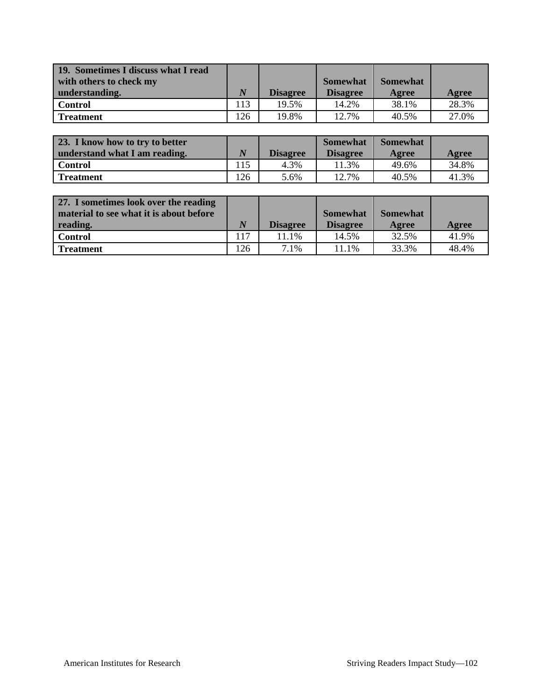| 19. Sometimes I discuss what I read<br>with others to check my<br>understanding. | $\bm{N}$ | <b>Disagree</b> | <b>Somewhat</b><br><b>Disagree</b> | <b>Somewhat</b><br>Agree | Agree |
|----------------------------------------------------------------------------------|----------|-----------------|------------------------------------|--------------------------|-------|
| <b>Control</b>                                                                   | 113      | 19.5%           | 14.2%                              | 38.1%                    | 28.3% |
| <b>Treatment</b>                                                                 | 126      | 19.8%           | 12.7%                              | 40.5%                    | 27.0% |

| 23. I know how to try to better |                  |                 | <b>Somewhat</b> | <b>Somewhat</b> |       |
|---------------------------------|------------------|-----------------|-----------------|-----------------|-------|
| understand what I am reading.   | $\boldsymbol{N}$ | <b>Disagree</b> | <b>Disagree</b> | Agree           | Agree |
| Control                         | 115              | 4.3%            | 1.3%            | 49.6%           | 34.8% |
| <b>Treatment</b>                | 126              | 5.6%            | 12.7%           | 40.5%           | 41.3% |

| 27. I sometimes look over the reading<br>material to see what it is about before |     |                 | <b>Somewhat</b> | <b>Somewhat</b> |       |
|----------------------------------------------------------------------------------|-----|-----------------|-----------------|-----------------|-------|
| reading.                                                                         | N   | <b>Disagree</b> | <b>Disagree</b> | Agree           | Agree |
| <b>Control</b>                                                                   | 117 | 11.1%           | 14.5%           | 32.5%           | 41.9% |
| <b>Treatment</b>                                                                 | 126 | 7.1%            | 11.1%           | 33.3%           | 48.4% |